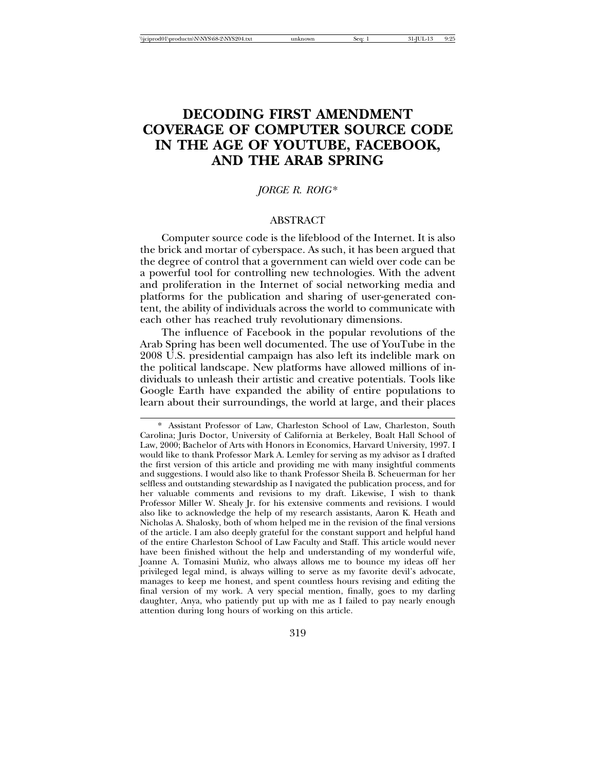# **DECODING FIRST AMENDMENT COVERAGE OF COMPUTER SOURCE CODE IN THE AGE OF YOUTUBE, FACEBOOK, AND THE ARAB SPRING**

# *JORGE R. ROIG*\*

## ABSTRACT

Computer source code is the lifeblood of the Internet. It is also the brick and mortar of cyberspace. As such, it has been argued that the degree of control that a government can wield over code can be a powerful tool for controlling new technologies. With the advent and proliferation in the Internet of social networking media and platforms for the publication and sharing of user-generated content, the ability of individuals across the world to communicate with each other has reached truly revolutionary dimensions.

The influence of Facebook in the popular revolutions of the Arab Spring has been well documented. The use of YouTube in the 2008 U.S. presidential campaign has also left its indelible mark on the political landscape. New platforms have allowed millions of individuals to unleash their artistic and creative potentials. Tools like Google Earth have expanded the ability of entire populations to learn about their surroundings, the world at large, and their places

<sup>\*</sup> Assistant Professor of Law, Charleston School of Law, Charleston, South Carolina; Juris Doctor, University of California at Berkeley, Boalt Hall School of Law, 2000; Bachelor of Arts with Honors in Economics, Harvard University, 1997. I would like to thank Professor Mark A. Lemley for serving as my advisor as I drafted the first version of this article and providing me with many insightful comments and suggestions. I would also like to thank Professor Sheila B. Scheuerman for her selfless and outstanding stewardship as I navigated the publication process, and for her valuable comments and revisions to my draft. Likewise, I wish to thank Professor Miller W. Shealy Jr. for his extensive comments and revisions. I would also like to acknowledge the help of my research assistants, Aaron K. Heath and Nicholas A. Shalosky, both of whom helped me in the revision of the final versions of the article. I am also deeply grateful for the constant support and helpful hand of the entire Charleston School of Law Faculty and Staff. This article would never have been finished without the help and understanding of my wonderful wife, Joanne A. Tomasini Muñiz, who always allows me to bounce my ideas off her privileged legal mind, is always willing to serve as my favorite devil's advocate, manages to keep me honest, and spent countless hours revising and editing the final version of my work. A very special mention, finally, goes to my darling daughter, Anya, who patiently put up with me as I failed to pay nearly enough attention during long hours of working on this article.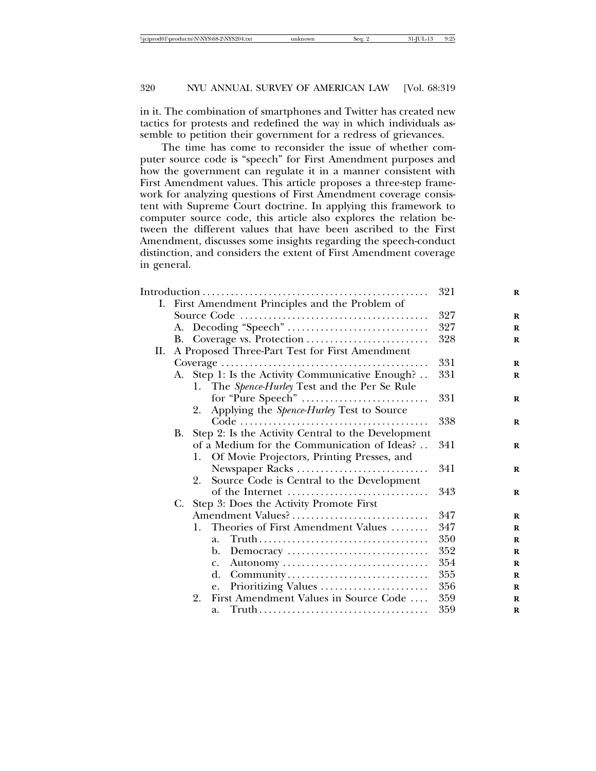in it. The combination of smartphones and Twitter has created new tactics for protests and redefined the way in which individuals assemble to petition their government for a redress of grievances.

The time has come to reconsider the issue of whether computer source code is "speech" for First Amendment purposes and how the government can regulate it in a manner consistent with First Amendment values. This article proposes a three-step framework for analyzing questions of First Amendment coverage consistent with Supreme Court doctrine. In applying this framework to computer source code, this article also explores the relation between the different values that have been ascribed to the First Amendment, discusses some insights regarding the speech-conduct distinction, and considers the extent of First Amendment coverage in general.

|    |    | 321 | $\bf{R}$                                           |     |             |
|----|----|-----|----------------------------------------------------|-----|-------------|
|    |    |     | I. First Amendment Principles and the Problem of   |     |             |
|    |    |     |                                                    | 327 | $\bf{R}$    |
|    |    |     |                                                    | 327 | $\bf{R}$    |
|    |    |     | B. Coverage vs. Protection                         | 328 | R           |
| П. |    |     | A Proposed Three-Part Test for First Amendment     |     |             |
|    |    |     |                                                    | 331 | R           |
|    |    |     | A. Step 1: Is the Activity Communicative Enough?   | 331 | $\bf{R}$    |
|    |    |     | 1. The Spence-Hurley Test and the Per Se Rule      |     |             |
|    |    |     |                                                    | 331 | R           |
|    |    | 2.  | Applying the Spence-Hurley Test to Source          |     |             |
|    |    |     |                                                    | 338 | $\bf{R}$    |
|    | В. |     | Step 2: Is the Activity Central to the Development |     |             |
|    |    |     | of a Medium for the Communication of Ideas?        | 341 | R           |
|    |    | 1.  | Of Movie Projectors, Printing Presses, and         |     |             |
|    |    |     | Newspaper Racks                                    | 341 | R           |
|    |    | 2.  | Source Code is Central to the Development          |     |             |
|    |    |     | of the Internet                                    | 343 | $\bf{R}$    |
|    | C. |     | Step 3: Does the Activity Promote First            |     |             |
|    |    |     | Amendment Values?                                  | 347 | $\bf{R}$    |
|    |    | 1.  | Theories of First Amendment Values                 | 347 | R           |
|    |    |     | a.                                                 | 350 | R           |
|    |    |     | Democracy<br>b.                                    | 352 | $\mathbf R$ |
|    |    |     | c.                                                 | 354 | $\bf{R}$    |
|    |    |     | d.<br>Community                                    | 355 | R           |
|    |    |     | Prioritizing Values<br>e.                          | 356 | R           |
|    |    | 2.  | First Amendment Values in Source Code              | 359 | $\mathbf R$ |
|    |    |     | a.                                                 | 359 | R           |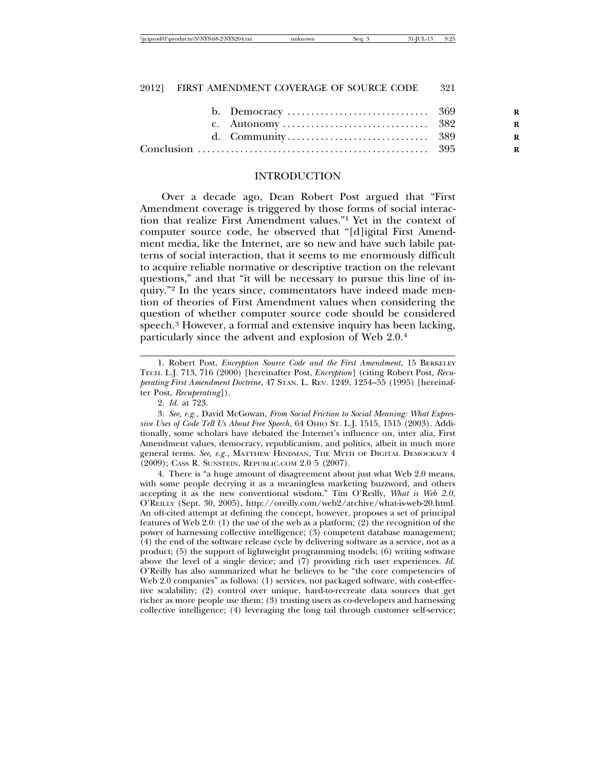\\jciprod01\productn\N\NYS\68-2\NYS204.txt unknown Seq: 3 31-JUL-13 9:25

# 2012] FIRST AMENDMENT COVERAGE OF SOURCE CODE 321

| R |
|---|
| R |
| R |
| R |

# INTRODUCTION

Over a decade ago, Dean Robert Post argued that "First Amendment coverage is triggered by those forms of social interaction that realize First Amendment values."1 Yet in the context of computer source code, he observed that "[d]igital First Amendment media, like the Internet, are so new and have such labile patterns of social interaction, that it seems to me enormously difficult to acquire reliable normative or descriptive traction on the relevant questions," and that "it will be necessary to pursue this line of inquiry."2 In the years since, commentators have indeed made mention of theories of First Amendment values when considering the question of whether computer source code should be considered speech.<sup>3</sup> However, a formal and extensive inquiry has been lacking, particularly since the advent and explosion of Web 2.0.4

4. There is "a huge amount of disagreement about just what Web 2.0 means, with some people decrying it as a meaningless marketing buzzword, and others accepting it as the new conventional wisdom." Tim O'Reilly, *What is Web 2.0*, O'REILLY (Sept. 30, 2005), http://oreilly.com/web2/archive/what-is-web-20.html. An oft-cited attempt at defining the concept, however, proposes a set of principal features of Web 2.0: (1) the use of the web as a platform; (2) the recognition of the power of harnessing collective intelligence; (3) competent database management; (4) the end of the software release cycle by delivering software as a service, not as a product; (5) the support of lightweight programming models; (6) writing software above the level of a single device; and (7) providing rich user experiences. *Id.* O'Reilly has also summarized what he believes to be "the core competencies of Web 2.0 companies" as follows: (1) services, not packaged software, with cost-effective scalability; (2) control over unique, hard-to-recreate data sources that get richer as more people use them; (3) trusting users as co-developers and harnessing collective intelligence; (4) leveraging the long tail through customer self-service;

<sup>1.</sup> Robert Post, *Encryption Source Code and the First Amendment*, 15 BERKELEY TECH. L.J. 713, 716 (2000) [hereinafter Post, *Encryption*] (citing Robert Post, *Recuperating First Amendment Doctrine*, 47 STAN. L. REV. 1249, 1254–55 (1995) [hereinafter Post, *Recuperating*]).

<sup>2.</sup> *Id.* at 723.

<sup>3.</sup> *See, e.g.*, David McGowan, *From Social Friction to Social Meaning: What Expressive Uses of Code Tell Us About Free Speech*, 64 OHIO ST. L.J. 1515, 1515 (2003). Additionally, some scholars have debated the Internet's influence on, inter alia, First Amendment values, democracy, republicanism, and politics, albeit in much more general terms. *See, e.g.*, MATTHEW HINDMAN, THE MYTH OF DIGITAL DEMOCRACY 4 (2009); CASS R. SUNSTEIN, REPUBLIC.COM 2.0 5 (2007).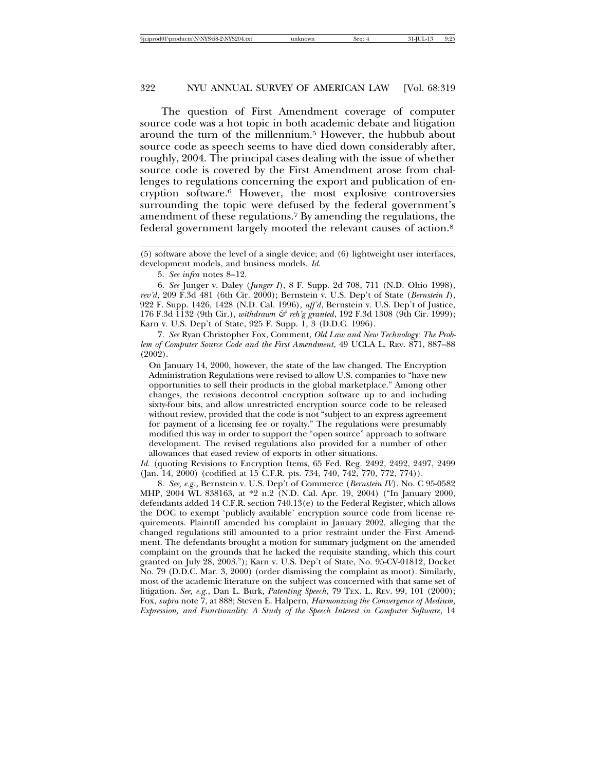The question of First Amendment coverage of computer source code was a hot topic in both academic debate and litigation around the turn of the millennium.5 However, the hubbub about source code as speech seems to have died down considerably after, roughly, 2004. The principal cases dealing with the issue of whether source code is covered by the First Amendment arose from challenges to regulations concerning the export and publication of encryption software.6 However, the most explosive controversies surrounding the topic were defused by the federal government's amendment of these regulations.7 By amending the regulations, the federal government largely mooted the relevant causes of action.8

5. *See infra* notes 8–12.

6. *See* Junger v. Daley (*Junger I*), 8 F. Supp. 2d 708, 711 (N.D. Ohio 1998), *rev'd*, 209 F.3d 481 (6th Cir. 2000); Bernstein v. U.S. Dep't of State (*Bernstein I*), 922 F. Supp. 1426, 1428 (N.D. Cal. 1996), *aff'd*, Bernstein v. U.S. Dep't of Justice, 176 F.3d 1132 (9th Cir.), *withdrawn & reh'g granted*, 192 F.3d 1308 (9th Cir. 1999); Karn v. U.S. Dep't of State, 925 F. Supp. 1, 3 (D.D.C. 1996).

7. *See* Ryan Christopher Fox, Comment, *Old Law and New Technology: The Problem of Computer Source Code and the First Amendment*, 49 UCLA L. REV. 871, 887–88 (2002).

On January 14, 2000, however, the state of the law changed. The Encryption Administration Regulations were revised to allow U.S. companies to "have new opportunities to sell their products in the global marketplace." Among other changes, the revisions decontrol encryption software up to and including sixty-four bits, and allow unrestricted encryption source code to be released without review, provided that the code is not "subject to an express agreement for payment of a licensing fee or royalty." The regulations were presumably modified this way in order to support the "open source" approach to software development. The revised regulations also provided for a number of other allowances that eased review of exports in other situations.

*Id.* (quoting Revisions to Encryption Items, 65 Fed. Reg. 2492, 2492, 2497, 2499 (Jan. 14, 2000) (codified at 15 C.F.R. pts. 734, 740, 742, 770, 772, 774)).

8. *See, e.g.*, Bernstein v. U.S. Dep't of Commerce (*Bernstein IV*), No. C 95-0582 MHP, 2004 WL 838163, at \*2 n.2 (N.D. Cal. Apr. 19, 2004) ("In January 2000, defendants added 14 C.F.R. section 740.13(e) to the Federal Register, which allows the DOC to exempt 'publicly available' encryption source code from license requirements. Plaintiff amended his complaint in January 2002, alleging that the changed regulations still amounted to a prior restraint under the First Amendment. The defendants brought a motion for summary judgment on the amended complaint on the grounds that he lacked the requisite standing, which this court granted on July 28, 2003."); Karn v. U.S. Dep't of State, No. 95-CV-01812, Docket No. 79 (D.D.C. Mar. 3, 2000) (order dismissing the complaint as moot). Similarly, most of the academic literature on the subject was concerned with that same set of litigation. *See, e.g.*, Dan L. Burk, *Patenting Speech*, 79 TEX. L. REV. 99, 101 (2000); Fox, *supra* note 7, at 888; Steven E. Halpern, *Harmonizing the Convergence of Medium, Expression, and Functionality: A Study of the Speech Interest in Computer Software*, 14

<sup>(5)</sup> software above the level of a single device; and (6) lightweight user interfaces, development models, and business models. *Id.*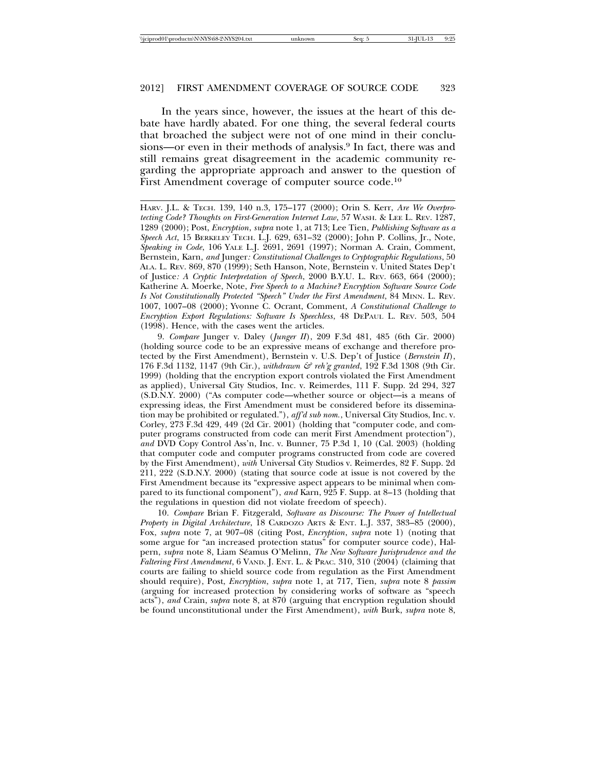In the years since, however, the issues at the heart of this debate have hardly abated. For one thing, the several federal courts that broached the subject were not of one mind in their conclusions—or even in their methods of analysis.9 In fact, there was and still remains great disagreement in the academic community regarding the appropriate approach and answer to the question of First Amendment coverage of computer source code.10

9. *Compare* Junger v. Daley (*Junger II*), 209 F.3d 481, 485 (6th Cir. 2000) (holding source code to be an expressive means of exchange and therefore protected by the First Amendment), Bernstein v. U.S. Dep't of Justice (*Bernstein II*), 176 F.3d 1132, 1147 (9th Cir.), *withdrawn & reh'g granted*, 192 F.3d 1308 (9th Cir. 1999) (holding that the encryption export controls violated the First Amendment as applied), Universal City Studios, Inc. v. Reimerdes, 111 F. Supp. 2d 294, 327 (S.D.N.Y. 2000) ("As computer code—whether source or object—is a means of expressing ideas, the First Amendment must be considered before its dissemination may be prohibited or regulated."), *aff'd sub nom.*, Universal City Studios, Inc. v. Corley, 273 F.3d 429, 449 (2d Cir. 2001) (holding that "computer code, and computer programs constructed from code can merit First Amendment protection"), *and* DVD Copy Control Ass'n, Inc. v. Bunner, 75 P.3d 1, 10 (Cal. 2003) (holding that computer code and computer programs constructed from code are covered by the First Amendment), *with* Universal City Studios v. Reimerdes, 82 F. Supp. 2d 211, 222 (S.D.N.Y. 2000) (stating that source code at issue is not covered by the First Amendment because its "expressive aspect appears to be minimal when compared to its functional component"), *and* Karn, 925 F. Supp. at 8–13 (holding that the regulations in question did not violate freedom of speech).

10. *Compare* Brian F. Fitzgerald, *Software as Discourse: The Power of Intellectual Property in Digital Architecture*, 18 CARDOZO ARTS & ENT. L.J. 337, 383–85 (2000), Fox, *supra* note 7, at 907–08 (citing Post, *Encryption*, *supra* note 1) (noting that some argue for "an increased protection status" for computer source code), Halpern, *supra* note 8, Liam Seamus O'Melinn, ´ *The New Software Jurisprudence and the Faltering First Amendment*, 6 VAND. J. ENT. L. & PRAC. 310, 310 (2004) (claiming that courts are failing to shield source code from regulation as the First Amendment should require), Post, *Encryption*, *supra* note 1, at 717, Tien, *supra* note 8 *passim* (arguing for increased protection by considering works of software as "speech acts"), *and* Crain, *supra* note 8, at 870 (arguing that encryption regulation should be found unconstitutional under the First Amendment), *with* Burk, *supra* note 8,

HARV. J.L. & TECH. 139, 140 n.3, 175–177 (2000); Orin S. Kerr, *Are We Overprotecting Code? Thoughts on First-Generation Internet Law*, 57 WASH. & LEE L. REV. 1287, 1289 (2000); Post, *Encryption*, *supra* note 1, at 713; Lee Tien, *Publishing Software as a Speech Act*, 15 BERKELEY TECH. L.J. 629, 631–32 (2000); John P. Collins, Jr., Note, *Speaking in Code*, 106 YALE L.J. 2691, 2691 (1997); Norman A. Crain, Comment, Bernstein*,* Karn*, and* Junger*: Constitutional Challenges to Cryptographic Regulations*, 50 ALA. L. REV. 869, 870 (1999); Seth Hanson, Note, Bernstein v. United States Dep't of Justice*: A Cryptic Interpretation of Speech*, 2000 B.Y.U. L. REV. 663, 664 (2000); Katherine A. Moerke, Note, *Free Speech to a Machine? Encryption Software Source Code Is Not Constitutionally Protected "Speech" Under the First Amendment*, 84 MINN. L. REV. 1007, 1007–08 (2000); Yvonne C. Ocrant, Comment, *A Constitutional Challenge to Encryption Export Regulations: Software Is Speechless*, 48 DEPAUL L. REV. 503, 504 (1998). Hence, with the cases went the articles.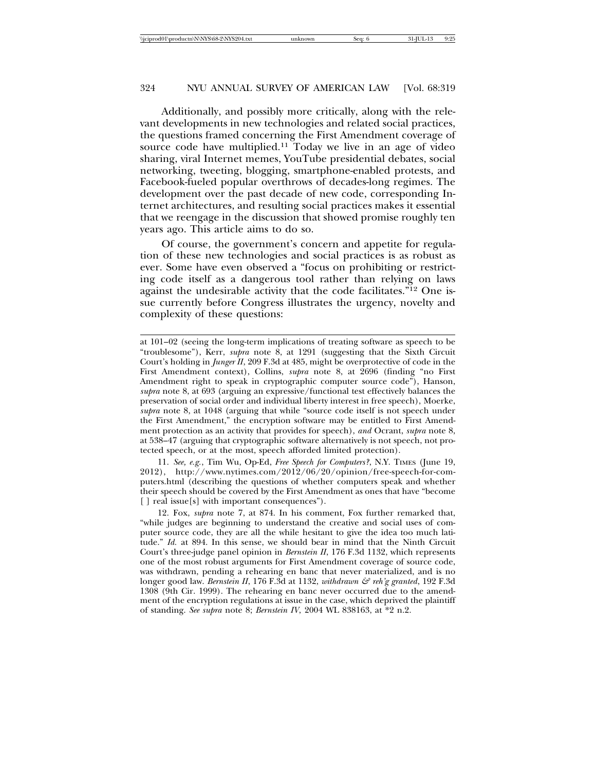Additionally, and possibly more critically, along with the relevant developments in new technologies and related social practices, the questions framed concerning the First Amendment coverage of source code have multiplied.11 Today we live in an age of video sharing, viral Internet memes, YouTube presidential debates, social networking, tweeting, blogging, smartphone-enabled protests, and Facebook-fueled popular overthrows of decades-long regimes. The development over the past decade of new code, corresponding Internet architectures, and resulting social practices makes it essential that we reengage in the discussion that showed promise roughly ten years ago. This article aims to do so.

Of course, the government's concern and appetite for regulation of these new technologies and social practices is as robust as ever. Some have even observed a "focus on prohibiting or restricting code itself as a dangerous tool rather than relying on laws against the undesirable activity that the code facilitates."12 One issue currently before Congress illustrates the urgency, novelty and complexity of these questions:

11. *See, e.g.*, Tim Wu, Op-Ed, *Free Speech for Computers?*, N.Y. TIMES (June 19, 2012), http://www.nytimes.com/2012/06/20/opinion/free-speech-for-computers.html (describing the questions of whether computers speak and whether their speech should be covered by the First Amendment as ones that have "become [] real issue[s] with important consequences").

12. Fox, *supra* note 7, at 874. In his comment, Fox further remarked that, "while judges are beginning to understand the creative and social uses of computer source code, they are all the while hesitant to give the idea too much latitude." *Id.* at 894. In this sense, we should bear in mind that the Ninth Circuit Court's three-judge panel opinion in *Bernstein II*, 176 F.3d 1132, which represents one of the most robust arguments for First Amendment coverage of source code, was withdrawn, pending a rehearing en banc that never materialized, and is no longer good law. *Bernstein II*, 176 F.3d at 1132, *withdrawn & reh'g granted*, 192 F.3d 1308 (9th Cir. 1999). The rehearing en banc never occurred due to the amendment of the encryption regulations at issue in the case, which deprived the plaintiff of standing. *See supra* note 8; *Bernstein IV*, 2004 WL 838163, at \*2 n.2.

at 101–02 (seeing the long-term implications of treating software as speech to be "troublesome"), Kerr, *supra* note 8, at 1291 (suggesting that the Sixth Circuit Court's holding in *Junger II*, 209 F.3d at 485, might be overprotective of code in the First Amendment context), Collins, *supra* note 8, at 2696 (finding "no First Amendment right to speak in cryptographic computer source code"), Hanson, *supra* note 8, at 693 (arguing an expressive/functional test effectively balances the preservation of social order and individual liberty interest in free speech), Moerke, *supra* note 8, at 1048 (arguing that while "source code itself is not speech under the First Amendment," the encryption software may be entitled to First Amendment protection as an activity that provides for speech), *and* Ocrant, *supra* note 8, at 538–47 (arguing that cryptographic software alternatively is not speech, not protected speech, or at the most, speech afforded limited protection).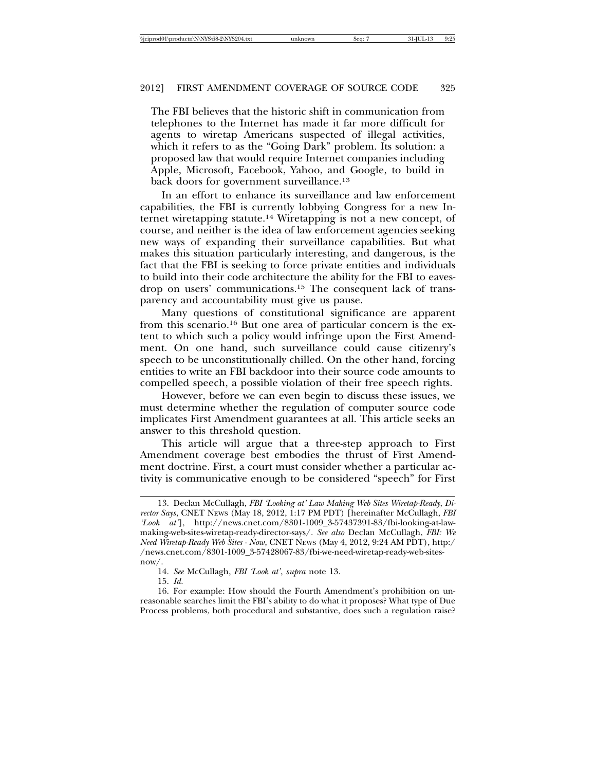The FBI believes that the historic shift in communication from telephones to the Internet has made it far more difficult for agents to wiretap Americans suspected of illegal activities, which it refers to as the "Going Dark" problem. Its solution: a proposed law that would require Internet companies including Apple, Microsoft, Facebook, Yahoo, and Google, to build in back doors for government surveillance.<sup>13</sup>

In an effort to enhance its surveillance and law enforcement capabilities, the FBI is currently lobbying Congress for a new Internet wiretapping statute.14 Wiretapping is not a new concept, of course, and neither is the idea of law enforcement agencies seeking new ways of expanding their surveillance capabilities. But what makes this situation particularly interesting, and dangerous, is the fact that the FBI is seeking to force private entities and individuals to build into their code architecture the ability for the FBI to eavesdrop on users' communications.15 The consequent lack of transparency and accountability must give us pause.

Many questions of constitutional significance are apparent from this scenario.16 But one area of particular concern is the extent to which such a policy would infringe upon the First Amendment. On one hand, such surveillance could cause citizenry's speech to be unconstitutionally chilled. On the other hand, forcing entities to write an FBI backdoor into their source code amounts to compelled speech, a possible violation of their free speech rights.

However, before we can even begin to discuss these issues, we must determine whether the regulation of computer source code implicates First Amendment guarantees at all. This article seeks an answer to this threshold question.

This article will argue that a three-step approach to First Amendment coverage best embodies the thrust of First Amendment doctrine. First, a court must consider whether a particular activity is communicative enough to be considered "speech" for First

<sup>13.</sup> Declan McCullagh, *FBI 'Looking at' Law Making Web Sites Wiretap-Ready, Director Says*, CNET NEWS (May 18, 2012, 1:17 PM PDT) [hereinafter McCullagh, *FBI 'Look at'*], http://news.cnet.com/8301-1009\_3-57437391-83/fbi-looking-at-lawmaking-web-sites-wiretap-ready-director-says/. *See also* Declan McCullagh, *FBI: We Need Wiretap-Ready Web Sites - Now*, CNET NEWS (May 4, 2012, 9:24 AM PDT), http:/ /news.cnet.com/8301-1009\_3-57428067-83/fbi-we-need-wiretap-ready-web-sitesnow/.

<sup>14.</sup> *See* McCullagh, *FBI 'Look at'*, *supra* note 13.

<sup>15.</sup> *Id.*

<sup>16.</sup> For example: How should the Fourth Amendment's prohibition on unreasonable searches limit the FBI's ability to do what it proposes? What type of Due Process problems, both procedural and substantive, does such a regulation raise?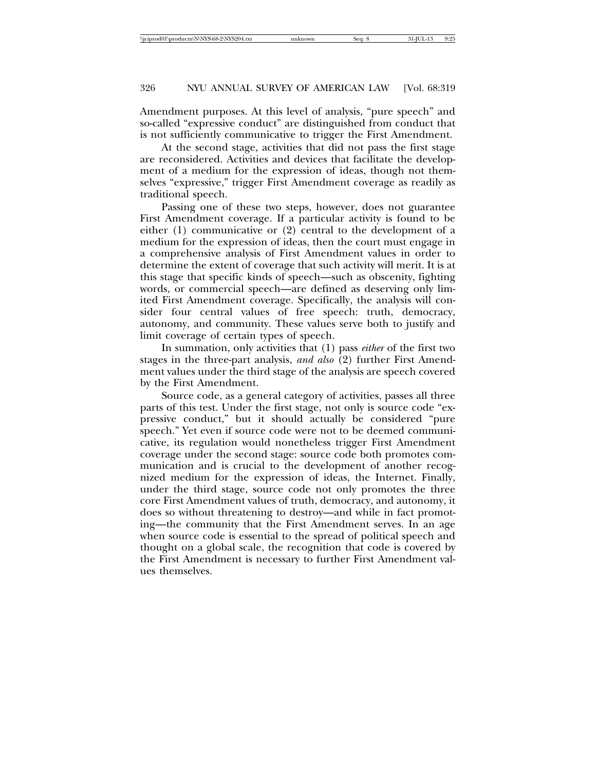Amendment purposes. At this level of analysis, "pure speech" and so-called "expressive conduct" are distinguished from conduct that is not sufficiently communicative to trigger the First Amendment.

At the second stage, activities that did not pass the first stage are reconsidered. Activities and devices that facilitate the development of a medium for the expression of ideas, though not themselves "expressive," trigger First Amendment coverage as readily as traditional speech.

Passing one of these two steps, however, does not guarantee First Amendment coverage. If a particular activity is found to be either (1) communicative or (2) central to the development of a medium for the expression of ideas, then the court must engage in a comprehensive analysis of First Amendment values in order to determine the extent of coverage that such activity will merit. It is at this stage that specific kinds of speech—such as obscenity, fighting words, or commercial speech—are defined as deserving only limited First Amendment coverage. Specifically, the analysis will consider four central values of free speech: truth, democracy, autonomy, and community. These values serve both to justify and limit coverage of certain types of speech.

In summation, only activities that (1) pass *either* of the first two stages in the three-part analysis, *and also* (2) further First Amendment values under the third stage of the analysis are speech covered by the First Amendment.

Source code, as a general category of activities, passes all three parts of this test. Under the first stage, not only is source code "expressive conduct," but it should actually be considered "pure speech." Yet even if source code were not to be deemed communicative, its regulation would nonetheless trigger First Amendment coverage under the second stage: source code both promotes communication and is crucial to the development of another recognized medium for the expression of ideas, the Internet. Finally, under the third stage, source code not only promotes the three core First Amendment values of truth, democracy, and autonomy, it does so without threatening to destroy—and while in fact promoting—the community that the First Amendment serves. In an age when source code is essential to the spread of political speech and thought on a global scale, the recognition that code is covered by the First Amendment is necessary to further First Amendment values themselves.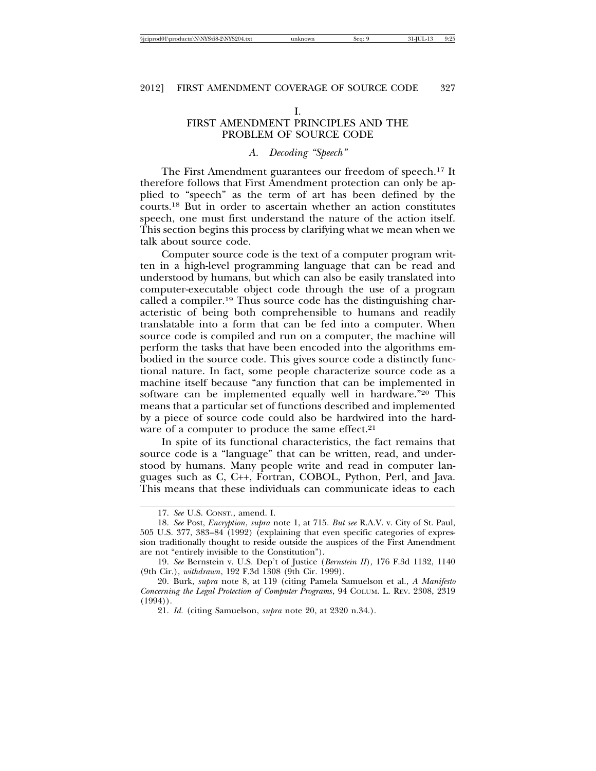#### I.

# FIRST AMENDMENT PRINCIPLES AND THE PROBLEM OF SOURCE CODE

## *A. Decoding "Speech"*

The First Amendment guarantees our freedom of speech.17 It therefore follows that First Amendment protection can only be applied to "speech" as the term of art has been defined by the courts.18 But in order to ascertain whether an action constitutes speech, one must first understand the nature of the action itself. This section begins this process by clarifying what we mean when we talk about source code.

Computer source code is the text of a computer program written in a high-level programming language that can be read and understood by humans, but which can also be easily translated into computer-executable object code through the use of a program called a compiler.19 Thus source code has the distinguishing characteristic of being both comprehensible to humans and readily translatable into a form that can be fed into a computer. When source code is compiled and run on a computer, the machine will perform the tasks that have been encoded into the algorithms embodied in the source code. This gives source code a distinctly functional nature. In fact, some people characterize source code as a machine itself because "any function that can be implemented in software can be implemented equally well in hardware."20 This means that a particular set of functions described and implemented by a piece of source code could also be hardwired into the hardware of a computer to produce the same effect.<sup>21</sup>

In spite of its functional characteristics, the fact remains that source code is a "language" that can be written, read, and understood by humans. Many people write and read in computer languages such as C, C++, Fortran, COBOL, Python, Perl, and Java. This means that these individuals can communicate ideas to each

<sup>17.</sup> *See* U.S. CONST., amend. I.

<sup>18.</sup> *See* Post, *Encryption*, *supra* note 1, at 715. *But see* R.A.V. v. City of St. Paul, 505 U.S. 377, 383–84 (1992) (explaining that even specific categories of expression traditionally thought to reside outside the auspices of the First Amendment are not "entirely invisible to the Constitution").

<sup>19.</sup> *See* Bernstein v. U.S. Dep't of Justice (*Bernstein II*), 176 F.3d 1132, 1140 (9th Cir.), *withdrawn*, 192 F.3d 1308 (9th Cir. 1999).

<sup>20.</sup> Burk, *supra* note 8, at 119 (citing Pamela Samuelson et al., *A Manifesto Concerning the Legal Protection of Computer Programs*, 94 COLUM. L. REV. 2308, 2319 (1994)).

<sup>21.</sup> *Id.* (citing Samuelson, *supra* note 20, at 2320 n.34.).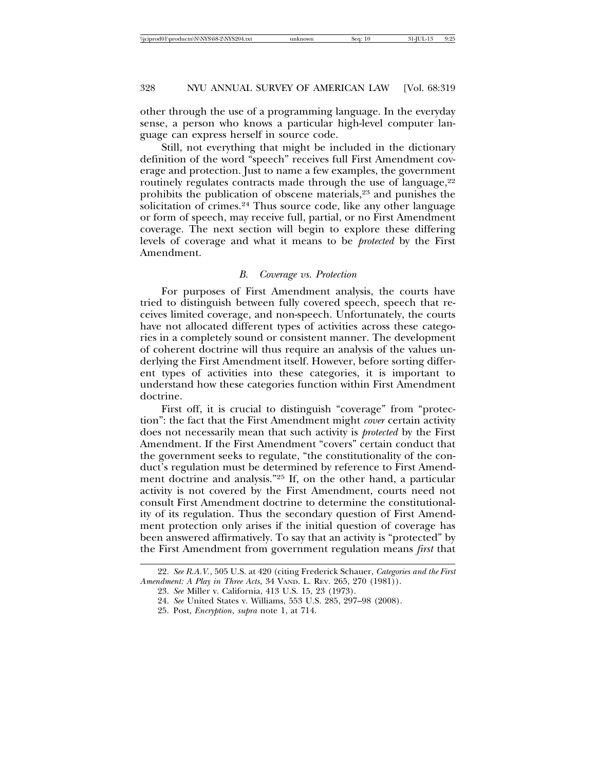other through the use of a programming language. In the everyday sense, a person who knows a particular high-level computer language can express herself in source code.

Still, not everything that might be included in the dictionary definition of the word "speech" receives full First Amendment coverage and protection. Just to name a few examples, the government routinely regulates contracts made through the use of language,<sup>22</sup> prohibits the publication of obscene materials,<sup>23</sup> and punishes the solicitation of crimes.24 Thus source code, like any other language or form of speech, may receive full, partial, or no First Amendment coverage. The next section will begin to explore these differing levels of coverage and what it means to be *protected* by the First Amendment.

## *B. Coverage vs. Protection*

For purposes of First Amendment analysis, the courts have tried to distinguish between fully covered speech, speech that receives limited coverage, and non-speech. Unfortunately, the courts have not allocated different types of activities across these categories in a completely sound or consistent manner. The development of coherent doctrine will thus require an analysis of the values underlying the First Amendment itself. However, before sorting different types of activities into these categories, it is important to understand how these categories function within First Amendment doctrine.

First off, it is crucial to distinguish "coverage" from "protection": the fact that the First Amendment might *cover* certain activity does not necessarily mean that such activity is *protected* by the First Amendment. If the First Amendment "covers" certain conduct that the government seeks to regulate, "the constitutionality of the conduct's regulation must be determined by reference to First Amendment doctrine and analysis."25 If, on the other hand, a particular activity is not covered by the First Amendment, courts need not consult First Amendment doctrine to determine the constitutionality of its regulation. Thus the secondary question of First Amendment protection only arises if the initial question of coverage has been answered affirmatively. To say that an activity is "protected" by the First Amendment from government regulation means *first* that

<sup>22.</sup> *See R.A.V.*, 505 U.S. at 420 (citing Frederick Schauer, *Categories and the First Amendment: A Play in Three Acts*, 34 VAND. L. REV. 265, 270 (1981)).

<sup>23.</sup> *See* Miller v. California, 413 U.S. 15, 23 (1973).

<sup>24.</sup> *See* United States v. Williams, 553 U.S. 285, 297–98 (2008).

<sup>25.</sup> Post, *Encryption*, *supra* note 1, at 714.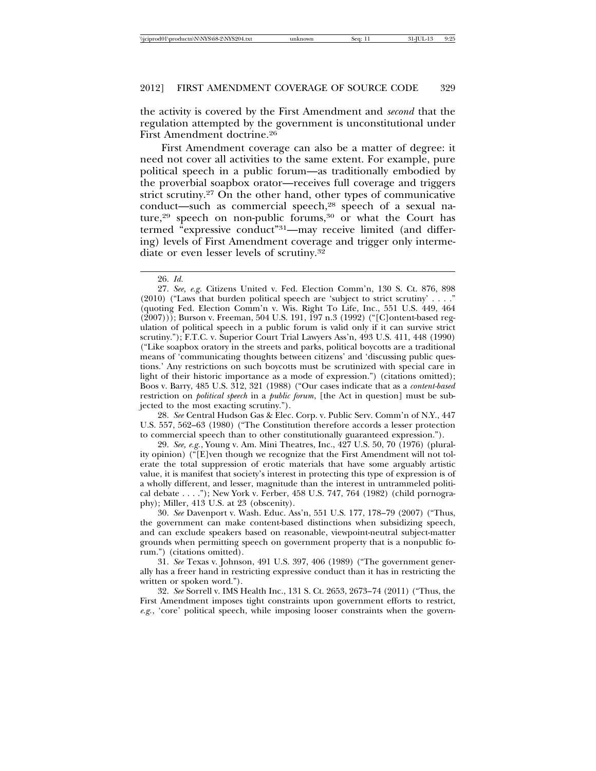the activity is covered by the First Amendment and *second* that the regulation attempted by the government is unconstitutional under First Amendment doctrine.26

First Amendment coverage can also be a matter of degree: it need not cover all activities to the same extent. For example, pure political speech in a public forum—as traditionally embodied by the proverbial soapbox orator—receives full coverage and triggers strict scrutiny.27 On the other hand, other types of communicative conduct—such as commercial speech,28 speech of a sexual nature,<sup>29</sup> speech on non-public forums,<sup>30</sup> or what the Court has termed "expressive conduct"31—may receive limited (and differing) levels of First Amendment coverage and trigger only intermediate or even lesser levels of scrutiny.32

28. *See* Central Hudson Gas & Elec. Corp. v. Public Serv. Comm'n of N.Y., 447 U.S. 557, 562–63 (1980) ("The Constitution therefore accords a lesser protection to commercial speech than to other constitutionally guaranteed expression.").

29. *See, e.g.*, Young v. Am. Mini Theatres, Inc., 427 U.S. 50, 70 (1976) (plurality opinion) ("[E]ven though we recognize that the First Amendment will not tolerate the total suppression of erotic materials that have some arguably artistic value, it is manifest that society's interest in protecting this type of expression is of a wholly different, and lesser, magnitude than the interest in untrammeled political debate . . . ."); New York v. Ferber, 458 U.S. 747, 764 (1982) (child pornography); Miller, 413 U.S. at 23 (obscenity).

30. *See* Davenport v. Wash. Educ. Ass'n, 551 U.S. 177, 178–79 (2007) ("Thus, the government can make content-based distinctions when subsidizing speech, and can exclude speakers based on reasonable, viewpoint-neutral subject-matter grounds when permitting speech on government property that is a nonpublic forum.") (citations omitted).

31. *See* Texas v. Johnson, 491 U.S. 397, 406 (1989) ("The government generally has a freer hand in restricting expressive conduct than it has in restricting the written or spoken word.").

32. *See* Sorrell v. IMS Health Inc., 131 S. Ct. 2653, 2673–74 (2011) ("Thus, the First Amendment imposes tight constraints upon government efforts to restrict, *e.g.*, 'core' political speech, while imposing looser constraints when the govern-

<sup>26.</sup> *Id.*

<sup>27.</sup> *See, e.g*. Citizens United v. Fed. Election Comm'n, 130 S. Ct. 876, 898 (2010) ("Laws that burden political speech are 'subject to strict scrutiny' . . . ." (quoting Fed. Election Comm'n v. Wis. Right To Life, Inc., 551 U.S. 449, 464 (2007))); Burson v. Freeman, 504 U.S. 191, 197 n.3 (1992) ("[C]ontent-based regulation of political speech in a public forum is valid only if it can survive strict scrutiny."); F.T.C. v. Superior Court Trial Lawyers Ass'n, 493 U.S. 411, 448 (1990) ("Like soapbox oratory in the streets and parks, political boycotts are a traditional means of 'communicating thoughts between citizens' and 'discussing public questions.' Any restrictions on such boycotts must be scrutinized with special care in light of their historic importance as a mode of expression.") (citations omitted); Boos v. Barry, 485 U.S. 312, 321 (1988) ("Our cases indicate that as a *content-based* restriction on *political speech* in a *public forum*, [the Act in question] must be subjected to the most exacting scrutiny.").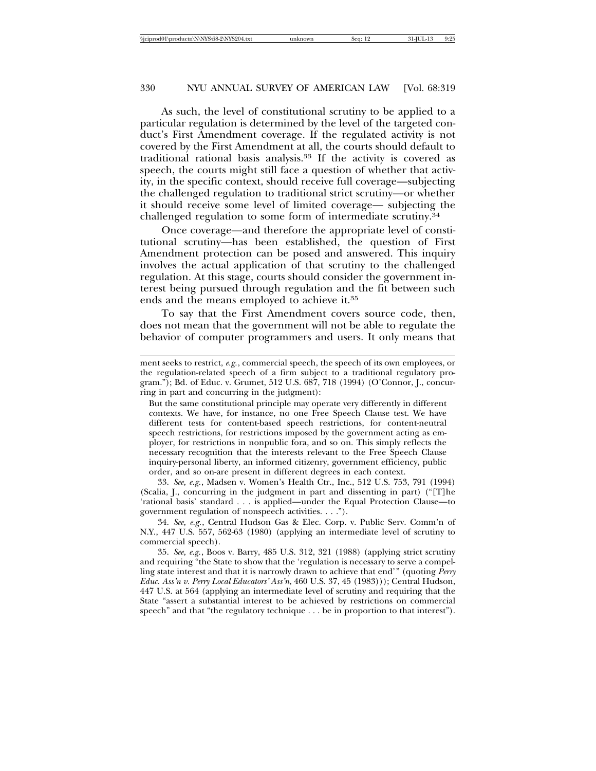As such, the level of constitutional scrutiny to be applied to a particular regulation is determined by the level of the targeted conduct's First Amendment coverage. If the regulated activity is not covered by the First Amendment at all, the courts should default to traditional rational basis analysis.33 If the activity is covered as speech, the courts might still face a question of whether that activity, in the specific context, should receive full coverage—subjecting the challenged regulation to traditional strict scrutiny—or whether it should receive some level of limited coverage— subjecting the challenged regulation to some form of intermediate scrutiny.34

Once coverage—and therefore the appropriate level of constitutional scrutiny—has been established, the question of First Amendment protection can be posed and answered. This inquiry involves the actual application of that scrutiny to the challenged regulation. At this stage, courts should consider the government interest being pursued through regulation and the fit between such ends and the means employed to achieve it.35

To say that the First Amendment covers source code, then, does not mean that the government will not be able to regulate the behavior of computer programmers and users. It only means that

33. *See, e.g.*, Madsen v. Women's Health Ctr., Inc., 512 U.S. 753, 791 (1994) (Scalia, J., concurring in the judgment in part and dissenting in part) ("[T]he 'rational basis' standard . . . is applied—under the Equal Protection Clause—to government regulation of nonspeech activities. . . .").

34. *See, e.g.*, Central Hudson Gas & Elec. Corp. v. Public Serv. Comm'n of N.Y., 447 U.S. 557, 562-63 (1980) (applying an intermediate level of scrutiny to commercial speech).

35. *See, e.g.*, Boos v. Barry, 485 U.S. 312, 321 (1988) (applying strict scrutiny and requiring "the State to show that the 'regulation is necessary to serve a compelling state interest and that it is narrowly drawn to achieve that end'" (quoting *Perry Educ. Ass'n v. Perry Local Educators' Ass'n*, 460 U.S. 37, 45 (1983))); Central Hudson, 447 U.S. at 564 (applying an intermediate level of scrutiny and requiring that the State "assert a substantial interest to be achieved by restrictions on commercial speech" and that "the regulatory technique . . . be in proportion to that interest").

ment seeks to restrict, *e.g.*, commercial speech, the speech of its own employees, or the regulation-related speech of a firm subject to a traditional regulatory program."); Bd. of Educ. v. Grumet, 512 U.S. 687, 718 (1994) (O'Connor, J., concurring in part and concurring in the judgment):

But the same constitutional principle may operate very differently in different contexts. We have, for instance, no one Free Speech Clause test. We have different tests for content-based speech restrictions, for content-neutral speech restrictions, for restrictions imposed by the government acting as employer, for restrictions in nonpublic fora, and so on. This simply reflects the necessary recognition that the interests relevant to the Free Speech Clause inquiry-personal liberty, an informed citizenry, government efficiency, public order, and so on-are present in different degrees in each context.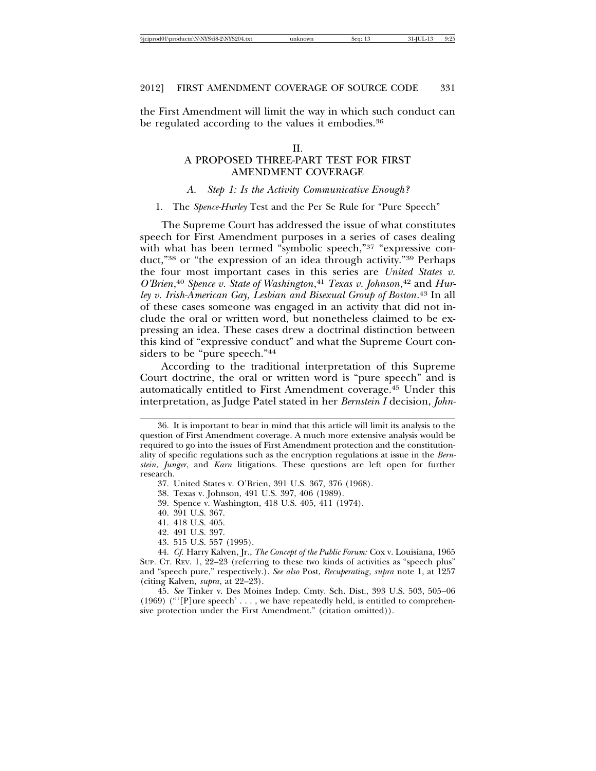| \\iciprod01\productn\N\NYS\68-2\NYS204.txt | 0.95     |
|--------------------------------------------|----------|
| Sea:                                       | 31-IUL-1 |
| unknown                                    |          |

the First Amendment will limit the way in which such conduct can be regulated according to the values it embodies.<sup>36</sup>

#### II.

# A PROPOSED THREE-PART TEST FOR FIRST AMENDMENT COVERAGE

#### *A. Step 1: Is the Activity Communicative Enough?*

#### 1. The *Spence-Hurley* Test and the Per Se Rule for "Pure Speech"

The Supreme Court has addressed the issue of what constitutes speech for First Amendment purposes in a series of cases dealing with what has been termed "symbolic speech,"<sup>37</sup> "expressive conduct,"38 or "the expression of an idea through activity."39 Perhaps the four most important cases in this series are *United States v. O'Brien*, <sup>40</sup> *Spence v. State of Washington*, <sup>41</sup> *Texas v. Johnson*, 42 and *Hurley v. Irish-American Gay, Lesbian and Bisexual Group of Boston*. 43 In all of these cases someone was engaged in an activity that did not include the oral or written word, but nonetheless claimed to be expressing an idea. These cases drew a doctrinal distinction between this kind of "expressive conduct" and what the Supreme Court considers to be "pure speech."44

According to the traditional interpretation of this Supreme Court doctrine, the oral or written word is "pure speech" and is automatically entitled to First Amendment coverage.45 Under this interpretation, as Judge Patel stated in her *Bernstein I* decision, *John-*

- 41. 418 U.S. 405.
- 42. 491 U.S. 397.
- 43. 515 U.S. 557 (1995).

45. *See* Tinker v. Des Moines Indep. Cmty. Sch. Dist., 393 U.S. 503, 505–06  $(1969)$  (" $[P]$ ure speech'..., we have repeatedly held, is entitled to comprehensive protection under the First Amendment." (citation omitted)).

<sup>36.</sup> It is important to bear in mind that this article will limit its analysis to the question of First Amendment coverage. A much more extensive analysis would be required to go into the issues of First Amendment protection and the constitutionality of specific regulations such as the encryption regulations at issue in the *Bernstein*, *Junger*, and *Karn* litigations. These questions are left open for further research.

<sup>37.</sup> United States v. O'Brien, 391 U.S. 367, 376 (1968).

<sup>38.</sup> Texas v. Johnson, 491 U.S. 397, 406 (1989).

<sup>39.</sup> Spence v. Washington, 418 U.S. 405, 411 (1974).

<sup>40. 391</sup> U.S. 367.

<sup>44.</sup> *Cf.* Harry Kalven, Jr., *The Concept of the Public Forum:* Cox v. Louisiana, 1965 SUP. CT. REV. 1, 22–23 (referring to these two kinds of activities as "speech plus" and "speech pure," respectively.). *See also* Post, *Recuperating*, *supra* note 1, at 1257 (citing Kalven, *supra*, at 22–23).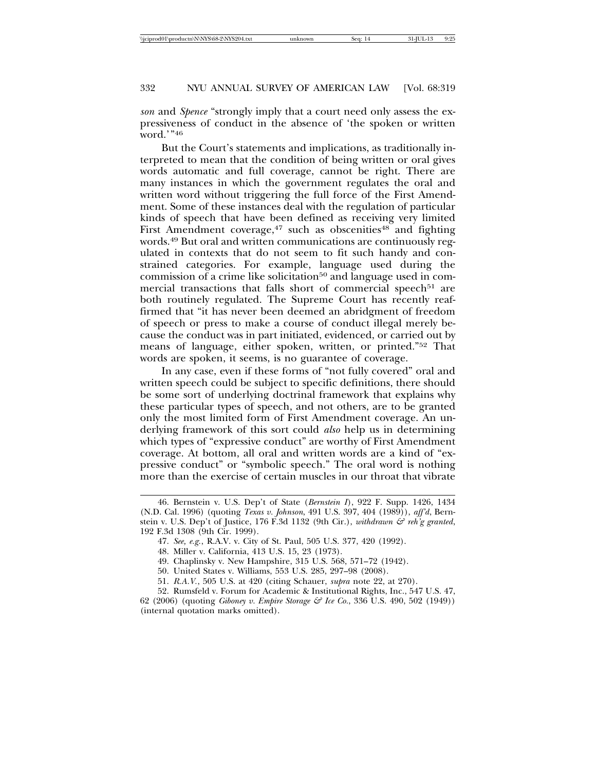*son* and *Spence* "strongly imply that a court need only assess the expressiveness of conduct in the absence of 'the spoken or written word.'"46

But the Court's statements and implications, as traditionally interpreted to mean that the condition of being written or oral gives words automatic and full coverage, cannot be right. There are many instances in which the government regulates the oral and written word without triggering the full force of the First Amendment. Some of these instances deal with the regulation of particular kinds of speech that have been defined as receiving very limited First Amendment coverage, $47$  such as obscenities $48$  and fighting words.49 But oral and written communications are continuously regulated in contexts that do not seem to fit such handy and constrained categories. For example, language used during the commission of a crime like solicitation<sup>50</sup> and language used in commercial transactions that falls short of commercial speech<sup>51</sup> are both routinely regulated. The Supreme Court has recently reaffirmed that "it has never been deemed an abridgment of freedom of speech or press to make a course of conduct illegal merely because the conduct was in part initiated, evidenced, or carried out by means of language, either spoken, written, or printed."52 That words are spoken, it seems, is no guarantee of coverage.

In any case, even if these forms of "not fully covered" oral and written speech could be subject to specific definitions, there should be some sort of underlying doctrinal framework that explains why these particular types of speech, and not others, are to be granted only the most limited form of First Amendment coverage. An underlying framework of this sort could *also* help us in determining which types of "expressive conduct" are worthy of First Amendment coverage. At bottom, all oral and written words are a kind of "expressive conduct" or "symbolic speech." The oral word is nothing more than the exercise of certain muscles in our throat that vibrate

<sup>46.</sup> Bernstein v. U.S. Dep't of State (*Bernstein I*), 922 F. Supp. 1426, 1434 (N.D. Cal. 1996) (quoting *Texas v. Johnson*, 491 U.S. 397, 404 (1989)), *aff'd*, Bernstein v. U.S. Dep't of Justice, 176 F.3d 1132 (9th Cir.), *withdrawn & reh'g granted*, 192 F.3d 1308 (9th Cir. 1999).

<sup>47.</sup> *See, e.g.*, R.A.V. v. City of St. Paul, 505 U.S. 377, 420 (1992).

<sup>48.</sup> Miller v. California, 413 U.S. 15, 23 (1973).

<sup>49.</sup> Chaplinsky v. New Hampshire, 315 U.S. 568, 571–72 (1942).

<sup>50.</sup> United States v. Williams, 553 U.S. 285, 297–98 (2008).

<sup>51.</sup> *R.A.V.*, 505 U.S. at 420 (citing Schauer, *supra* note 22, at 270).

<sup>52.</sup> Rumsfeld v. Forum for Academic & Institutional Rights, Inc., 547 U.S. 47,

<sup>62 (2006) (</sup>quoting *Giboney v. Empire Storage & Ice Co.*, 336 U.S. 490, 502 (1949)) (internal quotation marks omitted).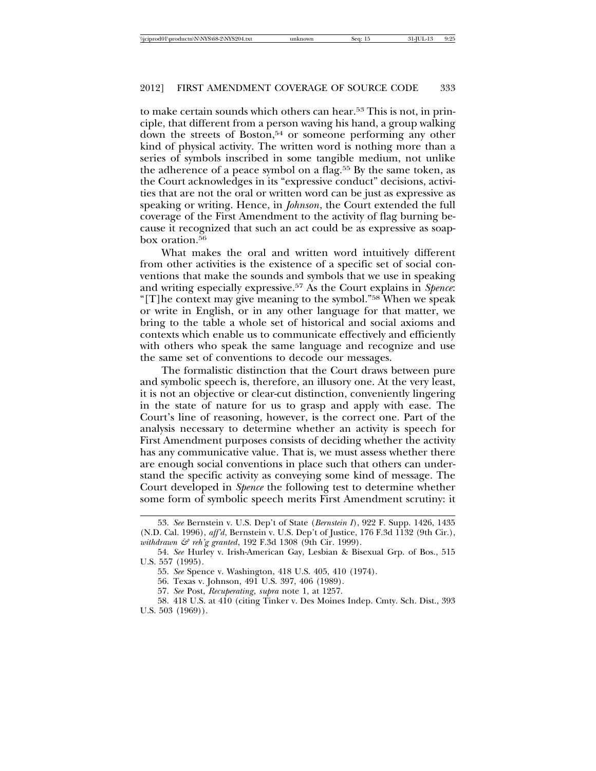to make certain sounds which others can hear.<sup>53</sup> This is not, in principle, that different from a person waving his hand, a group walking down the streets of Boston,<sup>54</sup> or someone performing any other kind of physical activity. The written word is nothing more than a series of symbols inscribed in some tangible medium, not unlike the adherence of a peace symbol on a flag.<sup>55</sup> By the same token, as the Court acknowledges in its "expressive conduct" decisions, activities that are not the oral or written word can be just as expressive as speaking or writing. Hence, in *Johnson*, the Court extended the full coverage of the First Amendment to the activity of flag burning because it recognized that such an act could be as expressive as soapbox oration.<sup>56</sup>

What makes the oral and written word intuitively different from other activities is the existence of a specific set of social conventions that make the sounds and symbols that we use in speaking and writing especially expressive.57 As the Court explains in *Spence*: "[T]he context may give meaning to the symbol."58 When we speak or write in English, or in any other language for that matter, we bring to the table a whole set of historical and social axioms and contexts which enable us to communicate effectively and efficiently with others who speak the same language and recognize and use the same set of conventions to decode our messages.

The formalistic distinction that the Court draws between pure and symbolic speech is, therefore, an illusory one. At the very least, it is not an objective or clear-cut distinction, conveniently lingering in the state of nature for us to grasp and apply with ease. The Court's line of reasoning, however, is the correct one. Part of the analysis necessary to determine whether an activity is speech for First Amendment purposes consists of deciding whether the activity has any communicative value. That is, we must assess whether there are enough social conventions in place such that others can understand the specific activity as conveying some kind of message. The Court developed in *Spence* the following test to determine whether some form of symbolic speech merits First Amendment scrutiny: it

<sup>53.</sup> *See* Bernstein v. U.S. Dep't of State (*Bernstein I*), 922 F. Supp. 1426, 1435 (N.D. Cal. 1996), *aff'd*, Bernstein v. U.S. Dep't of Justice, 176 F.3d 1132 (9th Cir.), *withdrawn & reh'g granted*, 192 F.3d 1308 (9th Cir. 1999).

<sup>54.</sup> *See* Hurley v. Irish-American Gay, Lesbian & Bisexual Grp. of Bos., 515 U.S. 557 (1995).

<sup>55.</sup> *See* Spence v. Washington, 418 U.S. 405, 410 (1974).

<sup>56.</sup> Texas v. Johnson, 491 U.S. 397, 406 (1989).

<sup>57.</sup> *See* Post, *Recuperating*, *supra* note 1, at 1257.

<sup>58. 418</sup> U.S. at 410 (citing Tinker v. Des Moines Indep. Cmty. Sch. Dist., 393 U.S. 503 (1969)).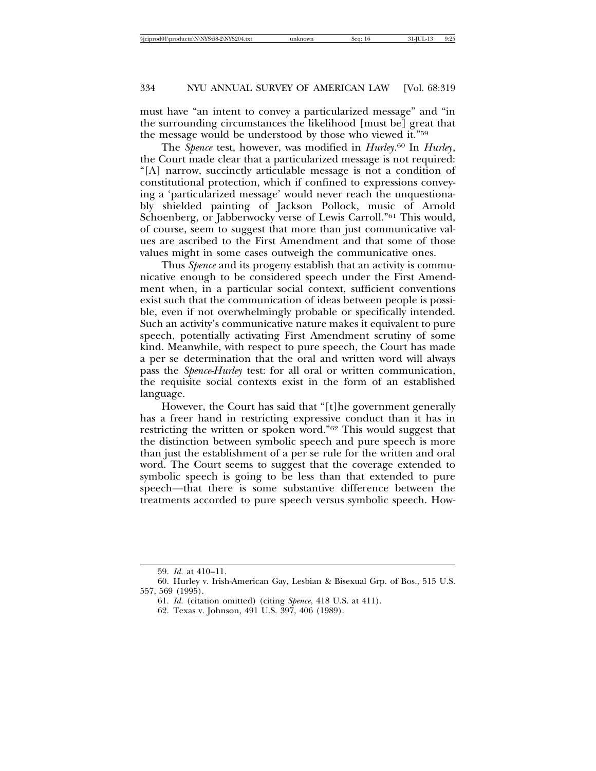must have "an intent to convey a particularized message" and "in the surrounding circumstances the likelihood [must be] great that the message would be understood by those who viewed it."59

The *Spence* test, however, was modified in *Hurley*. 60 In *Hurley*, the Court made clear that a particularized message is not required: "[A] narrow, succinctly articulable message is not a condition of constitutional protection, which if confined to expressions conveying a 'particularized message' would never reach the unquestionably shielded painting of Jackson Pollock, music of Arnold Schoenberg, or Jabberwocky verse of Lewis Carroll."61 This would, of course, seem to suggest that more than just communicative values are ascribed to the First Amendment and that some of those values might in some cases outweigh the communicative ones.

Thus *Spence* and its progeny establish that an activity is communicative enough to be considered speech under the First Amendment when, in a particular social context, sufficient conventions exist such that the communication of ideas between people is possible, even if not overwhelmingly probable or specifically intended. Such an activity's communicative nature makes it equivalent to pure speech, potentially activating First Amendment scrutiny of some kind. Meanwhile, with respect to pure speech, the Court has made a per se determination that the oral and written word will always pass the *Spence-Hurley* test: for all oral or written communication, the requisite social contexts exist in the form of an established language.

However, the Court has said that "[t]he government generally has a freer hand in restricting expressive conduct than it has in restricting the written or spoken word."62 This would suggest that the distinction between symbolic speech and pure speech is more than just the establishment of a per se rule for the written and oral word. The Court seems to suggest that the coverage extended to symbolic speech is going to be less than that extended to pure speech—that there is some substantive difference between the treatments accorded to pure speech versus symbolic speech. How-

<sup>59.</sup> *Id.* at 410–11.

<sup>60.</sup> Hurley v. Irish-American Gay, Lesbian & Bisexual Grp. of Bos., 515 U.S. 557, 569 (1995).

<sup>61.</sup> *Id.* (citation omitted) (citing *Spence*, 418 U.S. at 411).

<sup>62.</sup> Texas v. Johnson, 491 U.S. 397, 406 (1989).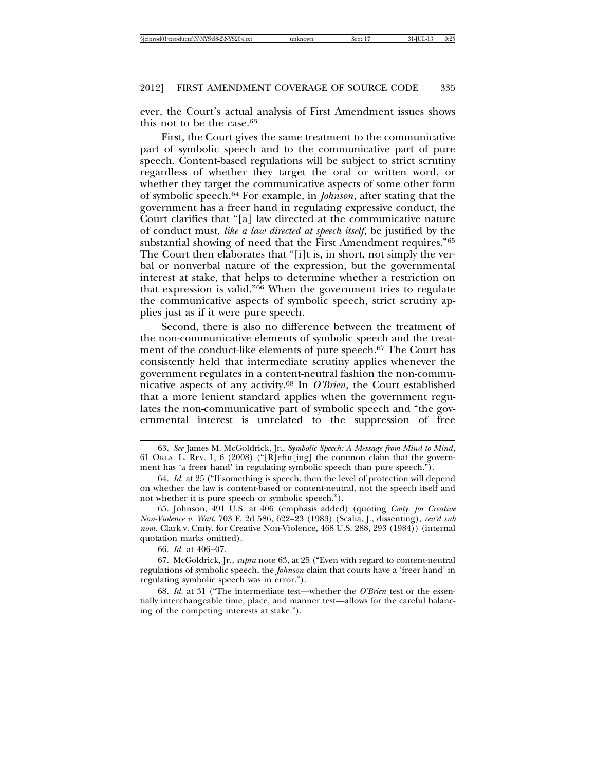ever, the Court's actual analysis of First Amendment issues shows this not to be the case.63

First, the Court gives the same treatment to the communicative part of symbolic speech and to the communicative part of pure speech. Content-based regulations will be subject to strict scrutiny regardless of whether they target the oral or written word, or whether they target the communicative aspects of some other form of symbolic speech.64 For example, in *Johnson*, after stating that the government has a freer hand in regulating expressive conduct, the Court clarifies that "[a] law directed at the communicative nature of conduct must, *like a law directed at speech itself*, be justified by the substantial showing of need that the First Amendment requires."65 The Court then elaborates that "[i]t is, in short, not simply the verbal or nonverbal nature of the expression, but the governmental interest at stake, that helps to determine whether a restriction on that expression is valid."66 When the government tries to regulate the communicative aspects of symbolic speech, strict scrutiny applies just as if it were pure speech.

Second, there is also no difference between the treatment of the non-communicative elements of symbolic speech and the treatment of the conduct-like elements of pure speech.<sup>67</sup> The Court has consistently held that intermediate scrutiny applies whenever the government regulates in a content-neutral fashion the non-communicative aspects of any activity.68 In *O'Brien*, the Court established that a more lenient standard applies when the government regulates the non-communicative part of symbolic speech and "the governmental interest is unrelated to the suppression of free

<sup>63.</sup> *See* James M. McGoldrick, Jr., *Symbolic Speech: A Message from Mind to Mind*, 61 OKLA. L. REV. 1, 6 (2008) ("[R]efut[ing] the common claim that the government has 'a freer hand' in regulating symbolic speech than pure speech.").

<sup>64.</sup> *Id.* at 25 ("If something is speech, then the level of protection will depend on whether the law is content-based or content-neutral, not the speech itself and not whether it is pure speech or symbolic speech.").

<sup>65.</sup> Johnson, 491 U.S. at 406 (emphasis added) (quoting *Cmty. for Creative Non-Violence v. Watt*, 703 F. 2d 586, 622–23 (1983) (Scalia, J., dissenting), *rev'd sub nom.* Clark v. Cmty. for Creative Non-Violence, 468 U.S. 288, 293 (1984)) (internal quotation marks omitted).

<sup>66.</sup> *Id.* at 406–07.

<sup>67.</sup> McGoldrick, Jr., *supra* note 63, at 25 ("Even with regard to content-neutral regulations of symbolic speech, the *Johnson* claim that courts have a 'freer hand' in regulating symbolic speech was in error.").

<sup>68.</sup> *Id.* at 31 ("The intermediate test—whether the *O'Brien* test or the essentially interchangeable time, place, and manner test—allows for the careful balancing of the competing interests at stake.").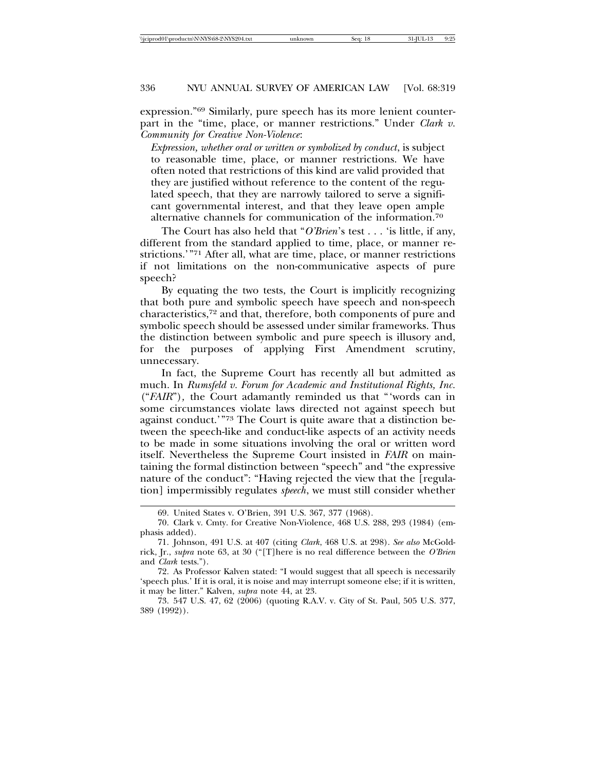expression."69 Similarly, pure speech has its more lenient counterpart in the "time, place, or manner restrictions." Under *Clark v. Community for Creative Non-Violence*:

*Expression, whether oral or written or symbolized by conduct*, is subject to reasonable time, place, or manner restrictions. We have often noted that restrictions of this kind are valid provided that they are justified without reference to the content of the regulated speech, that they are narrowly tailored to serve a significant governmental interest, and that they leave open ample alternative channels for communication of the information.70

The Court has also held that "*O'Brien*'s test . . . 'is little, if any, different from the standard applied to time, place, or manner restrictions.'"71 After all, what are time, place, or manner restrictions if not limitations on the non-communicative aspects of pure speech?

By equating the two tests, the Court is implicitly recognizing that both pure and symbolic speech have speech and non-speech characteristics,72 and that, therefore, both components of pure and symbolic speech should be assessed under similar frameworks. Thus the distinction between symbolic and pure speech is illusory and, for the purposes of applying First Amendment scrutiny, unnecessary.

In fact, the Supreme Court has recently all but admitted as much. In *Rumsfeld v. Forum for Academic and Institutional Rights, Inc.* ("*FAIR*")*,* the Court adamantly reminded us that "'words can in some circumstances violate laws directed not against speech but against conduct.'"73 The Court is quite aware that a distinction between the speech-like and conduct-like aspects of an activity needs to be made in some situations involving the oral or written word itself. Nevertheless the Supreme Court insisted in *FAIR* on maintaining the formal distinction between "speech" and "the expressive nature of the conduct": "Having rejected the view that the [regulation] impermissibly regulates *speech*, we must still consider whether

<sup>69.</sup> United States v. O'Brien, 391 U.S. 367, 377 (1968).

<sup>70.</sup> Clark v. Cmty. for Creative Non-Violence, 468 U.S. 288, 293 (1984) (emphasis added).

<sup>71.</sup> Johnson, 491 U.S. at 407 (citing *Clark*, 468 U.S. at 298). *See also* McGoldrick, Jr., *supra* note 63, at 30 ("[T]here is no real difference between the *O'Brien* and *Clark* tests.").

<sup>72.</sup> As Professor Kalven stated: "I would suggest that all speech is necessarily 'speech plus.' If it is oral, it is noise and may interrupt someone else; if it is written, it may be litter." Kalven, *supra* note 44, at 23.

<sup>73. 547</sup> U.S. 47, 62 (2006) (quoting R.A.V. v. City of St. Paul, 505 U.S. 377, 389 (1992)).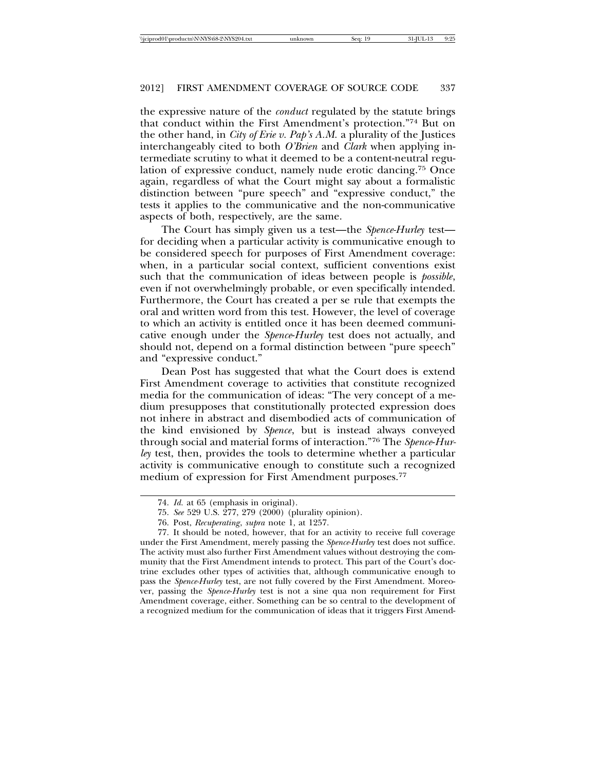the expressive nature of the *conduct* regulated by the statute brings that conduct within the First Amendment's protection."74 But on the other hand, in *City of Erie v. Pap's A.M.* a plurality of the Justices interchangeably cited to both *O'Brien* and *Clark* when applying intermediate scrutiny to what it deemed to be a content-neutral regulation of expressive conduct, namely nude erotic dancing.75 Once again, regardless of what the Court might say about a formalistic distinction between "pure speech" and "expressive conduct," the tests it applies to the communicative and the non-communicative aspects of both, respectively, are the same.

The Court has simply given us a test—the *Spence-Hurley* test for deciding when a particular activity is communicative enough to be considered speech for purposes of First Amendment coverage: when, in a particular social context, sufficient conventions exist such that the communication of ideas between people is *possible*, even if not overwhelmingly probable, or even specifically intended. Furthermore, the Court has created a per se rule that exempts the oral and written word from this test. However, the level of coverage to which an activity is entitled once it has been deemed communicative enough under the *Spence*-*Hurley* test does not actually, and should not, depend on a formal distinction between "pure speech" and "expressive conduct."

Dean Post has suggested that what the Court does is extend First Amendment coverage to activities that constitute recognized media for the communication of ideas: "The very concept of a medium presupposes that constitutionally protected expression does not inhere in abstract and disembodied acts of communication of the kind envisioned by *Spence*, but is instead always conveyed through social and material forms of interaction."76 The *Spence*-*Hurley* test, then, provides the tools to determine whether a particular activity is communicative enough to constitute such a recognized medium of expression for First Amendment purposes.<sup>77</sup>

<sup>74.</sup> *Id.* at 65 (emphasis in original).

<sup>75.</sup> *See* 529 U.S. 277, 279 (2000) (plurality opinion).

<sup>76.</sup> Post, *Recuperating*, *supra* note 1, at 1257.

<sup>77.</sup> It should be noted, however, that for an activity to receive full coverage under the First Amendment, merely passing the *Spence-Hurley* test does not suffice. The activity must also further First Amendment values without destroying the community that the First Amendment intends to protect. This part of the Court's doctrine excludes other types of activities that, although communicative enough to pass the *Spence-Hurley* test, are not fully covered by the First Amendment. Moreover, passing the *Spence*-*Hurley* test is not a sine qua non requirement for First Amendment coverage, either. Something can be so central to the development of a recognized medium for the communication of ideas that it triggers First Amend-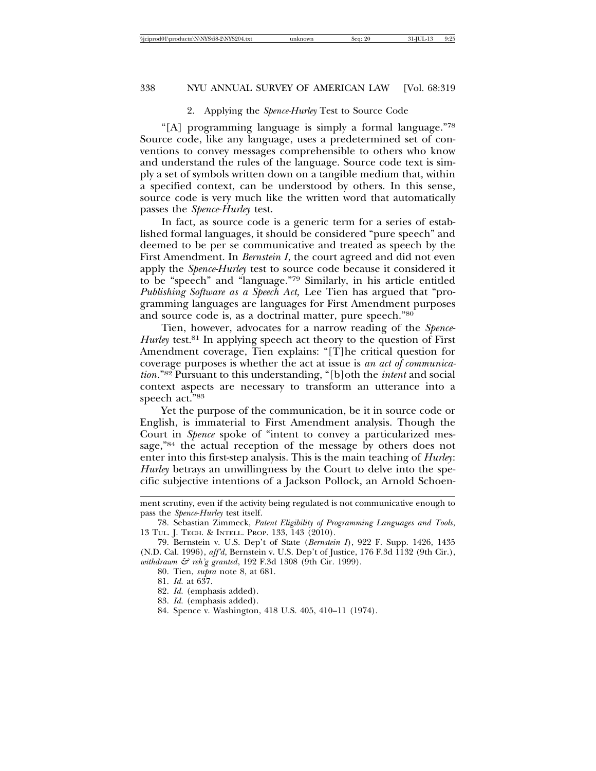#### 2. Applying the *Spence-Hurley* Test to Source Code

"[A] programming language is simply a formal language."78 Source code, like any language, uses a predetermined set of conventions to convey messages comprehensible to others who know and understand the rules of the language. Source code text is simply a set of symbols written down on a tangible medium that, within a specified context, can be understood by others. In this sense, source code is very much like the written word that automatically passes the *Spence*-*Hurley* test.

In fact, as source code is a generic term for a series of established formal languages, it should be considered "pure speech" and deemed to be per se communicative and treated as speech by the First Amendment. In *Bernstein I*, the court agreed and did not even apply the *Spence-Hurley* test to source code because it considered it to be "speech" and "language."79 Similarly, in his article entitled *Publishing Software as a Speech Act,* Lee Tien has argued that "programming languages are languages for First Amendment purposes and source code is, as a doctrinal matter, pure speech."80

Tien, however, advocates for a narrow reading of the *Spence*-*Hurley* test.<sup>81</sup> In applying speech act theory to the question of First Amendment coverage, Tien explains: "[T]he critical question for coverage purposes is whether the act at issue is *an act of communication*."82 Pursuant to this understanding, "[b]oth the *intent* and social context aspects are necessary to transform an utterance into a speech act."83

Yet the purpose of the communication, be it in source code or English, is immaterial to First Amendment analysis. Though the Court in *Spence* spoke of "intent to convey a particularized message,"84 the actual reception of the message by others does not enter into this first-step analysis. This is the main teaching of *Hurley*: *Hurley* betrays an unwillingness by the Court to delve into the specific subjective intentions of a Jackson Pollock, an Arnold Schoen-

- 81. *Id.* at 637.
- 82. *Id.* (emphasis added).
- 83. *Id.* (emphasis added).
- 84. Spence v. Washington, 418 U.S. 405, 410–11 (1974).

ment scrutiny, even if the activity being regulated is not communicative enough to pass the *Spence*-*Hurley* test itself.

<sup>78.</sup> Sebastian Zimmeck, *Patent Eligibility of Programming Languages and Tools*, 13 TUL. J. TECH. & INTELL. PROP. 133, 143 (2010).

<sup>79.</sup> Bernstein v. U.S. Dep't of State (*Bernstein I*), 922 F. Supp. 1426, 1435 (N.D. Cal. 1996), *aff'd*, Bernstein v. U.S. Dep't of Justice, 176 F.3d 1132 (9th Cir.), *withdrawn & reh'g granted*, 192 F.3d 1308 (9th Cir. 1999).

<sup>80.</sup> Tien, *supra* note 8, at 681.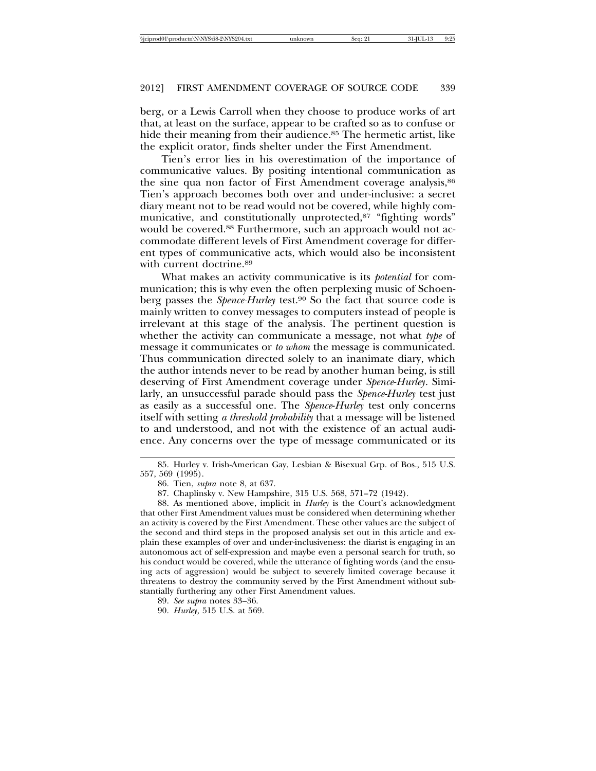berg, or a Lewis Carroll when they choose to produce works of art that, at least on the surface, appear to be crafted so as to confuse or hide their meaning from their audience.<sup>85</sup> The hermetic artist, like the explicit orator, finds shelter under the First Amendment.

Tien's error lies in his overestimation of the importance of communicative values. By positing intentional communication as the sine qua non factor of First Amendment coverage analysis,<sup>86</sup> Tien's approach becomes both over and under-inclusive: a secret diary meant not to be read would not be covered, while highly communicative, and constitutionally unprotected,<sup>87</sup> "fighting words" would be covered.<sup>88</sup> Furthermore, such an approach would not accommodate different levels of First Amendment coverage for different types of communicative acts, which would also be inconsistent with current doctrine.<sup>89</sup>

What makes an activity communicative is its *potential* for communication; this is why even the often perplexing music of Schoenberg passes the *Spence-Hurley* test.<sup>90</sup> So the fact that source code is mainly written to convey messages to computers instead of people is irrelevant at this stage of the analysis. The pertinent question is whether the activity can communicate a message, not what *type* of message it communicates or *to whom* the message is communicated. Thus communication directed solely to an inanimate diary, which the author intends never to be read by another human being, is still deserving of First Amendment coverage under *Spence*-*Hurley*. Similarly, an unsuccessful parade should pass the *Spence-Hurley* test just as easily as a successful one. The *Spence*-*Hurley* test only concerns itself with setting *a threshold probability* that a message will be listened to and understood, and not with the existence of an actual audience. Any concerns over the type of message communicated or its

<sup>85.</sup> Hurley v. Irish-American Gay, Lesbian & Bisexual Grp. of Bos., 515 U.S. 557, 569 (1995).

<sup>86.</sup> Tien, *supra* note 8, at 637.

<sup>87.</sup> Chaplinsky v. New Hampshire, 315 U.S. 568, 571–72 (1942).

<sup>88.</sup> As mentioned above, implicit in *Hurley* is the Court's acknowledgment that other First Amendment values must be considered when determining whether an activity is covered by the First Amendment. These other values are the subject of the second and third steps in the proposed analysis set out in this article and explain these examples of over and under-inclusiveness: the diarist is engaging in an autonomous act of self-expression and maybe even a personal search for truth, so his conduct would be covered, while the utterance of fighting words (and the ensuing acts of aggression) would be subject to severely limited coverage because it threatens to destroy the community served by the First Amendment without substantially furthering any other First Amendment values.

<sup>89.</sup> *See supra* notes 33–36.

<sup>90.</sup> *Hurley*, 515 U.S. at 569.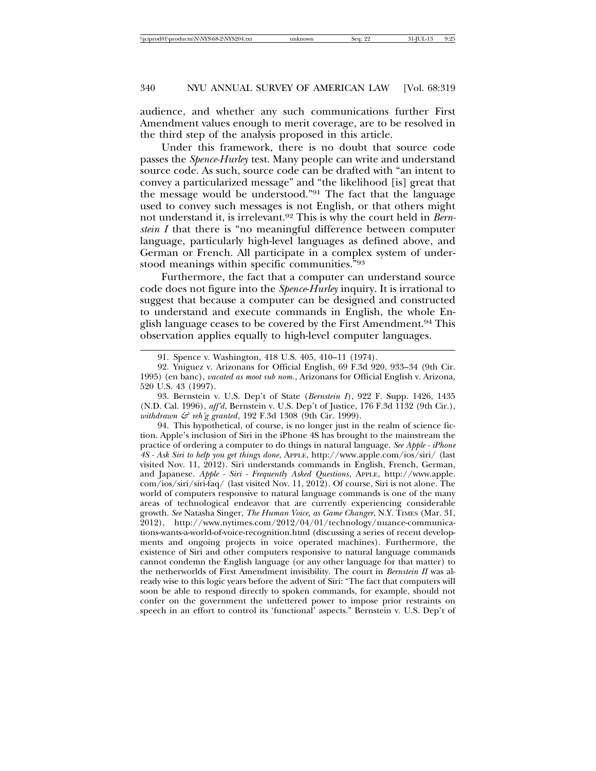audience, and whether any such communications further First Amendment values enough to merit coverage, are to be resolved in the third step of the analysis proposed in this article.

Under this framework, there is no doubt that source code passes the *Spence-Hurley* test. Many people can write and understand source code. As such, source code can be drafted with "an intent to convey a particularized message" and "the likelihood [is] great that the message would be understood."91 The fact that the language used to convey such messages is not English, or that others might not understand it, is irrelevant.92 This is why the court held in *Bernstein I* that there is "no meaningful difference between computer language, particularly high-level languages as defined above, and German or French. All participate in a complex system of understood meanings within specific communities."93

Furthermore, the fact that a computer can understand source code does not figure into the *Spence*-*Hurley* inquiry. It is irrational to suggest that because a computer can be designed and constructed to understand and execute commands in English, the whole English language ceases to be covered by the First Amendment.94 This observation applies equally to high-level computer languages.

<sup>91.</sup> Spence v. Washington, 418 U.S. 405, 410–11 (1974).

<sup>92.</sup> Yniguez v. Arizonans for Official English, 69 F.3d 920, 933–34 (9th Cir. 1995) (en banc), *vacated as moot sub nom.*, Arizonans for Official English v. Arizona, 520 U.S. 43 (1997).

<sup>93.</sup> Bernstein v. U.S. Dep't of State (*Bernstein I*), 922 F. Supp. 1426, 1435 (N.D. Cal. 1996), *aff'd*, Bernstein v. U.S. Dep't of Justice, 176 F.3d 1132 (9th Cir.), *withdrawn & reh'g granted*, 192 F.3d 1308 (9th Cir. 1999).

<sup>94.</sup> This hypothetical, of course, is no longer just in the realm of science fiction. Apple's inclusion of Siri in the iPhone 4S has brought to the mainstream the practice of ordering a computer to do things in natural language. *See Apple - iPhone 4S - Ask Siri to help you get things done*, APPLE, http://www.apple.com/ios/siri/ (last visited Nov. 11, 2012). Siri understands commands in English, French, German, and Japanese. *Apple - Siri - Frequently Asked Questions*, APPLE, http://www.apple. com/ios/siri/siri-faq/ (last visited Nov. 11, 2012). Of course, Siri is not alone. The world of computers responsive to natural language commands is one of the many areas of technological endeavor that are currently experiencing considerable growth. *See* Natasha Singer, *The Human Voice, as Game Changer*, N.Y. TIMES (Mar. 31, 2012), http://www.nytimes.com/2012/04/01/technology/nuance-communications-wants-a-world-of-voice-recognition.html (discussing a series of recent developments and ongoing projects in voice operated machines). Furthermore, the existence of Siri and other computers responsive to natural language commands cannot condemn the English language (or any other language for that matter) to the netherworlds of First Amendment invisibility. The court in *Bernstein II* was already wise to this logic years before the advent of Siri: "The fact that computers will soon be able to respond directly to spoken commands, for example, should not confer on the government the unfettered power to impose prior restraints on speech in an effort to control its 'functional' aspects." Bernstein v. U.S. Dep't of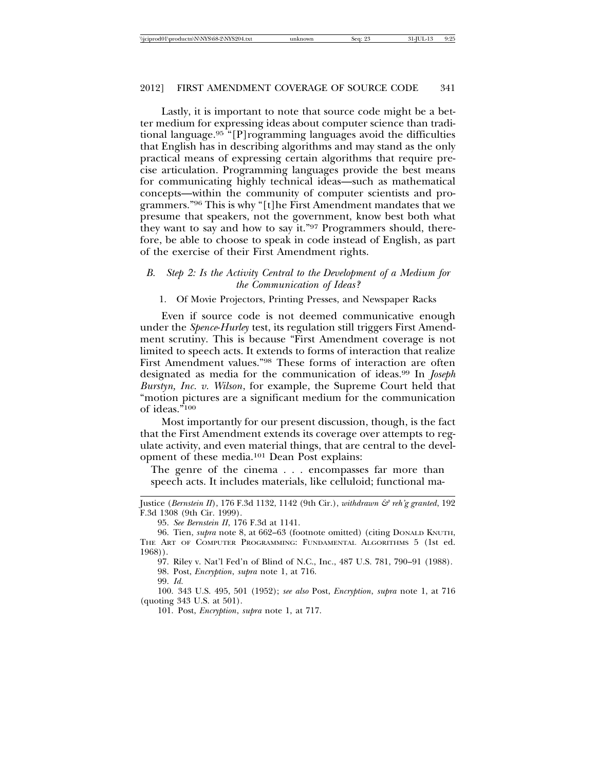Lastly, it is important to note that source code might be a better medium for expressing ideas about computer science than traditional language.95 "[P]rogramming languages avoid the difficulties that English has in describing algorithms and may stand as the only practical means of expressing certain algorithms that require precise articulation. Programming languages provide the best means for communicating highly technical ideas—such as mathematical concepts—within the community of computer scientists and programmers."96 This is why "[t]he First Amendment mandates that we presume that speakers, not the government, know best both what they want to say and how to say it."97 Programmers should, therefore, be able to choose to speak in code instead of English, as part of the exercise of their First Amendment rights.

## *B. Step 2: Is the Activity Central to the Development of a Medium for the Communication of Ideas?*

#### 1. Of Movie Projectors, Printing Presses, and Newspaper Racks

Even if source code is not deemed communicative enough under the *Spence*-*Hurley* test, its regulation still triggers First Amendment scrutiny. This is because "First Amendment coverage is not limited to speech acts. It extends to forms of interaction that realize First Amendment values."98 These forms of interaction are often designated as media for the communication of ideas.99 In *Joseph Burstyn, Inc. v. Wilson*, for example, the Supreme Court held that "motion pictures are a significant medium for the communication of ideas."100

Most importantly for our present discussion, though, is the fact that the First Amendment extends its coverage over attempts to regulate activity, and even material things, that are central to the development of these media.101 Dean Post explains:

The genre of the cinema . . . encompasses far more than speech acts. It includes materials, like celluloid; functional ma-

97. Riley v. Nat'l Fed'n of Blind of N.C., Inc., 487 U.S. 781, 790–91 (1988). 98. Post, *Encryption*, *supra* note 1, at 716.

99. *Id.*

100. 343 U.S. 495, 501 (1952); *see also* Post, *Encryption*, *supra* note 1, at 716 (quoting 343 U.S. at 501).

101. Post, *Encryption*, *supra* note 1, at 717.

Justice (*Bernstein II*), 176 F.3d 1132, 1142 (9th Cir.), *withdrawn & reh'g granted*, 192 F.3d 1308 (9th Cir. 1999).

<sup>95.</sup> *See Bernstein II*, 176 F.3d at 1141.

<sup>96.</sup> Tien, *supra* note 8, at 662–63 (footnote omitted) (citing DONALD KNUTH, THE ART OF COMPUTER PROGRAMMING: FUNDAMENTAL ALGORITHMS 5 (1st ed. 1968)).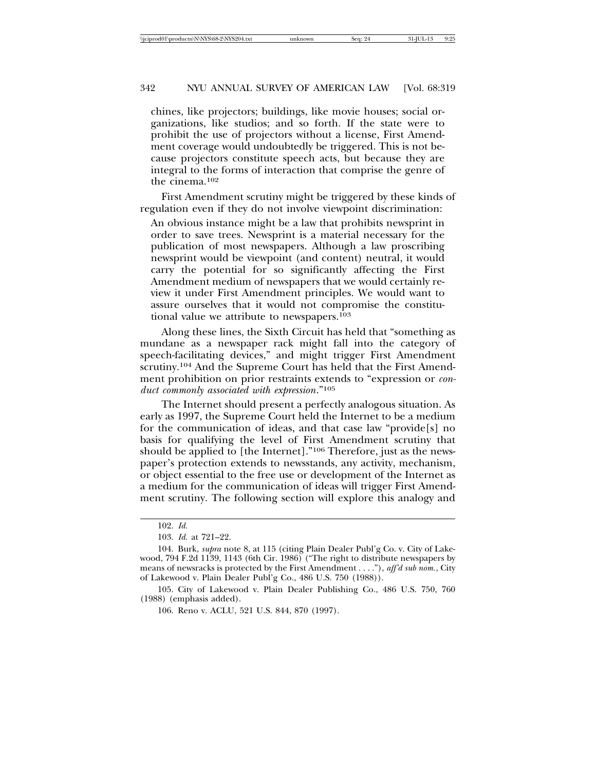chines, like projectors; buildings, like movie houses; social organizations, like studios; and so forth. If the state were to prohibit the use of projectors without a license, First Amendment coverage would undoubtedly be triggered. This is not because projectors constitute speech acts, but because they are integral to the forms of interaction that comprise the genre of the cinema.102

First Amendment scrutiny might be triggered by these kinds of regulation even if they do not involve viewpoint discrimination:

An obvious instance might be a law that prohibits newsprint in order to save trees. Newsprint is a material necessary for the publication of most newspapers. Although a law proscribing newsprint would be viewpoint (and content) neutral, it would carry the potential for so significantly affecting the First Amendment medium of newspapers that we would certainly review it under First Amendment principles. We would want to assure ourselves that it would not compromise the constitutional value we attribute to newspapers.103

Along these lines, the Sixth Circuit has held that "something as mundane as a newspaper rack might fall into the category of speech-facilitating devices," and might trigger First Amendment scrutiny.104 And the Supreme Court has held that the First Amendment prohibition on prior restraints extends to "expression or *conduct commonly associated with expression*."105

The Internet should present a perfectly analogous situation. As early as 1997, the Supreme Court held the Internet to be a medium for the communication of ideas, and that case law "provide[s] no basis for qualifying the level of First Amendment scrutiny that should be applied to [the Internet]."106 Therefore, just as the newspaper's protection extends to newsstands, any activity, mechanism, or object essential to the free use or development of the Internet as a medium for the communication of ideas will trigger First Amendment scrutiny. The following section will explore this analogy and

<sup>102.</sup> *Id.*

<sup>103.</sup> *Id.* at 721–22.

<sup>104.</sup> Burk, *supra* note 8, at 115 (citing Plain Dealer Publ'g Co. v. City of Lakewood, 794 F.2d 1139, 1143 (6th Cir. 1986) ("The right to distribute newspapers by means of newsracks is protected by the First Amendment . . . ."), *aff'd sub nom.*, City of Lakewood v. Plain Dealer Publ'g Co., 486 U.S. 750 (1988)).

<sup>105.</sup> City of Lakewood v. Plain Dealer Publishing Co., 486 U.S. 750, 760 (1988) (emphasis added).

<sup>106.</sup> Reno v. ACLU, 521 U.S. 844, 870 (1997).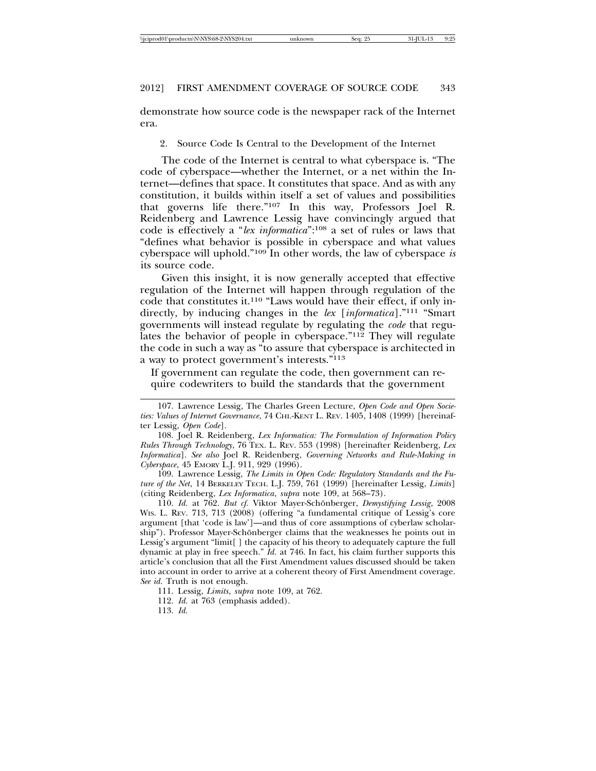demonstrate how source code is the newspaper rack of the Internet era.

2. Source Code Is Central to the Development of the Internet

The code of the Internet is central to what cyberspace is. "The code of cyberspace—whether the Internet, or a net within the Internet—defines that space. It constitutes that space. And as with any constitution, it builds within itself a set of values and possibilities that governs life there."107 In this way, Professors Joel R. Reidenberg and Lawrence Lessig have convincingly argued that code is effectively a "*lex informatica*":108 a set of rules or laws that "defines what behavior is possible in cyberspace and what values cyberspace will uphold."109 In other words, the law of cyberspace *is* its source code.

Given this insight, it is now generally accepted that effective regulation of the Internet will happen through regulation of the code that constitutes it.110 "Laws would have their effect, if only indirectly, by inducing changes in the *lex* [*informatica*]."111 "Smart governments will instead regulate by regulating the *code* that regulates the behavior of people in cyberspace."112 They will regulate the code in such a way as "to assure that cyberspace is architected in a way to protect government's interests."113

If government can regulate the code, then government can require codewriters to build the standards that the government

109. Lawrence Lessig, *The Limits in Open Code: Regulatory Standards and the Future of the Net*, 14 BERKELEY TECH. L.J. 759, 761 (1999) [hereinafter Lessig, *Limits*] (citing Reidenberg, *Lex Informatica*, *supra* note 109, at 568–73).

110. *Id.* at 762. *But cf.* Viktor Mayer-Schönberger, *Demystifying Lessig*, 2008 WIS. L. REV. 713, 713 (2008) (offering "a fundamental critique of Lessig's core argument [that 'code is law']—and thus of core assumptions of cyberlaw scholarship"). Professor Mayer-Schönberger claims that the weaknesses he points out in Lessig's argument "limit[ ] the capacity of his theory to adequately capture the full dynamic at play in free speech." *Id.* at 746. In fact, his claim further supports this article's conclusion that all the First Amendment values discussed should be taken into account in order to arrive at a coherent theory of First Amendment coverage. *See id.* Truth is not enough.

- 112. *Id.* at 763 (emphasis added).
- 113. *Id.*

<sup>107.</sup> Lawrence Lessig, The Charles Green Lecture, *Open Code and Open Societies: Values of Internet Governance*, 74 CHI.-KENT L. REV. 1405, 1408 (1999) [hereinafter Lessig, *Open Code*].

<sup>108.</sup> Joel R. Reidenberg, *Lex Informatica: The Formulation of Information Policy Rules Through Technology*, 76 TEX. L. REV. 553 (1998) [hereinafter Reidenberg, *Lex Informatica*]. *See also* Joel R. Reidenberg, *Governing Networks and Rule-Making in Cyberspace*, 45 EMORY L.J. 911, 929 (1996).

<sup>111.</sup> Lessig, *Limits*, *supra* note 109, at 762.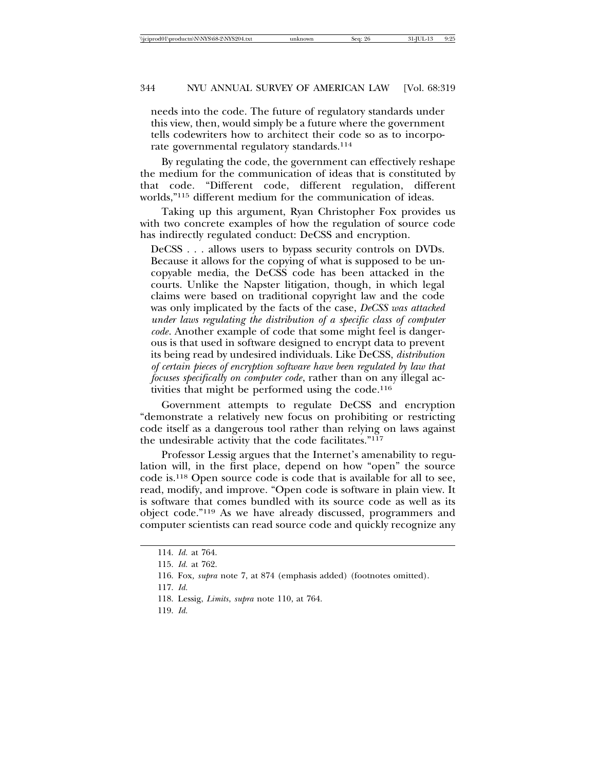needs into the code. The future of regulatory standards under this view, then, would simply be a future where the government tells codewriters how to architect their code so as to incorporate governmental regulatory standards.<sup>114</sup>

By regulating the code, the government can effectively reshape the medium for the communication of ideas that is constituted by that code. "Different code, different regulation, different worlds,"115 different medium for the communication of ideas.

Taking up this argument, Ryan Christopher Fox provides us with two concrete examples of how the regulation of source code has indirectly regulated conduct: DeCSS and encryption.

DeCSS . . . allows users to bypass security controls on DVDs. Because it allows for the copying of what is supposed to be uncopyable media, the DeCSS code has been attacked in the courts. Unlike the Napster litigation, though, in which legal claims were based on traditional copyright law and the code was only implicated by the facts of the case, *DeCSS was attacked under laws regulating the distribution of a specific class of computer code*. Another example of code that some might feel is dangerous is that used in software designed to encrypt data to prevent its being read by undesired individuals. Like DeCSS, *distribution of certain pieces of encryption software have been regulated by law that focuses specifically on computer code*, rather than on any illegal activities that might be performed using the code.<sup>116</sup>

Government attempts to regulate DeCSS and encryption "demonstrate a relatively new focus on prohibiting or restricting code itself as a dangerous tool rather than relying on laws against the undesirable activity that the code facilitates."117

Professor Lessig argues that the Internet's amenability to regulation will, in the first place, depend on how "open" the source code is.118 Open source code is code that is available for all to see, read, modify, and improve. "Open code is software in plain view. It is software that comes bundled with its source code as well as its object code."119 As we have already discussed, programmers and computer scientists can read source code and quickly recognize any

- 118. Lessig, *Limits*, *supra* note 110, at 764.
- 119. *Id.*

<sup>114.</sup> *Id.* at 764.

<sup>115.</sup> *Id.* at 762.

<sup>116.</sup> Fox*, supra* note 7, at 874 (emphasis added) (footnotes omitted).

<sup>117.</sup> *Id.*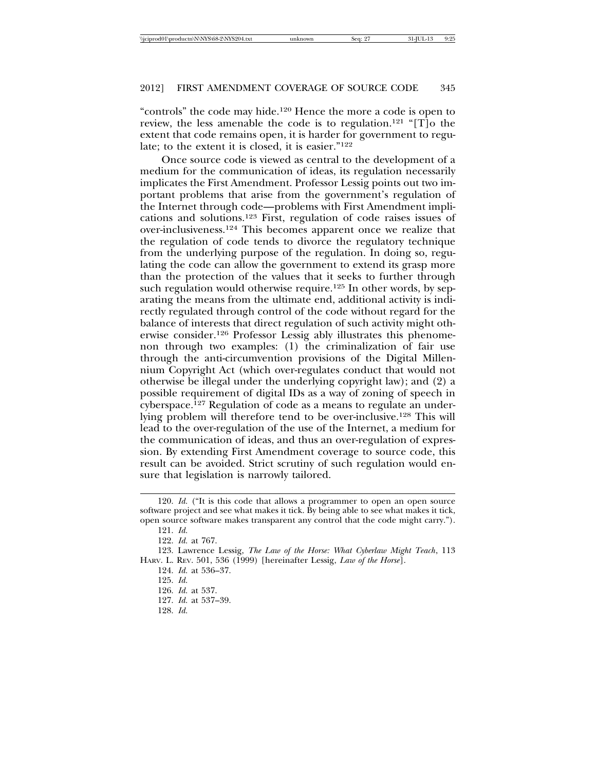"controls" the code may hide.120 Hence the more a code is open to review, the less amenable the code is to regulation.121 "[T]o the extent that code remains open, it is harder for government to regulate; to the extent it is closed, it is easier."122

Once source code is viewed as central to the development of a medium for the communication of ideas, its regulation necessarily implicates the First Amendment. Professor Lessig points out two important problems that arise from the government's regulation of the Internet through code—problems with First Amendment implications and solutions.123 First, regulation of code raises issues of over-inclusiveness.124 This becomes apparent once we realize that the regulation of code tends to divorce the regulatory technique from the underlying purpose of the regulation. In doing so, regulating the code can allow the government to extend its grasp more than the protection of the values that it seeks to further through such regulation would otherwise require.<sup>125</sup> In other words, by separating the means from the ultimate end, additional activity is indirectly regulated through control of the code without regard for the balance of interests that direct regulation of such activity might otherwise consider.126 Professor Lessig ably illustrates this phenomenon through two examples: (1) the criminalization of fair use through the anti-circumvention provisions of the Digital Millennium Copyright Act (which over-regulates conduct that would not otherwise be illegal under the underlying copyright law); and (2) a possible requirement of digital IDs as a way of zoning of speech in cyberspace.127 Regulation of code as a means to regulate an underlying problem will therefore tend to be over-inclusive.128 This will lead to the over-regulation of the use of the Internet, a medium for the communication of ideas, and thus an over-regulation of expression. By extending First Amendment coverage to source code, this result can be avoided. Strict scrutiny of such regulation would ensure that legislation is narrowly tailored.

128. *Id.*

<sup>120.</sup> *Id.* ("It is this code that allows a programmer to open an open source software project and see what makes it tick. By being able to see what makes it tick, open source software makes transparent any control that the code might carry.").

<sup>121.</sup> *Id.*

<sup>122.</sup> *Id.* at 767.

<sup>123.</sup> Lawrence Lessig, *The Law of the Horse: What Cyberlaw Might Teach*, 113 HARV. L. REV. 501, 536 (1999) [hereinafter Lessig, *Law of the Horse*].

<sup>124.</sup> *Id.* at 536–37.

<sup>125.</sup> *Id.*

<sup>126.</sup> *Id.* at 537.

<sup>127.</sup> *Id.* at 537–39.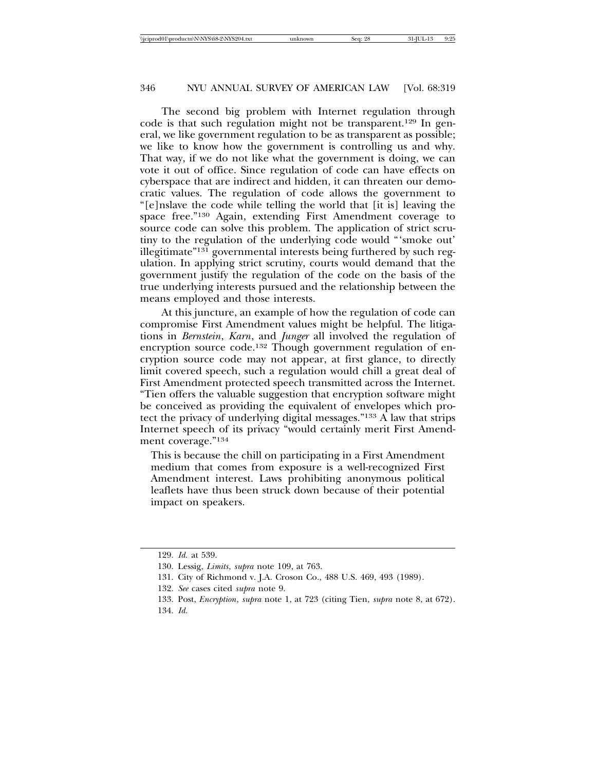The second big problem with Internet regulation through code is that such regulation might not be transparent.129 In general, we like government regulation to be as transparent as possible; we like to know how the government is controlling us and why. That way, if we do not like what the government is doing, we can vote it out of office. Since regulation of code can have effects on cyberspace that are indirect and hidden, it can threaten our democratic values. The regulation of code allows the government to "[e]nslave the code while telling the world that [it is] leaving the space free."130 Again, extending First Amendment coverage to source code can solve this problem. The application of strict scrutiny to the regulation of the underlying code would "'smoke out' illegitimate"131 governmental interests being furthered by such regulation. In applying strict scrutiny, courts would demand that the government justify the regulation of the code on the basis of the true underlying interests pursued and the relationship between the means employed and those interests.

At this juncture, an example of how the regulation of code can compromise First Amendment values might be helpful. The litigations in *Bernstein*, *Karn*, and *Junger* all involved the regulation of encryption source code.<sup>132</sup> Though government regulation of encryption source code may not appear, at first glance, to directly limit covered speech, such a regulation would chill a great deal of First Amendment protected speech transmitted across the Internet. "Tien offers the valuable suggestion that encryption software might be conceived as providing the equivalent of envelopes which protect the privacy of underlying digital messages."133 A law that strips Internet speech of its privacy "would certainly merit First Amendment coverage."134

This is because the chill on participating in a First Amendment medium that comes from exposure is a well-recognized First Amendment interest. Laws prohibiting anonymous political leaflets have thus been struck down because of their potential impact on speakers.

<sup>129.</sup> *Id.* at 539.

<sup>130.</sup> Lessig, *Limits*, *supra* note 109, at 763.

<sup>131.</sup> City of Richmond v. J.A. Croson Co., 488 U.S. 469, 493 (1989).

<sup>132.</sup> *See* cases cited *supra* note 9.

<sup>133.</sup> Post, *Encryption*, *supra* note 1, at 723 (citing Tien, *supra* note 8, at 672). 134. *Id.*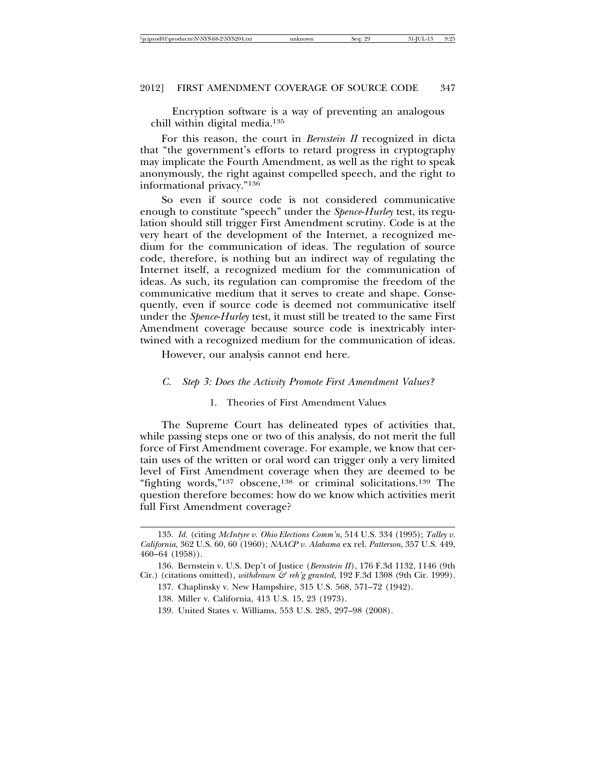Encryption software is a way of preventing an analogous chill within digital media.135

For this reason, the court in *Bernstein II* recognized in dicta that "the government's efforts to retard progress in cryptography may implicate the Fourth Amendment, as well as the right to speak anonymously, the right against compelled speech, and the right to informational privacy."136

So even if source code is not considered communicative enough to constitute "speech" under the *Spence*-*Hurley* test, its regulation should still trigger First Amendment scrutiny. Code is at the very heart of the development of the Internet, a recognized medium for the communication of ideas. The regulation of source code, therefore, is nothing but an indirect way of regulating the Internet itself, a recognized medium for the communication of ideas. As such, its regulation can compromise the freedom of the communicative medium that it serves to create and shape. Consequently, even if source code is deemed not communicative itself under the *Spence*-*Hurley* test, it must still be treated to the same First Amendment coverage because source code is inextricably intertwined with a recognized medium for the communication of ideas.

However, our analysis cannot end here.

#### *C. Step 3: Does the Activity Promote First Amendment Values?*

#### 1. Theories of First Amendment Values

The Supreme Court has delineated types of activities that, while passing steps one or two of this analysis, do not merit the full force of First Amendment coverage. For example, we know that certain uses of the written or oral word can trigger only a very limited level of First Amendment coverage when they are deemed to be "fighting words,"<sup>137</sup> obscene,<sup>138</sup> or criminal solicitations.<sup>139</sup> The question therefore becomes: how do we know which activities merit full First Amendment coverage?

<sup>135.</sup> *Id.* (citing *McIntyre v. Ohio Elections Comm'n*, 514 U.S. 334 (1995); *Talley v. California*, 362 U.S. 60, 60 (1960); *NAACP v. Alabama* ex rel. *Patterson*, 357 U.S. 449, 460–64 (1958)).

<sup>136.</sup> Bernstein v. U.S. Dep't of Justice (*Bernstein II*), 176 F.3d 1132, 1146 (9th Cir.) (citations omitted), *withdrawn & reh'g granted*, 192 F.3d 1308 (9th Cir. 1999).

<sup>137.</sup> Chaplinsky v. New Hampshire, 315 U.S. 568, 571–72 (1942).

<sup>138.</sup> Miller v. California, 413 U.S. 15, 23 (1973).

<sup>139.</sup> United States v. Williams, 553 U.S. 285, 297–98 (2008).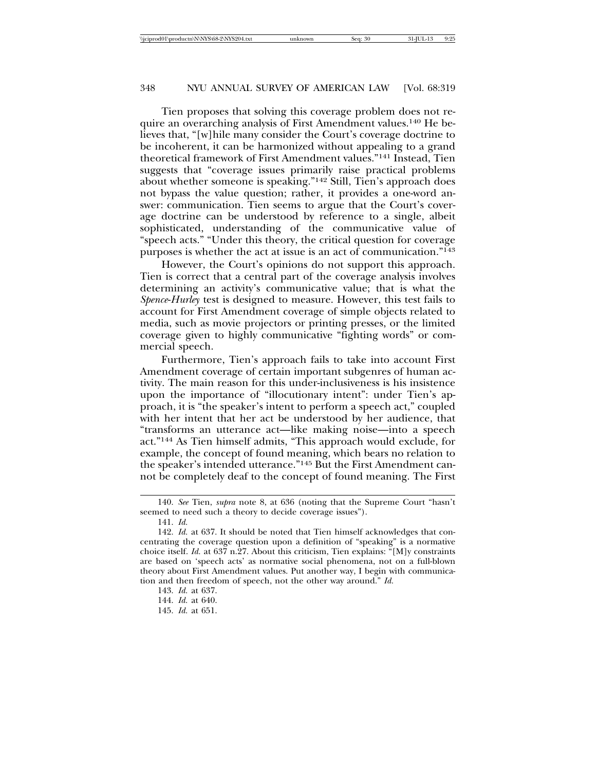Tien proposes that solving this coverage problem does not require an overarching analysis of First Amendment values.140 He believes that, "[w]hile many consider the Court's coverage doctrine to be incoherent, it can be harmonized without appealing to a grand theoretical framework of First Amendment values."141 Instead, Tien suggests that "coverage issues primarily raise practical problems about whether someone is speaking."142 Still, Tien's approach does not bypass the value question; rather, it provides a one-word answer: communication. Tien seems to argue that the Court's coverage doctrine can be understood by reference to a single, albeit sophisticated, understanding of the communicative value of "speech acts." "Under this theory, the critical question for coverage purposes is whether the act at issue is an act of communication."143

However, the Court's opinions do not support this approach. Tien is correct that a central part of the coverage analysis involves determining an activity's communicative value; that is what the *Spence*-*Hurley* test is designed to measure. However, this test fails to account for First Amendment coverage of simple objects related to media, such as movie projectors or printing presses, or the limited coverage given to highly communicative "fighting words" or commercial speech.

Furthermore, Tien's approach fails to take into account First Amendment coverage of certain important subgenres of human activity. The main reason for this under-inclusiveness is his insistence upon the importance of "illocutionary intent": under Tien's approach, it is "the speaker's intent to perform a speech act," coupled with her intent that her act be understood by her audience, that "transforms an utterance act—like making noise—into a speech act."144 As Tien himself admits, "This approach would exclude, for example, the concept of found meaning, which bears no relation to the speaker's intended utterance."145 But the First Amendment cannot be completely deaf to the concept of found meaning. The First

145. *Id.* at 651.

<sup>140.</sup> *See* Tien, *supra* note 8, at 636 (noting that the Supreme Court "hasn't seemed to need such a theory to decide coverage issues").

<sup>141.</sup> *Id.*

<sup>142.</sup> *Id.* at 637. It should be noted that Tien himself acknowledges that concentrating the coverage question upon a definition of "speaking" is a normative choice itself. *Id.* at 637 n.27. About this criticism, Tien explains: "[M]y constraints are based on 'speech acts' as normative social phenomena, not on a full-blown theory about First Amendment values. Put another way, I begin with communication and then freedom of speech, not the other way around." *Id.*

<sup>143.</sup> *Id.* at 637.

<sup>144.</sup> *Id.* at 640.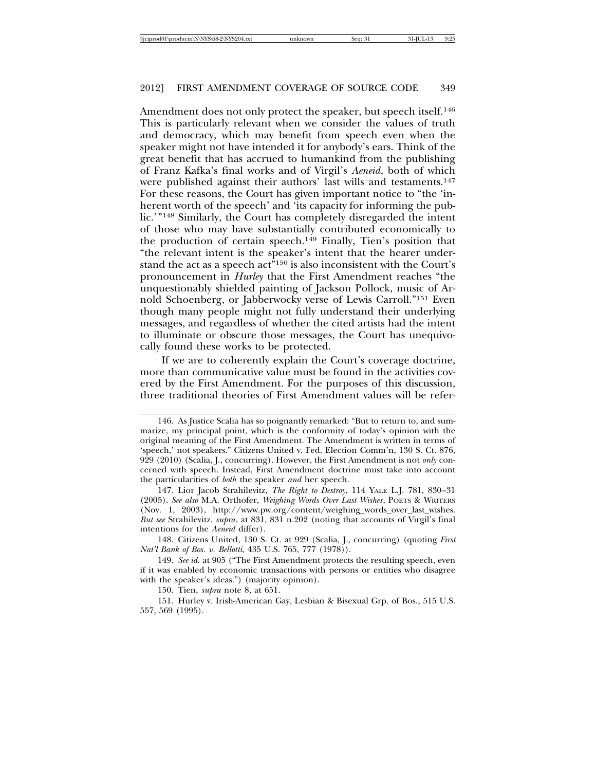Amendment does not only protect the speaker, but speech itself.<sup>146</sup> This is particularly relevant when we consider the values of truth and democracy, which may benefit from speech even when the speaker might not have intended it for anybody's ears. Think of the great benefit that has accrued to humankind from the publishing of Franz Kafka's final works and of Virgil's *Aeneid*, both of which were published against their authors' last wills and testaments.<sup>147</sup> For these reasons, the Court has given important notice to "the 'inherent worth of the speech' and 'its capacity for informing the public.'"148 Similarly, the Court has completely disregarded the intent of those who may have substantially contributed economically to the production of certain speech.149 Finally, Tien's position that "the relevant intent is the speaker's intent that the hearer understand the act as a speech act"150 is also inconsistent with the Court's pronouncement in *Hurley* that the First Amendment reaches "the unquestionably shielded painting of Jackson Pollock, music of Arnold Schoenberg, or Jabberwocky verse of Lewis Carroll."151 Even though many people might not fully understand their underlying messages, and regardless of whether the cited artists had the intent to illuminate or obscure those messages, the Court has unequivocally found these works to be protected.

If we are to coherently explain the Court's coverage doctrine, more than communicative value must be found in the activities covered by the First Amendment. For the purposes of this discussion, three traditional theories of First Amendment values will be refer-

148. Citizens United, 130 S. Ct. at 929 (Scalia, J., concurring) (quoting *First Nat'l Bank of Bos. v. Bellotti*, 435 U.S. 765, 777 (1978)).

149. *See id.* at 905 ("The First Amendment protects the resulting speech, even if it was enabled by economic transactions with persons or entities who disagree with the speaker's ideas.") (majority opinion).

151. Hurley v. Irish-American Gay, Lesbian & Bisexual Grp. of Bos., 515 U.S. 557, 569 (1995).

<sup>146.</sup> As Justice Scalia has so poignantly remarked: "But to return to, and summarize, my principal point, which is the conformity of today's opinion with the original meaning of the First Amendment. The Amendment is written in terms of 'speech,' not speakers." Citizens United v. Fed. Election Comm'n, 130 S. Ct. 876, 929 (2010) (Scalia, J., concurring). However, the First Amendment is not *only* concerned with speech. Instead, First Amendment doctrine must take into account the particularities of *both* the speaker *and* her speech.

<sup>147.</sup> Lior Jacob Strahilevitz, *The Right to Destroy*, 114 YALE L.J. 781, 830–31 (2005). *See also* M.A. Orthofer, *Weighing Words Over Last Wishes*, POETS & WRITERS (Nov. 1, 2003), http://www.pw.org/content/weighing\_words\_over\_last\_wishes. *But see* Strahilevitz, *supra*, at 831, 831 n.202 (noting that accounts of Virgil's final intentions for the *Aeneid* differ).

<sup>150.</sup> Tien, *supra* note 8, at 651.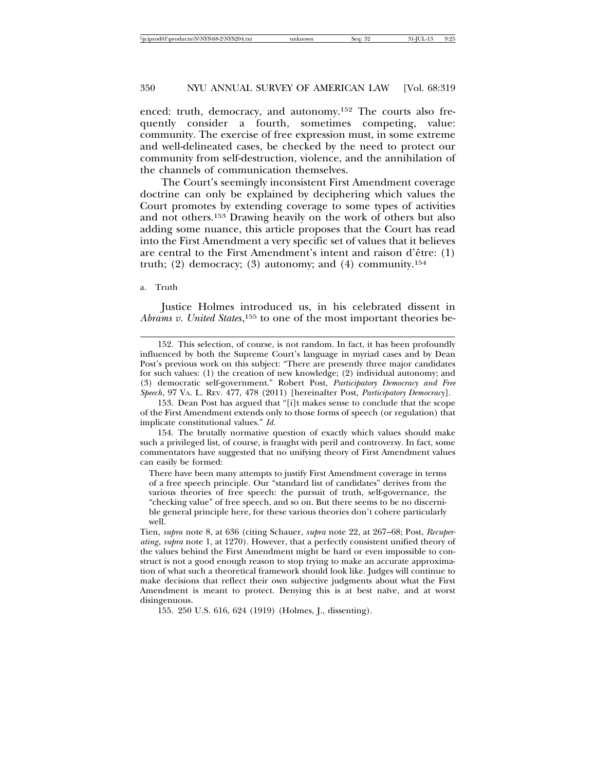enced: truth, democracy, and autonomy.152 The courts also frequently consider a fourth, sometimes competing, value: community. The exercise of free expression must, in some extreme and well-delineated cases, be checked by the need to protect our community from self-destruction, violence, and the annihilation of the channels of communication themselves.

The Court's seemingly inconsistent First Amendment coverage doctrine can only be explained by deciphering which values the Court promotes by extending coverage to some types of activities and not others.153 Drawing heavily on the work of others but also adding some nuance, this article proposes that the Court has read into the First Amendment a very specific set of values that it believes are central to the First Amendment's intent and raison d'être:  $(1)$ truth; (2) democracy; (3) autonomy; and (4) community.<sup>154</sup>

#### a. Truth

Justice Holmes introduced us, in his celebrated dissent in *Abrams v. United States*, 155 to one of the most important theories be-

154. The brutally normative question of exactly which values should make such a privileged list, of course, is fraught with peril and controversy. In fact, some commentators have suggested that no unifying theory of First Amendment values can easily be formed:

There have been many attempts to justify First Amendment coverage in terms of a free speech principle. Our "standard list of candidates" derives from the various theories of free speech: the pursuit of truth, self-governance, the "checking value" of free speech, and so on. But there seems to be no discernible general principle here, for these various theories don't cohere particularly well.

155. 250 U.S. 616, 624 (1919) (Holmes, J., dissenting).

<sup>152.</sup> This selection, of course, is not random. In fact, it has been profoundly influenced by both the Supreme Court's language in myriad cases and by Dean Post's previous work on this subject: "There are presently three major candidates for such values: (1) the creation of new knowledge; (2) individual autonomy; and (3) democratic self-government." Robert Post, *Participatory Democracy and Free Speech*, 97 VA. L. REV. 477, 478 (2011) [hereinafter Post, *Participatory Democracy*].

<sup>153.</sup> Dean Post has argued that "[i]t makes sense to conclude that the scope of the First Amendment extends only to those forms of speech (or regulation) that implicate constitutional values." *Id.*

Tien, *supra* note 8, at 636 (citing Schauer, *supra* note 22, at 267–68; Post, *Recuperating*, *supra* note 1, at 1270). However, that a perfectly consistent unified theory of the values behind the First Amendment might be hard or even impossible to construct is not a good enough reason to stop trying to make an accurate approximation of what such a theoretical framework should look like. Judges will continue to make decisions that reflect their own subjective judgments about what the First Amendment is meant to protect. Denying this is at best naïve, and at worst disingenuous.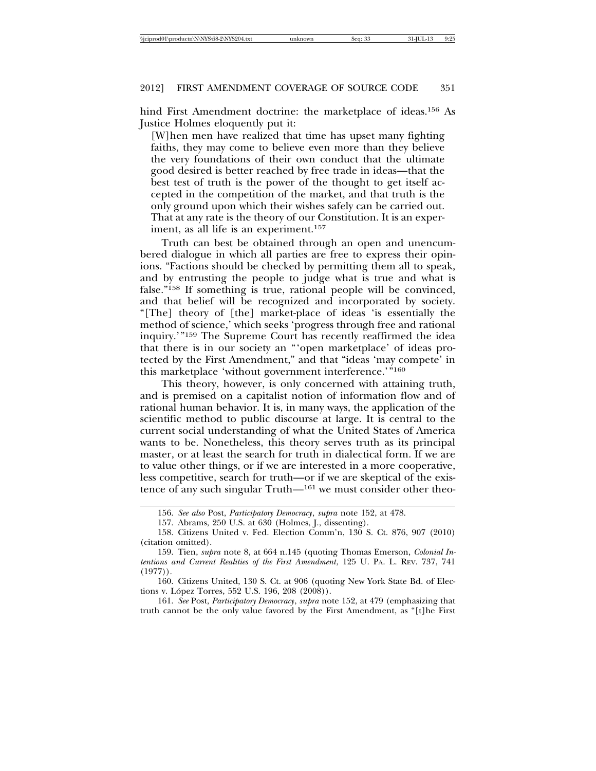hind First Amendment doctrine: the marketplace of ideas.<sup>156</sup> As Justice Holmes eloquently put it:

[W]hen men have realized that time has upset many fighting faiths, they may come to believe even more than they believe the very foundations of their own conduct that the ultimate good desired is better reached by free trade in ideas—that the best test of truth is the power of the thought to get itself accepted in the competition of the market, and that truth is the only ground upon which their wishes safely can be carried out. That at any rate is the theory of our Constitution. It is an experiment, as all life is an experiment.<sup>157</sup>

Truth can best be obtained through an open and unencumbered dialogue in which all parties are free to express their opinions. "Factions should be checked by permitting them all to speak, and by entrusting the people to judge what is true and what is false."158 If something is true, rational people will be convinced, and that belief will be recognized and incorporated by society. "[The] theory of [the] market-place of ideas 'is essentially the method of science,' which seeks 'progress through free and rational inquiry.'"159 The Supreme Court has recently reaffirmed the idea that there is in our society an "'open marketplace' of ideas protected by the First Amendment," and that "ideas 'may compete' in this marketplace 'without government interference.'"160

This theory, however, is only concerned with attaining truth, and is premised on a capitalist notion of information flow and of rational human behavior. It is, in many ways, the application of the scientific method to public discourse at large. It is central to the current social understanding of what the United States of America wants to be. Nonetheless, this theory serves truth as its principal master, or at least the search for truth in dialectical form. If we are to value other things, or if we are interested in a more cooperative, less competitive, search for truth—or if we are skeptical of the existence of any such singular Truth—161 we must consider other theo-

161. *See* Post, *Participatory Democracy*, *supra* note 152, at 479 (emphasizing that truth cannot be the only value favored by the First Amendment, as "[t]he First

<sup>156.</sup> *See also* Post, *Participatory Democracy*, *supra* note 152, at 478.

<sup>157.</sup> Abrams, 250 U.S. at 630 (Holmes, J., dissenting).

<sup>158.</sup> Citizens United v. Fed. Election Comm'n, 130 S. Ct. 876, 907 (2010) (citation omitted).

<sup>159.</sup> Tien, *supra* note 8, at 664 n.145 (quoting Thomas Emerson, *Colonial Intentions and Current Realities of the First Amendment*, 125 U. PA. L. REV. 737, 741  $(1977)$ .

<sup>160.</sup> Citizens United, 130 S. Ct. at 906 (quoting New York State Bd. of Elections v. López Torres, 552 U.S. 196, 208 (2008)).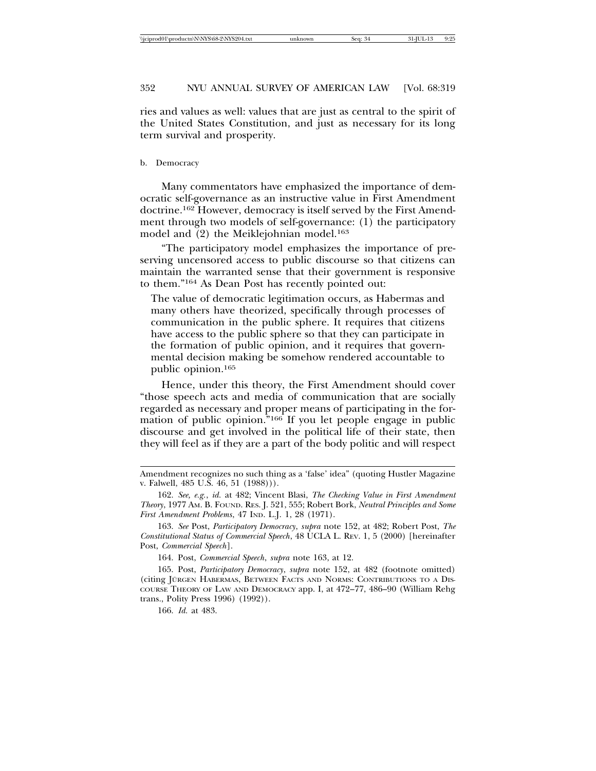ries and values as well: values that are just as central to the spirit of the United States Constitution, and just as necessary for its long term survival and prosperity.

#### b. Democracy

Many commentators have emphasized the importance of democratic self-governance as an instructive value in First Amendment doctrine.162 However, democracy is itself served by the First Amendment through two models of self-governance: (1) the participatory model and (2) the Meiklejohnian model.<sup>163</sup>

"The participatory model emphasizes the importance of preserving uncensored access to public discourse so that citizens can maintain the warranted sense that their government is responsive to them."164 As Dean Post has recently pointed out:

The value of democratic legitimation occurs, as Habermas and many others have theorized, specifically through processes of communication in the public sphere. It requires that citizens have access to the public sphere so that they can participate in the formation of public opinion, and it requires that governmental decision making be somehow rendered accountable to public opinion.165

Hence, under this theory, the First Amendment should cover "those speech acts and media of communication that are socially regarded as necessary and proper means of participating in the formation of public opinion."166 If you let people engage in public discourse and get involved in the political life of their state, then they will feel as if they are a part of the body politic and will respect

166. *Id.* at 483.

Amendment recognizes no such thing as a 'false' idea" (quoting Hustler Magazine v. Falwell, 485 U.S. 46, 51 (1988))).

<sup>162.</sup> *See, e.g.*, *id.* at 482; Vincent Blasi, *The Checking Value in First Amendment Theory*, 1977 AM. B. FOUND. RES. J. 521, 555; Robert Bork, *Neutral Principles and Some First Amendment Problems*, 47 IND. L.J. 1, 28 (1971).

<sup>163.</sup> *See* Post, *Participatory Democracy*, *supra* note 152, at 482; Robert Post, *The Constitutional Status of Commercial Speech*, 48 UCLA L. REV. 1, 5 (2000) [hereinafter Post, *Commercial Speech*].

<sup>164.</sup> Post, *Commercial Speech*, *supra* note 163, at 12.

<sup>165.</sup> Post, *Participatory Democracy*, *supra* note 152, at 482 (footnote omitted) (citing JÜRGEN HABERMAS, BETWEEN FACTS AND NORMS: CONTRIBUTIONS TO A DIS-COURSE THEORY OF LAW AND DEMOCRACY app. I, at 472–77, 486–90 (William Rehg trans., Polity Press 1996) (1992)).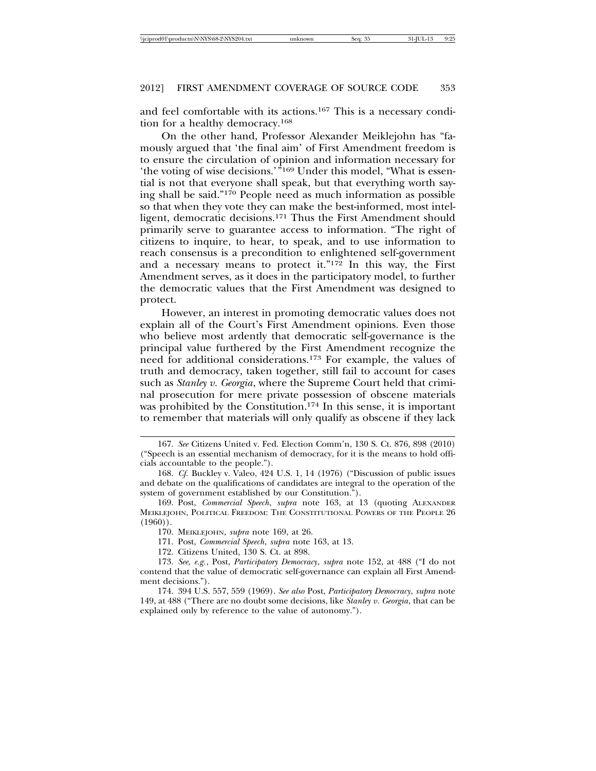and feel comfortable with its actions.167 This is a necessary condition for a healthy democracy.168

On the other hand, Professor Alexander Meiklejohn has "famously argued that 'the final aim' of First Amendment freedom is to ensure the circulation of opinion and information necessary for 'the voting of wise decisions.'"169 Under this model, "What is essential is not that everyone shall speak, but that everything worth saying shall be said."170 People need as much information as possible so that when they vote they can make the best-informed, most intelligent, democratic decisions.171 Thus the First Amendment should primarily serve to guarantee access to information. "The right of citizens to inquire, to hear, to speak, and to use information to reach consensus is a precondition to enlightened self-government and a necessary means to protect it."172 In this way, the First Amendment serves, as it does in the participatory model, to further the democratic values that the First Amendment was designed to protect.

However, an interest in promoting democratic values does not explain all of the Court's First Amendment opinions. Even those who believe most ardently that democratic self-governance is the principal value furthered by the First Amendment recognize the need for additional considerations.173 For example, the values of truth and democracy, taken together, still fail to account for cases such as *Stanley v. Georgia*, where the Supreme Court held that criminal prosecution for mere private possession of obscene materials was prohibited by the Constitution.174 In this sense, it is important to remember that materials will only qualify as obscene if they lack

<sup>167.</sup> *See* Citizens United v. Fed. Election Comm'n, 130 S. Ct. 876, 898 (2010) ("Speech is an essential mechanism of democracy, for it is the means to hold officials accountable to the people.").

<sup>168.</sup> *Cf.* Buckley v. Valeo, 424 U.S. 1, 14 (1976) ("Discussion of public issues and debate on the qualifications of candidates are integral to the operation of the system of government established by our Constitution.").

<sup>169.</sup> Post, *Commercial Speech*, *supra* note 163, at 13 (quoting ALEXANDER MEIKLEJOHN, POLITICAL FREEDOM: THE CONSTITUTIONAL POWERS OF THE PEOPLE 26  $(1960)$ .

<sup>170.</sup> MEIKLEJOHN, *supra* note 169, at 26.

<sup>171.</sup> Post, *Commercial Speech*, *supra* note 163, at 13.

<sup>172.</sup> Citizens United, 130 S. Ct. at 898.

<sup>173.</sup> *See, e.g.*, Post, *Participatory Democracy*, *supra* note 152, at 488 ("I do not contend that the value of democratic self-governance can explain all First Amendment decisions.").

<sup>174. 394</sup> U.S. 557, 559 (1969). *See also* Post, *Participatory Democracy*, *supra* note 149, at 488 ("There are no doubt some decisions, like *Stanley v. Georgia*, that can be explained only by reference to the value of autonomy.").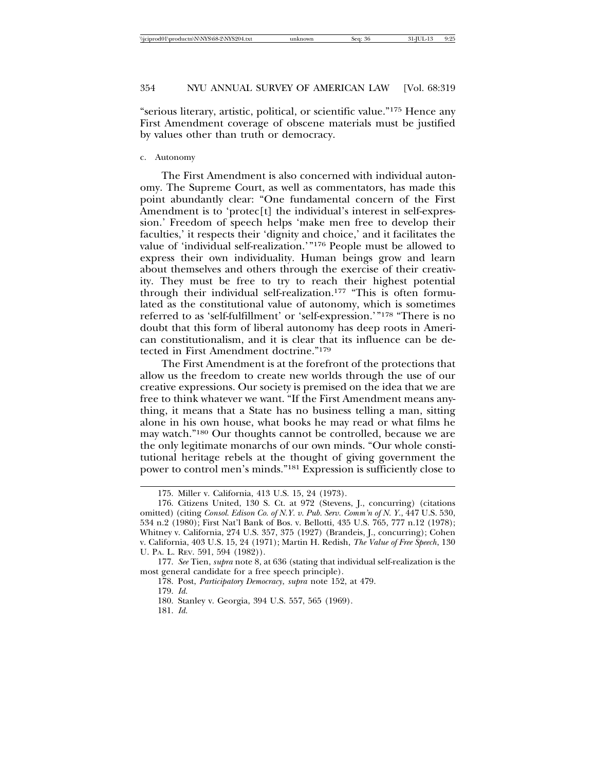"serious literary, artistic, political, or scientific value."175 Hence any First Amendment coverage of obscene materials must be justified by values other than truth or democracy.

#### c. Autonomy

The First Amendment is also concerned with individual autonomy. The Supreme Court, as well as commentators, has made this point abundantly clear: "One fundamental concern of the First Amendment is to 'protec[t] the individual's interest in self-expression.' Freedom of speech helps 'make men free to develop their faculties,' it respects their 'dignity and choice,' and it facilitates the value of 'individual self-realization.'"176 People must be allowed to express their own individuality. Human beings grow and learn about themselves and others through the exercise of their creativity. They must be free to try to reach their highest potential through their individual self-realization.177 "This is often formulated as the constitutional value of autonomy, which is sometimes referred to as 'self-fulfillment' or 'self-expression.'"178 "There is no doubt that this form of liberal autonomy has deep roots in American constitutionalism, and it is clear that its influence can be detected in First Amendment doctrine."179

The First Amendment is at the forefront of the protections that allow us the freedom to create new worlds through the use of our creative expressions. Our society is premised on the idea that we are free to think whatever we want. "If the First Amendment means anything, it means that a State has no business telling a man, sitting alone in his own house, what books he may read or what films he may watch."180 Our thoughts cannot be controlled, because we are the only legitimate monarchs of our own minds. "Our whole constitutional heritage rebels at the thought of giving government the power to control men's minds."181 Expression is sufficiently close to

177. *See* Tien, *supra* note 8, at 636 (stating that individual self-realization is the most general candidate for a free speech principle).

<sup>175.</sup> Miller v. California, 413 U.S. 15, 24 (1973).

<sup>176.</sup> Citizens United, 130 S. Ct. at 972 (Stevens, J., concurring) (citations omitted) (citing *Consol. Edison Co. of N.Y. v. Pub. Serv. Comm'n of N. Y.*, 447 U.S. 530, 534 n.2 (1980); First Nat'l Bank of Bos. v. Bellotti, 435 U.S. 765, 777 n.12 (1978); Whitney v. California, 274 U.S. 357, 375 (1927) (Brandeis, J., concurring); Cohen v. California, 403 U.S. 15, 24 (1971); Martin H. Redish, *The Value of Free Speech*, 130 U. PA. L. REV. 591, 594 (1982)).

<sup>178.</sup> Post, *Participatory Democracy*, *supra* note 152, at 479.

<sup>179.</sup> *Id.*

<sup>180.</sup> Stanley v. Georgia, 394 U.S. 557, 565 (1969).

<sup>181.</sup> *Id.*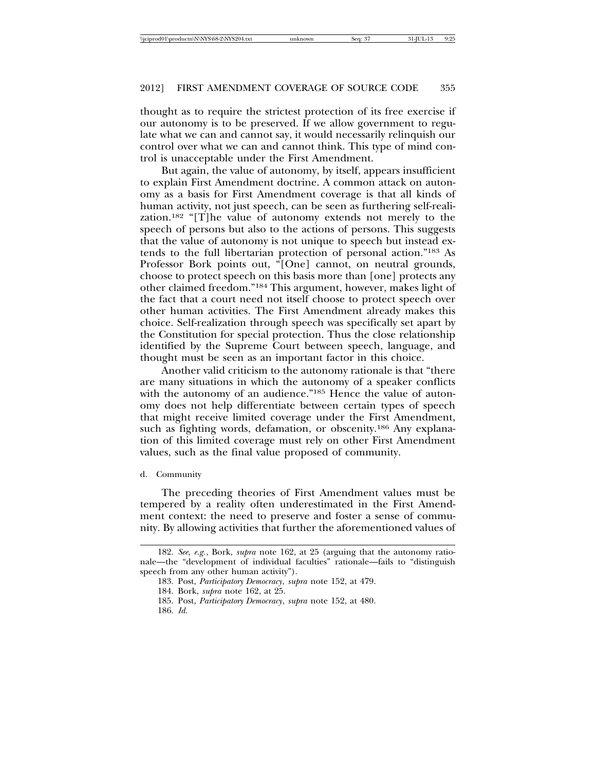thought as to require the strictest protection of its free exercise if our autonomy is to be preserved. If we allow government to regulate what we can and cannot say, it would necessarily relinquish our control over what we can and cannot think. This type of mind control is unacceptable under the First Amendment.

But again, the value of autonomy, by itself, appears insufficient to explain First Amendment doctrine. A common attack on autonomy as a basis for First Amendment coverage is that all kinds of human activity, not just speech, can be seen as furthering self-realization.182 "[T]he value of autonomy extends not merely to the speech of persons but also to the actions of persons. This suggests that the value of autonomy is not unique to speech but instead extends to the full libertarian protection of personal action."183 As Professor Bork points out, "[One] cannot, on neutral grounds, choose to protect speech on this basis more than [one] protects any other claimed freedom."184 This argument, however, makes light of the fact that a court need not itself choose to protect speech over other human activities. The First Amendment already makes this choice. Self-realization through speech was specifically set apart by the Constitution for special protection. Thus the close relationship identified by the Supreme Court between speech, language, and thought must be seen as an important factor in this choice.

Another valid criticism to the autonomy rationale is that "there are many situations in which the autonomy of a speaker conflicts with the autonomy of an audience."<sup>185</sup> Hence the value of autonomy does not help differentiate between certain types of speech that might receive limited coverage under the First Amendment, such as fighting words, defamation, or obscenity.<sup>186</sup> Any explanation of this limited coverage must rely on other First Amendment values, such as the final value proposed of community.

#### d. Community

The preceding theories of First Amendment values must be tempered by a reality often underestimated in the First Amendment context: the need to preserve and foster a sense of community. By allowing activities that further the aforementioned values of

<sup>182.</sup> *See, e.g.*, Bork, *supra* note 162, at 25 (arguing that the autonomy rationale—the "development of individual faculties" rationale—fails to "distinguish speech from any other human activity").

<sup>183.</sup> Post, *Participatory Democracy*, *supra* note 152, at 479.

<sup>184.</sup> Bork, *supra* note 162, at 25.

<sup>185.</sup> Post, *Participatory Democracy*, *supra* note 152, at 480.

<sup>186.</sup> *Id.*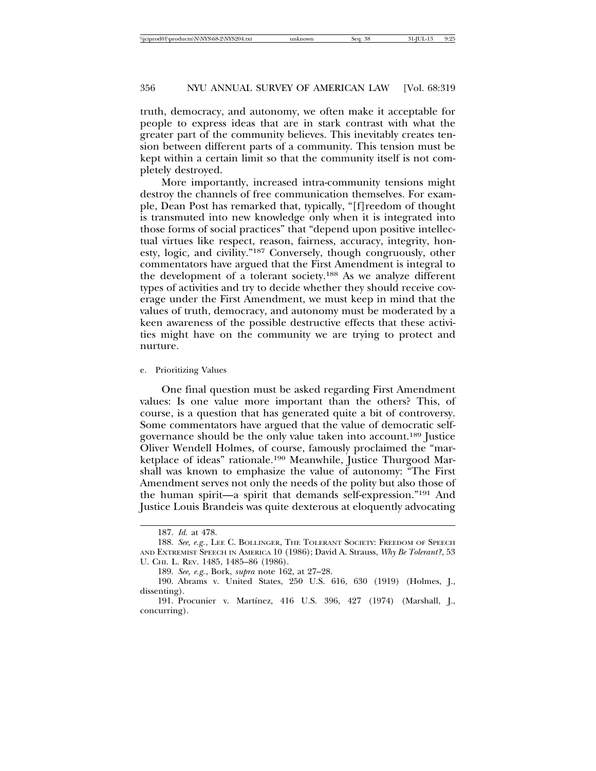truth, democracy, and autonomy, we often make it acceptable for people to express ideas that are in stark contrast with what the greater part of the community believes. This inevitably creates tension between different parts of a community. This tension must be kept within a certain limit so that the community itself is not completely destroyed.

More importantly, increased intra-community tensions might destroy the channels of free communication themselves. For example, Dean Post has remarked that, typically, "[f]reedom of thought is transmuted into new knowledge only when it is integrated into those forms of social practices" that "depend upon positive intellectual virtues like respect, reason, fairness, accuracy, integrity, honesty, logic, and civility."187 Conversely, though congruously, other commentators have argued that the First Amendment is integral to the development of a tolerant society.188 As we analyze different types of activities and try to decide whether they should receive coverage under the First Amendment, we must keep in mind that the values of truth, democracy, and autonomy must be moderated by a keen awareness of the possible destructive effects that these activities might have on the community we are trying to protect and nurture.

e. Prioritizing Values

One final question must be asked regarding First Amendment values: Is one value more important than the others? This, of course, is a question that has generated quite a bit of controversy. Some commentators have argued that the value of democratic selfgovernance should be the only value taken into account.189 Justice Oliver Wendell Holmes, of course, famously proclaimed the "marketplace of ideas" rationale.190 Meanwhile, Justice Thurgood Marshall was known to emphasize the value of autonomy: "The First Amendment serves not only the needs of the polity but also those of the human spirit—a spirit that demands self-expression."191 And Justice Louis Brandeis was quite dexterous at eloquently advocating

<sup>187.</sup> *Id.* at 478.

<sup>188.</sup> See, e.g., LEE C. BOLLINGER, THE TOLERANT SOCIETY: FREEDOM OF SPEECH AND EXTREMIST SPEECH IN AMERICA 10 (1986); David A. Strauss, *Why Be Tolerant?*, 53 U. CHI. L. REV. 1485, 1485–86 (1986).

<sup>189.</sup> *See, e.g.*, Bork, *supra* note 162, at 27–28.

<sup>190.</sup> Abrams v. United States, 250 U.S. 616, 630 (1919) (Holmes, J., dissenting).

<sup>191.</sup> Procunier v. Martínez, 416 U.S. 396, 427 (1974) (Marshall, J., concurring).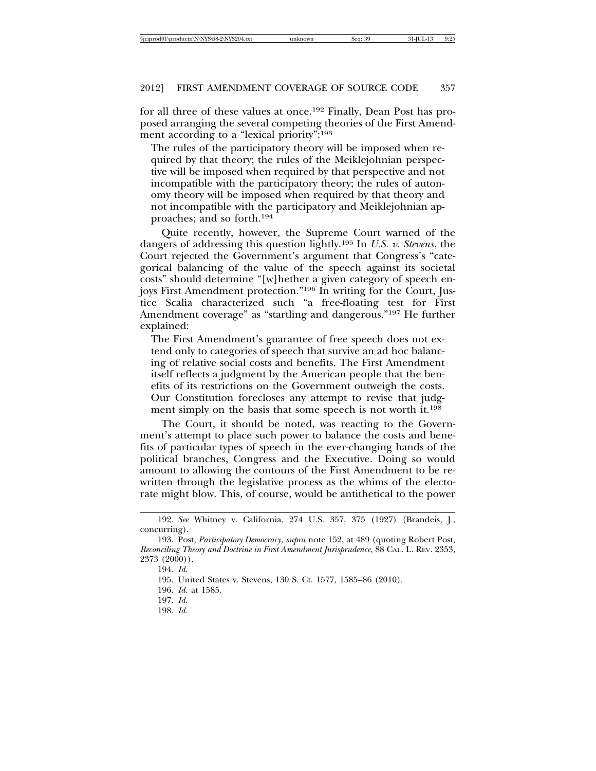for all three of these values at once.192 Finally, Dean Post has proposed arranging the several competing theories of the First Amendment according to a "lexical priority":193

The rules of the participatory theory will be imposed when required by that theory; the rules of the Meiklejohnian perspective will be imposed when required by that perspective and not incompatible with the participatory theory; the rules of autonomy theory will be imposed when required by that theory and not incompatible with the participatory and Meiklejohnian approaches; and so forth.194

Quite recently, however, the Supreme Court warned of the dangers of addressing this question lightly.195 In *U.S. v. Stevens*, the Court rejected the Government's argument that Congress's "categorical balancing of the value of the speech against its societal costs" should determine "[w]hether a given category of speech enjoys First Amendment protection."196 In writing for the Court, Justice Scalia characterized such "a free-floating test for First Amendment coverage" as "startling and dangerous."197 He further explained:

The First Amendment's guarantee of free speech does not extend only to categories of speech that survive an ad hoc balancing of relative social costs and benefits. The First Amendment itself reflects a judgment by the American people that the benefits of its restrictions on the Government outweigh the costs. Our Constitution forecloses any attempt to revise that judgment simply on the basis that some speech is not worth it.<sup>198</sup>

The Court, it should be noted, was reacting to the Government's attempt to place such power to balance the costs and benefits of particular types of speech in the ever-changing hands of the political branches, Congress and the Executive. Doing so would amount to allowing the contours of the First Amendment to be rewritten through the legislative process as the whims of the electorate might blow. This, of course, would be antithetical to the power

<sup>192.</sup> *See* Whitney v. California, 274 U.S. 357, 375 (1927) (Brandeis, J., concurring).

<sup>193.</sup> Post, *Participatory Democracy*, *supra* note 152, at 489 (quoting Robert Post, *Reconciling Theory and Doctrine in First Amendment Jurisprudence*, 88 CAL. L. REV. 2353, 2373 (2000)).

<sup>194.</sup> *Id.*

<sup>195.</sup> United States v. Stevens, 130 S. Ct. 1577, 1585–86 (2010).

<sup>196.</sup> *Id.* at 1585.

<sup>197.</sup> *Id.*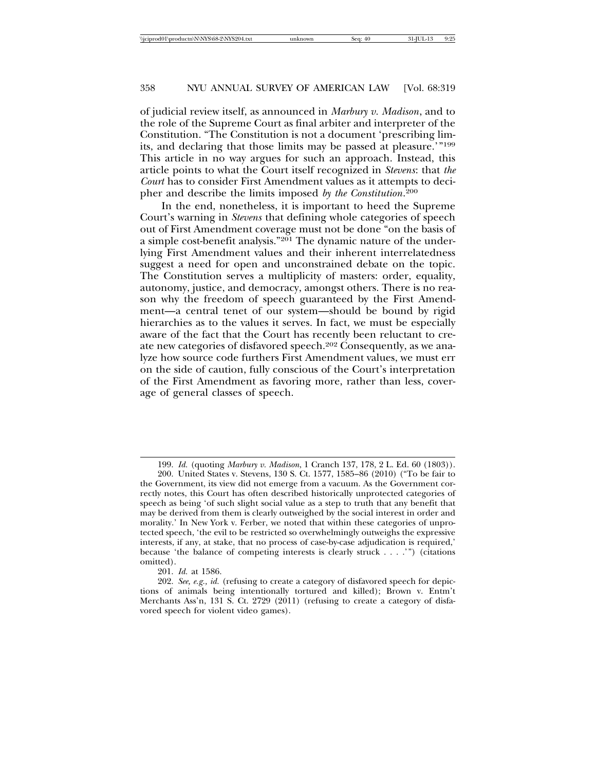of judicial review itself, as announced in *Marbury v. Madison*, and to the role of the Supreme Court as final arbiter and interpreter of the Constitution. "The Constitution is not a document 'prescribing limits, and declaring that those limits may be passed at pleasure.'"199 This article in no way argues for such an approach. Instead, this article points to what the Court itself recognized in *Stevens*: that *the Court* has to consider First Amendment values as it attempts to decipher and describe the limits imposed *by the Constitution*. 200

In the end, nonetheless, it is important to heed the Supreme Court's warning in *Stevens* that defining whole categories of speech out of First Amendment coverage must not be done "on the basis of a simple cost-benefit analysis."201 The dynamic nature of the underlying First Amendment values and their inherent interrelatedness suggest a need for open and unconstrained debate on the topic. The Constitution serves a multiplicity of masters: order, equality, autonomy, justice, and democracy, amongst others. There is no reason why the freedom of speech guaranteed by the First Amendment—a central tenet of our system—should be bound by rigid hierarchies as to the values it serves. In fact, we must be especially aware of the fact that the Court has recently been reluctant to create new categories of disfavored speech.202 Consequently, as we analyze how source code furthers First Amendment values, we must err on the side of caution, fully conscious of the Court's interpretation of the First Amendment as favoring more, rather than less, coverage of general classes of speech.

<sup>199.</sup> *Id.* (quoting *Marbury v. Madison*, 1 Cranch 137, 178, 2 L. Ed. 60 (1803)).

<sup>200.</sup> United States v. Stevens, 130 S. Ct. 1577, 1585–86 (2010) ("To be fair to the Government, its view did not emerge from a vacuum. As the Government correctly notes, this Court has often described historically unprotected categories of speech as being 'of such slight social value as a step to truth that any benefit that may be derived from them is clearly outweighed by the social interest in order and morality.' In New York v. Ferber, we noted that within these categories of unprotected speech, 'the evil to be restricted so overwhelmingly outweighs the expressive interests, if any, at stake, that no process of case-by-case adjudication is required,' because 'the balance of competing interests is clearly struck . . . .'") (citations omitted).

<sup>201.</sup> *Id.* at 1586.

<sup>202.</sup> *See, e.g., id.* (refusing to create a category of disfavored speech for depictions of animals being intentionally tortured and killed); Brown v. Entm't Merchants Ass'n, 131 S. Ct. 2729 (2011) (refusing to create a category of disfavored speech for violent video games).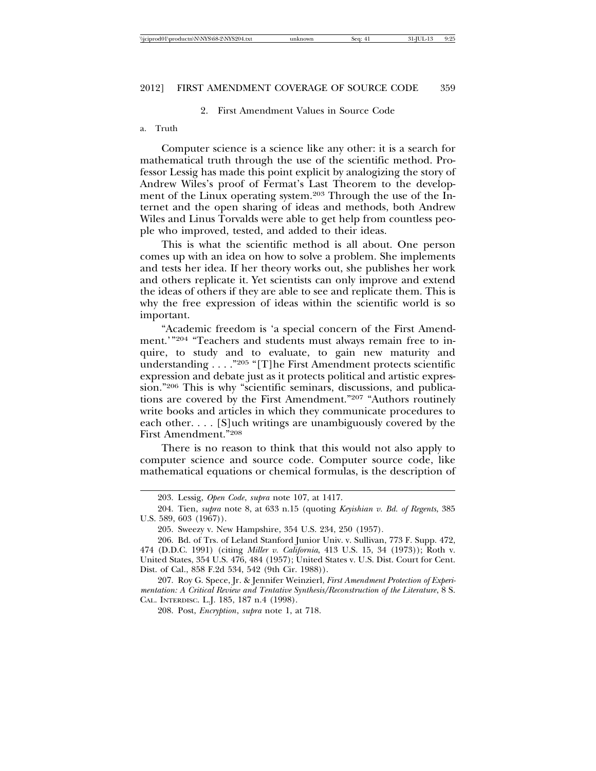#### 2. First Amendment Values in Source Code

#### a. Truth

Computer science is a science like any other: it is a search for mathematical truth through the use of the scientific method. Professor Lessig has made this point explicit by analogizing the story of Andrew Wiles's proof of Fermat's Last Theorem to the development of the Linux operating system.203 Through the use of the Internet and the open sharing of ideas and methods, both Andrew Wiles and Linus Torvalds were able to get help from countless people who improved, tested, and added to their ideas.

This is what the scientific method is all about. One person comes up with an idea on how to solve a problem. She implements and tests her idea. If her theory works out, she publishes her work and others replicate it. Yet scientists can only improve and extend the ideas of others if they are able to see and replicate them. This is why the free expression of ideas within the scientific world is so important.

"Academic freedom is 'a special concern of the First Amendment.'"204 "Teachers and students must always remain free to inquire, to study and to evaluate, to gain new maturity and understanding . . . ."205 "[T]he First Amendment protects scientific expression and debate just as it protects political and artistic expression."206 This is why "scientific seminars, discussions, and publications are covered by the First Amendment."207 "Authors routinely write books and articles in which they communicate procedures to each other. . . . [S]uch writings are unambiguously covered by the First Amendment."208

There is no reason to think that this would not also apply to computer science and source code. Computer source code, like mathematical equations or chemical formulas, is the description of

<sup>203.</sup> Lessig, *Open Code*, *supra* note 107, at 1417.

<sup>204.</sup> Tien, *supra* note 8, at 633 n.15 (quoting *Keyishian v. Bd. of Regents*, 385 U.S. 589, 603 (1967)).

<sup>205.</sup> Sweezy v. New Hampshire, 354 U.S. 234, 250 (1957).

<sup>206.</sup> Bd. of Trs. of Leland Stanford Junior Univ. v. Sullivan, 773 F. Supp. 472, 474 (D.D.C. 1991) (citing *Miller v. California*, 413 U.S. 15, 34 (1973)); Roth v. United States, 354 U.S. 476, 484 (1957); United States v. U.S. Dist. Court for Cent. Dist. of Cal., 858 F.2d 534, 542 (9th Cir. 1988)).

<sup>207.</sup> Roy G. Spece, Jr. & Jennifer Weinzierl, *First Amendment Protection of Experimentation: A Critical Review and Tentative Synthesis/Reconstruction of the Literature*, 8 S. CAL. INTERDISC. L.J. 185, 187 n.4 (1998).

<sup>208.</sup> Post, *Encryption*, *supra* note 1, at 718.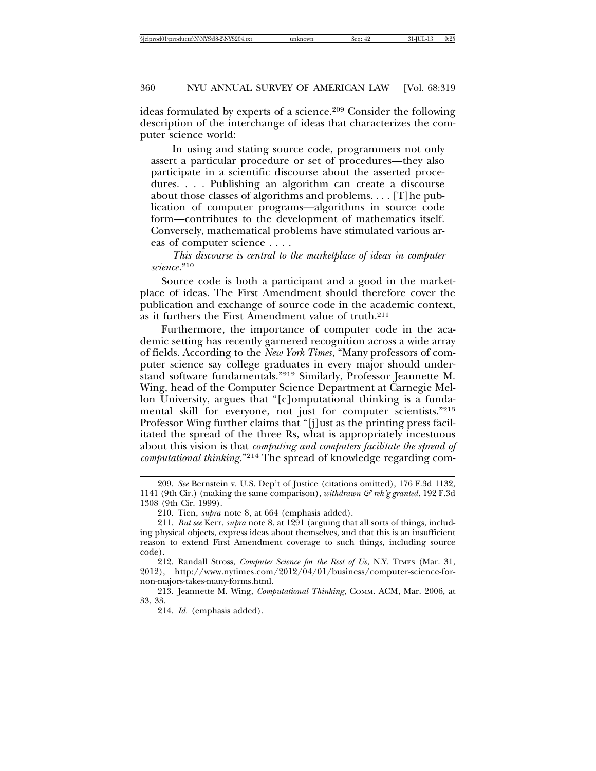ideas formulated by experts of a science.209 Consider the following description of the interchange of ideas that characterizes the computer science world:

In using and stating source code, programmers not only assert a particular procedure or set of procedures—they also participate in a scientific discourse about the asserted procedures. . . . Publishing an algorithm can create a discourse about those classes of algorithms and problems. . . . [T]he publication of computer programs—algorithms in source code form—contributes to the development of mathematics itself. Conversely, mathematical problems have stimulated various areas of computer science . . . .

# *This discourse is central to the marketplace of ideas in computer science*. 210

Source code is both a participant and a good in the marketplace of ideas. The First Amendment should therefore cover the publication and exchange of source code in the academic context, as it furthers the First Amendment value of truth.211

Furthermore, the importance of computer code in the academic setting has recently garnered recognition across a wide array of fields. According to the *New York Times*, "Many professors of computer science say college graduates in every major should understand software fundamentals."212 Similarly, Professor Jeannette M. Wing, head of the Computer Science Department at Carnegie Mellon University, argues that "[c]omputational thinking is a fundamental skill for everyone, not just for computer scientists."213 Professor Wing further claims that "[j]ust as the printing press facilitated the spread of the three Rs, what is appropriately incestuous about this vision is that *computing and computers facilitate the spread of computational thinking*."214 The spread of knowledge regarding com-

<sup>209.</sup> *See* Bernstein v. U.S. Dep't of Justice (citations omitted), 176 F.3d 1132, 1141 (9th Cir.) (making the same comparison), *withdrawn & reh'g granted*, 192 F.3d 1308 (9th Cir. 1999).

<sup>210.</sup> Tien, *supra* note 8, at 664 (emphasis added).

<sup>211.</sup> *But see* Kerr, *supra* note 8, at 1291 (arguing that all sorts of things, including physical objects, express ideas about themselves, and that this is an insufficient reason to extend First Amendment coverage to such things, including source code).

<sup>212.</sup> Randall Stross, *Computer Science for the Rest of Us*, N.Y. TIMES (Mar. 31, 2012), http://www.nytimes.com/2012/04/01/business/computer-science-fornon-majors-takes-many-forms.html.

<sup>213.</sup> Jeannette M. Wing, *Computational Thinking*, COMM. ACM, Mar. 2006, at 33, 33.

<sup>214.</sup> *Id.* (emphasis added).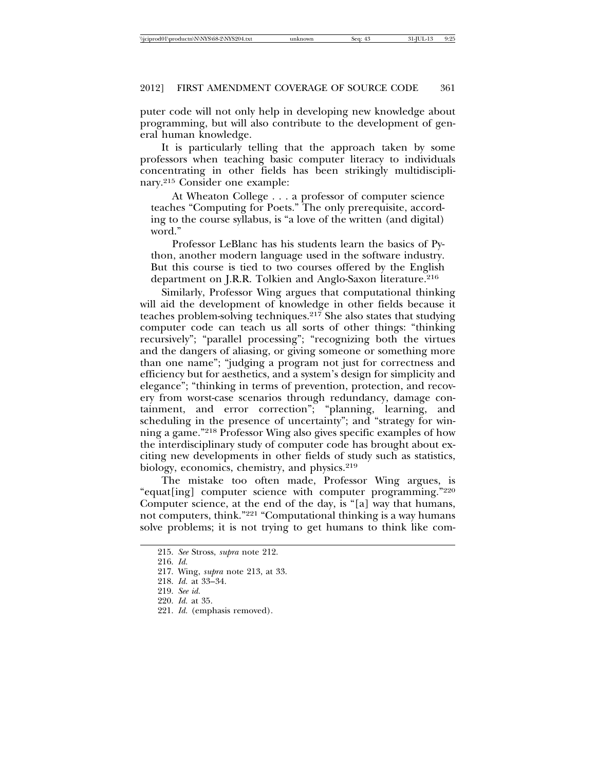puter code will not only help in developing new knowledge about programming, but will also contribute to the development of general human knowledge.

It is particularly telling that the approach taken by some professors when teaching basic computer literacy to individuals concentrating in other fields has been strikingly multidisciplinary.215 Consider one example:

At Wheaton College . . . a professor of computer science teaches "Computing for Poets." The only prerequisite, according to the course syllabus, is "a love of the written (and digital) word."

Professor LeBlanc has his students learn the basics of Python, another modern language used in the software industry. But this course is tied to two courses offered by the English department on J.R.R. Tolkien and Anglo-Saxon literature.<sup>216</sup>

Similarly, Professor Wing argues that computational thinking will aid the development of knowledge in other fields because it teaches problem-solving techniques.<sup>217</sup> She also states that studying computer code can teach us all sorts of other things: "thinking recursively"; "parallel processing"; "recognizing both the virtues and the dangers of aliasing, or giving someone or something more than one name"; "judging a program not just for correctness and efficiency but for aesthetics, and a system's design for simplicity and elegance"; "thinking in terms of prevention, protection, and recovery from worst-case scenarios through redundancy, damage containment, and error correction"; "planning, learning, and scheduling in the presence of uncertainty"; and "strategy for winning a game."218 Professor Wing also gives specific examples of how the interdisciplinary study of computer code has brought about exciting new developments in other fields of study such as statistics, biology, economics, chemistry, and physics.<sup>219</sup>

The mistake too often made, Professor Wing argues, is "equat[ing] computer science with computer programming."220 Computer science, at the end of the day, is "[a] way that humans, not computers, think."221 "Computational thinking is a way humans solve problems; it is not trying to get humans to think like com-

<sup>215.</sup> *See* Stross, *supra* note 212.

<sup>216.</sup> *Id.*

<sup>217.</sup> Wing, *supra* note 213, at 33.

<sup>218.</sup> *Id.* at 33–34.

<sup>219.</sup> *See id.*

<sup>220.</sup> *Id.* at 35.

<sup>221.</sup> *Id.* (emphasis removed).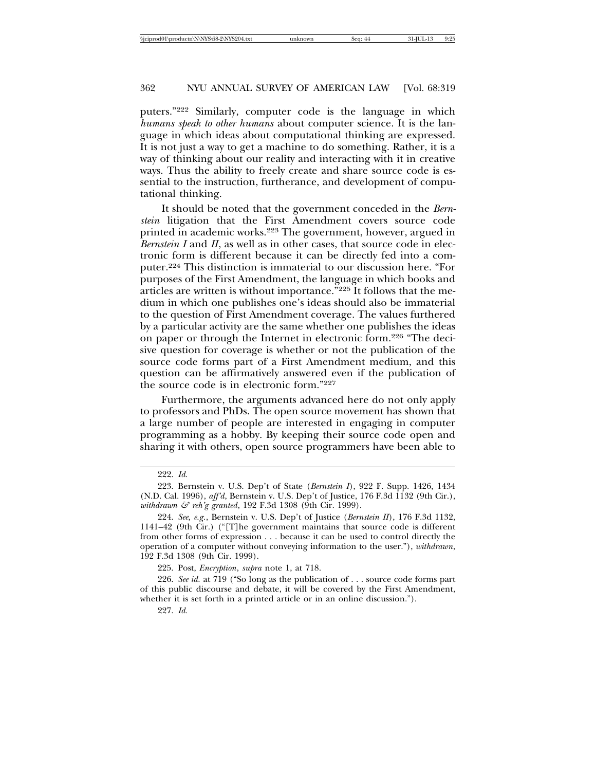puters."222 Similarly, computer code is the language in which *humans speak to other humans* about computer science. It is the language in which ideas about computational thinking are expressed. It is not just a way to get a machine to do something. Rather, it is a way of thinking about our reality and interacting with it in creative ways. Thus the ability to freely create and share source code is essential to the instruction, furtherance, and development of computational thinking.

It should be noted that the government conceded in the *Bernstein* litigation that the First Amendment covers source code printed in academic works.223 The government, however, argued in *Bernstein I* and *II*, as well as in other cases, that source code in electronic form is different because it can be directly fed into a computer.224 This distinction is immaterial to our discussion here. "For purposes of the First Amendment, the language in which books and articles are written is without importance."225 It follows that the medium in which one publishes one's ideas should also be immaterial to the question of First Amendment coverage. The values furthered by a particular activity are the same whether one publishes the ideas on paper or through the Internet in electronic form.226 "The decisive question for coverage is whether or not the publication of the source code forms part of a First Amendment medium, and this question can be affirmatively answered even if the publication of the source code is in electronic form."227

Furthermore, the arguments advanced here do not only apply to professors and PhDs. The open source movement has shown that a large number of people are interested in engaging in computer programming as a hobby. By keeping their source code open and sharing it with others, open source programmers have been able to

<sup>222.</sup> *Id.*

<sup>223.</sup> Bernstein v. U.S. Dep't of State (*Bernstein I*), 922 F. Supp. 1426, 1434 (N.D. Cal. 1996), *aff'd*, Bernstein v. U.S. Dep't of Justice, 176 F.3d 1132 (9th Cir.), *withdrawn & reh'g granted*, 192 F.3d 1308 (9th Cir. 1999).

<sup>224.</sup> *See, e.g.*, Bernstein v. U.S. Dep't of Justice (*Bernstein II*), 176 F.3d 1132, 1141–42 (9th Cir.) ("[T]he government maintains that source code is different from other forms of expression . . . because it can be used to control directly the operation of a computer without conveying information to the user."), *withdrawn*, 192 F.3d 1308 (9th Cir. 1999).

<sup>225.</sup> Post, *Encryption*, *supra* note 1, at 718.

<sup>226.</sup> *See id.* at 719 ("So long as the publication of . . . source code forms part of this public discourse and debate, it will be covered by the First Amendment, whether it is set forth in a printed article or in an online discussion.").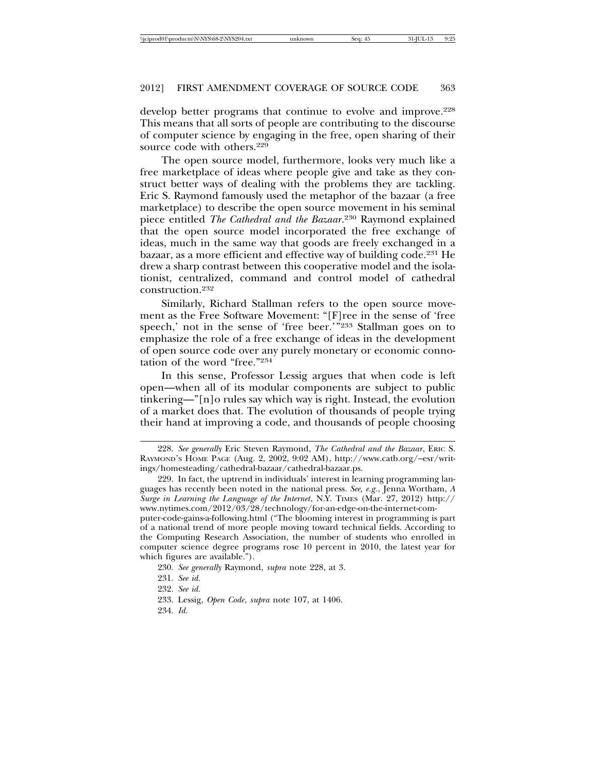develop better programs that continue to evolve and improve.<sup>228</sup> This means that all sorts of people are contributing to the discourse of computer science by engaging in the free, open sharing of their source code with others.<sup>229</sup>

The open source model, furthermore, looks very much like a free marketplace of ideas where people give and take as they construct better ways of dealing with the problems they are tackling. Eric S. Raymond famously used the metaphor of the bazaar (a free marketplace) to describe the open source movement in his seminal piece entitled *The Cathedral and the Bazaar*. 230 Raymond explained that the open source model incorporated the free exchange of ideas, much in the same way that goods are freely exchanged in a bazaar, as a more efficient and effective way of building code.231 He drew a sharp contrast between this cooperative model and the isolationist, centralized, command and control model of cathedral construction.232

Similarly, Richard Stallman refers to the open source movement as the Free Software Movement: "[F]ree in the sense of 'free speech,' not in the sense of 'free beer.'"233 Stallman goes on to emphasize the role of a free exchange of ideas in the development of open source code over any purely monetary or economic connotation of the word "free."234

In this sense, Professor Lessig argues that when code is left open—when all of its modular components are subject to public tinkering—"[n]o rules say which way is right. Instead, the evolution of a market does that. The evolution of thousands of people trying their hand at improving a code, and thousands of people choosing

the Computing Research Association, the number of students who enrolled in computer science degree programs rose 10 percent in 2010, the latest year for which figures are available.").

<sup>228.</sup> *See generally* Eric Steven Raymond, *The Cathedral and the Bazaar*, ERIC S. RAYMOND'S HOME PAGE (Aug. 2, 2002, 9:02 AM), http://www.catb.org/~esr/writings/homesteading/cathedral-bazaar/cathedral-bazaar.ps.

<sup>229.</sup> In fact, the uptrend in individuals' interest in learning programming languages has recently been noted in the national press. *See, e.g.*, Jenna Wortham, *A Surge in Learning the Language of the Internet*, N.Y. TIMES (Mar. 27, 2012) http:// www.nytimes.com/2012/03/28/technology/for-an-edge-on-the-internet-computer-code-gains-a-following.html ("The blooming interest in programming is part of a national trend of more people moving toward technical fields. According to

<sup>230.</sup> *See generally* Raymond, *supra* note 228, at 3.

<sup>231.</sup> *See id.*

<sup>232.</sup> *See id.*

<sup>233.</sup> Lessig, *Open Code*, *supra* note 107, at 1406.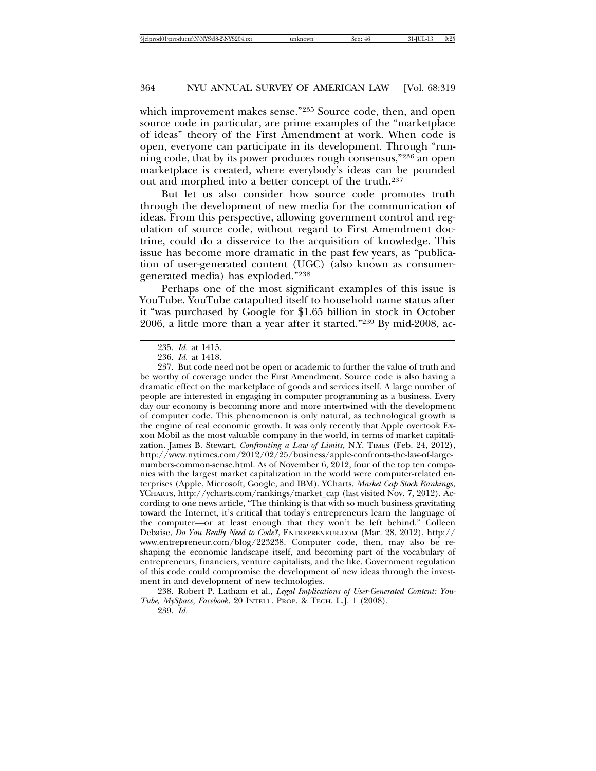which improvement makes sense."<sup>235</sup> Source code, then, and open source code in particular, are prime examples of the "marketplace of ideas" theory of the First Amendment at work. When code is open, everyone can participate in its development. Through "running code, that by its power produces rough consensus,"236 an open marketplace is created, where everybody's ideas can be pounded out and morphed into a better concept of the truth.237

But let us also consider how source code promotes truth through the development of new media for the communication of ideas. From this perspective, allowing government control and regulation of source code, without regard to First Amendment doctrine, could do a disservice to the acquisition of knowledge. This issue has become more dramatic in the past few years, as "publication of user-generated content (UGC) (also known as consumergenerated media) has exploded."238

Perhaps one of the most significant examples of this issue is YouTube. YouTube catapulted itself to household name status after it "was purchased by Google for \$1.65 billion in stock in October 2006, a little more than a year after it started."239 By mid-2008, ac-

<sup>235.</sup> *Id.* at 1415.

<sup>236.</sup> *Id.* at 1418.

<sup>237.</sup> But code need not be open or academic to further the value of truth and be worthy of coverage under the First Amendment. Source code is also having a dramatic effect on the marketplace of goods and services itself. A large number of people are interested in engaging in computer programming as a business. Every day our economy is becoming more and more intertwined with the development of computer code. This phenomenon is only natural, as technological growth is the engine of real economic growth. It was only recently that Apple overtook Exxon Mobil as the most valuable company in the world, in terms of market capitalization. James B. Stewart, *Confronting a Law of Limits*, N.Y. TIMES (Feb. 24, 2012), http://www.nytimes.com/2012/02/25/business/apple-confronts-the-law-of-largenumbers-common-sense.html. As of November 6, 2012, four of the top ten companies with the largest market capitalization in the world were computer-related enterprises (Apple, Microsoft, Google, and IBM). YCharts, *Market Cap Stock Rankings*, YCHARTS, http://ycharts.com/rankings/market\_cap (last visited Nov. 7, 2012). According to one news article, "The thinking is that with so much business gravitating toward the Internet, it's critical that today's entrepreneurs learn the language of the computer—or at least enough that they won't be left behind." Colleen Debaise, *Do You Really Need to Code?*, ENTREPRENEUR.COM (Mar. 28, 2012), http:// www.entrepreneur.com/blog/223238. Computer code, then, may also be reshaping the economic landscape itself, and becoming part of the vocabulary of entrepreneurs, financiers, venture capitalists, and the like. Government regulation of this code could compromise the development of new ideas through the investment in and development of new technologies.

<sup>238.</sup> Robert P. Latham et al., *Legal Implications of User-Generated Content: You-Tube, MySpace, Facebook*, 20 INTELL. PROP. & TECH. L.J. 1 (2008).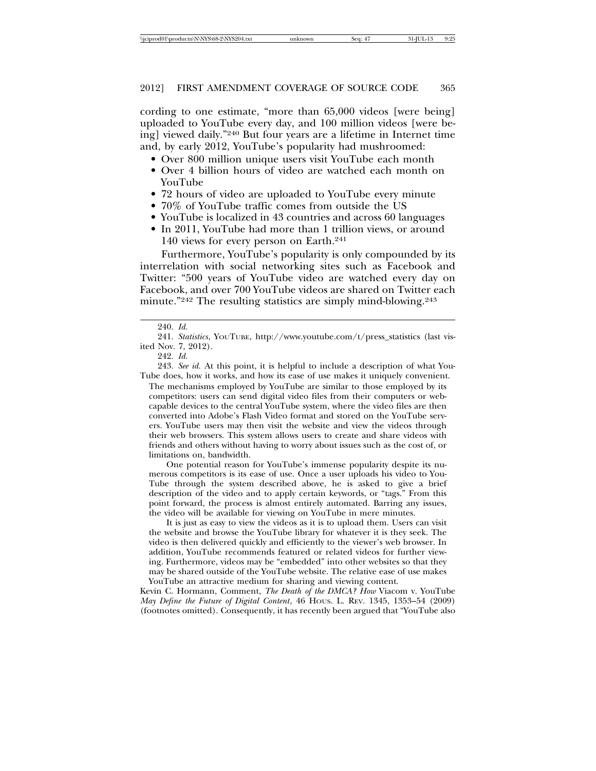cording to one estimate, "more than 65,000 videos [were being] uploaded to YouTube every day, and 100 million videos [were being] viewed daily."240 But four years are a lifetime in Internet time and, by early 2012, YouTube's popularity had mushroomed:

- Over 800 million unique users visit YouTube each month
- Over 4 billion hours of video are watched each month on YouTube
- 72 hours of video are uploaded to YouTube every minute
- 70% of YouTube traffic comes from outside the US
- YouTube is localized in 43 countries and across 60 languages
- In 2011, YouTube had more than 1 trillion views, or around 140 views for every person on Earth.241

Furthermore, YouTube's popularity is only compounded by its interrelation with social networking sites such as Facebook and Twitter: "500 years of YouTube video are watched every day on Facebook, and over 700 YouTube videos are shared on Twitter each minute."<sup>242</sup> The resulting statistics are simply mind-blowing.<sup>243</sup>

243. *See id.* At this point, it is helpful to include a description of what You-Tube does, how it works, and how its ease of use makes it uniquely convenient.

The mechanisms employed by YouTube are similar to those employed by its competitors: users can send digital video files from their computers or webcapable devices to the central YouTube system, where the video files are then converted into Adobe's Flash Video format and stored on the YouTube servers. YouTube users may then visit the website and view the videos through their web browsers. This system allows users to create and share videos with friends and others without having to worry about issues such as the cost of, or limitations on, bandwidth.

One potential reason for YouTube's immense popularity despite its numerous competitors is its ease of use. Once a user uploads his video to You-Tube through the system described above, he is asked to give a brief description of the video and to apply certain keywords, or "tags." From this point forward, the process is almost entirely automated. Barring any issues, the video will be available for viewing on YouTube in mere minutes.

It is just as easy to view the videos as it is to upload them. Users can visit the website and browse the YouTube library for whatever it is they seek. The video is then delivered quickly and efficiently to the viewer's web browser. In addition, YouTube recommends featured or related videos for further viewing. Furthermore, videos may be "embedded" into other websites so that they may be shared outside of the YouTube website. The relative ease of use makes YouTube an attractive medium for sharing and viewing content.

Kevin C. Hormann, Comment, *The Death of the DMCA? How* Viacom v. YouTube *May Define the Future of Digital Content*, 46 HOUS. L. REV. 1345, 1353–54 (2009) (footnotes omitted). Consequently, it has recently been argued that "YouTube also

<sup>240.</sup> *Id.*

<sup>241.</sup> *Statistics*, YOUTUBE, http://www.youtube.com/t/press\_statistics (last visited Nov. 7, 2012).

<sup>242.</sup> *Id.*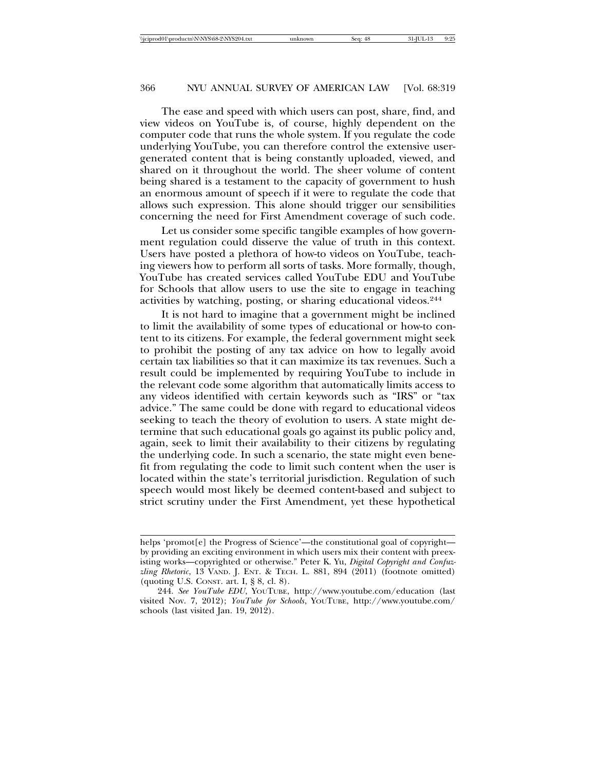The ease and speed with which users can post, share, find, and view videos on YouTube is, of course, highly dependent on the computer code that runs the whole system. If you regulate the code underlying YouTube, you can therefore control the extensive usergenerated content that is being constantly uploaded, viewed, and shared on it throughout the world. The sheer volume of content being shared is a testament to the capacity of government to hush an enormous amount of speech if it were to regulate the code that allows such expression. This alone should trigger our sensibilities concerning the need for First Amendment coverage of such code.

Let us consider some specific tangible examples of how government regulation could disserve the value of truth in this context. Users have posted a plethora of how-to videos on YouTube, teaching viewers how to perform all sorts of tasks. More formally, though, YouTube has created services called YouTube EDU and YouTube for Schools that allow users to use the site to engage in teaching activities by watching, posting, or sharing educational videos.244

It is not hard to imagine that a government might be inclined to limit the availability of some types of educational or how-to content to its citizens. For example, the federal government might seek to prohibit the posting of any tax advice on how to legally avoid certain tax liabilities so that it can maximize its tax revenues. Such a result could be implemented by requiring YouTube to include in the relevant code some algorithm that automatically limits access to any videos identified with certain keywords such as "IRS" or "tax advice." The same could be done with regard to educational videos seeking to teach the theory of evolution to users. A state might determine that such educational goals go against its public policy and, again, seek to limit their availability to their citizens by regulating the underlying code. In such a scenario, the state might even benefit from regulating the code to limit such content when the user is located within the state's territorial jurisdiction. Regulation of such speech would most likely be deemed content-based and subject to strict scrutiny under the First Amendment, yet these hypothetical

helps 'promot[e] the Progress of Science'—the constitutional goal of copyright by providing an exciting environment in which users mix their content with preexisting works—copyrighted or otherwise." Peter K. Yu, *Digital Copyright and Confuzzling Rhetoric*, 13 VAND. J. ENT. & TECH. L. 881, 894 (2011) (footnote omitted) (quoting U.S. CONST. art. I, § 8, cl. 8).

<sup>244.</sup> *See YouTube EDU*, YOUTUBE, http://www.youtube.com/education (last visited Nov. 7, 2012); *YouTube for Schools*, YOUTUBE, http://www.youtube.com/ schools (last visited Jan. 19, 2012).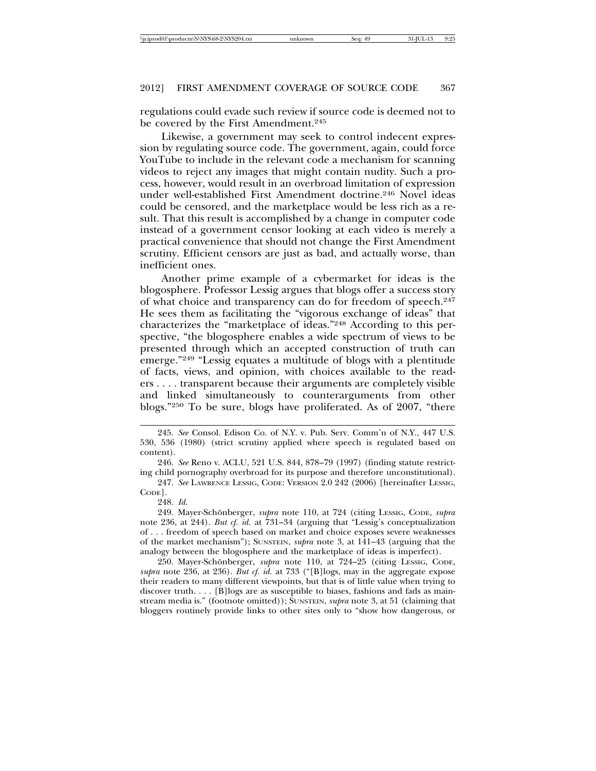regulations could evade such review if source code is deemed not to be covered by the First Amendment.<sup>245</sup>

Likewise, a government may seek to control indecent expression by regulating source code. The government, again, could force YouTube to include in the relevant code a mechanism for scanning videos to reject any images that might contain nudity. Such a process, however, would result in an overbroad limitation of expression under well-established First Amendment doctrine.246 Novel ideas could be censored, and the marketplace would be less rich as a result. That this result is accomplished by a change in computer code instead of a government censor looking at each video is merely a practical convenience that should not change the First Amendment scrutiny. Efficient censors are just as bad, and actually worse, than inefficient ones.

Another prime example of a cybermarket for ideas is the blogosphere. Professor Lessig argues that blogs offer a success story of what choice and transparency can do for freedom of speech.247 He sees them as facilitating the "vigorous exchange of ideas" that characterizes the "marketplace of ideas."248 According to this perspective, "the blogosphere enables a wide spectrum of views to be presented through which an accepted construction of truth can emerge."249 "Lessig equates a multitude of blogs with a plentitude of facts, views, and opinion, with choices available to the readers . . . . transparent because their arguments are completely visible and linked simultaneously to counterarguments from other blogs."250 To be sure, blogs have proliferated. As of 2007, "there

250. Mayer-Schönberger, *supra* note 110, at 724–25 (citing LESSIG, CODE, *supra* note 236, at 236). *But cf. id.* at 733 ("[B]logs, may in the aggregate expose their readers to many different viewpoints, but that is of little value when trying to discover truth. . . . [B]logs are as susceptible to biases, fashions and fads as mainstream media is." (footnote omitted)); SUNSTEIN, *supra* note 3, at 51 (claiming that bloggers routinely provide links to other sites only to "show how dangerous, or

<sup>245.</sup> *See* Consol. Edison Co. of N.Y. v. Pub. Serv. Comm'n of N.Y., 447 U.S. 530, 536 (1980) (strict scrutiny applied where speech is regulated based on content).

<sup>246.</sup> *See* Reno v. ACLU, 521 U.S. 844, 878–79 (1997) (finding statute restricting child pornography overbroad for its purpose and therefore unconstitutional).

<sup>247.</sup> *See* LAWRENCE LESSIG, CODE: VERSION 2.0 242 (2006) [hereinafter LESSIG, CODE].

<sup>248.</sup> *Id.*

<sup>249.</sup> Mayer-Schönberger, *supra* note 110, at 724 (citing LESSIG, CODE, *supra* note 236, at 244). *But cf. id.* at 731–34 (arguing that "Lessig's conceptualization of . . . freedom of speech based on market and choice exposes severe weaknesses of the market mechanism"); SUNSTEIN, *supra* note 3, at 141–43 (arguing that the analogy between the blogosphere and the marketplace of ideas is imperfect).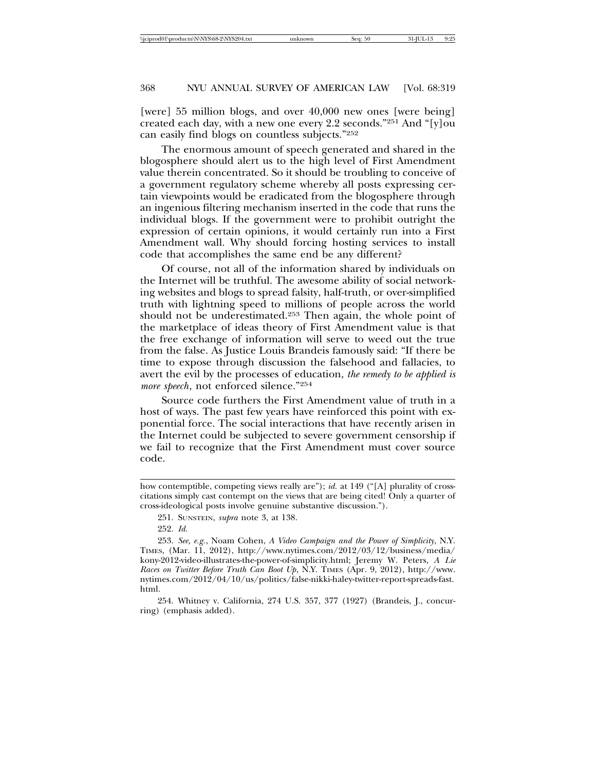[were] 55 million blogs, and over 40,000 new ones [were being] created each day, with a new one every 2.2 seconds."251 And "[y]ou can easily find blogs on countless subjects."252

The enormous amount of speech generated and shared in the blogosphere should alert us to the high level of First Amendment value therein concentrated. So it should be troubling to conceive of a government regulatory scheme whereby all posts expressing certain viewpoints would be eradicated from the blogosphere through an ingenious filtering mechanism inserted in the code that runs the individual blogs. If the government were to prohibit outright the expression of certain opinions, it would certainly run into a First Amendment wall. Why should forcing hosting services to install code that accomplishes the same end be any different?

Of course, not all of the information shared by individuals on the Internet will be truthful. The awesome ability of social networking websites and blogs to spread falsity, half-truth, or over-simplified truth with lightning speed to millions of people across the world should not be underestimated.253 Then again, the whole point of the marketplace of ideas theory of First Amendment value is that the free exchange of information will serve to weed out the true from the false. As Justice Louis Brandeis famously said: "If there be time to expose through discussion the falsehood and fallacies, to avert the evil by the processes of education, *the remedy to be applied is more speech*, not enforced silence."254

Source code furthers the First Amendment value of truth in a host of ways. The past few years have reinforced this point with exponential force. The social interactions that have recently arisen in the Internet could be subjected to severe government censorship if we fail to recognize that the First Amendment must cover source code.

how contemptible, competing views really are"); *id.* at 149 ("[A] plurality of crosscitations simply cast contempt on the views that are being cited! Only a quarter of cross-ideological posts involve genuine substantive discussion.").

<sup>251.</sup> SUNSTEIN, *supra* note 3, at 138.

<sup>252.</sup> *Id.*

<sup>253.</sup> *See, e.g.*, Noam Cohen, *A Video Campaign and the Power of Simplicity*, N.Y. TIMES, (Mar. 11, 2012), http://www.nytimes.com/2012/03/12/business/media/ kony-2012-video-illustrates-the-power-of-simplicity.html; Jeremy W. Peters, *A Lie Races on Twitter Before Truth Can Boot Up*, N.Y. TIMES (Apr. 9, 2012), http://www. nytimes.com/2012/04/10/us/politics/false-nikki-haley-twitter-report-spreads-fast. html.

<sup>254.</sup> Whitney v. California, 274 U.S. 357, 377 (1927) (Brandeis, J., concurring) (emphasis added).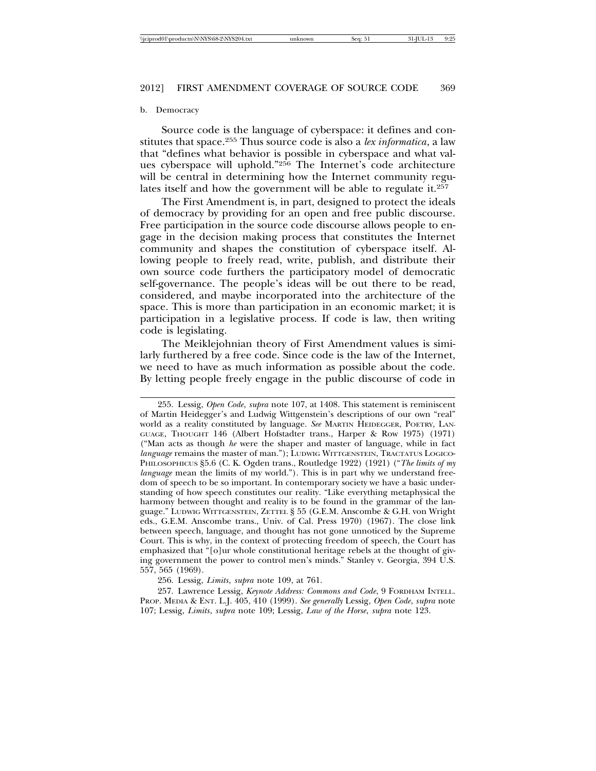#### b. Democracy

Source code is the language of cyberspace: it defines and constitutes that space.255 Thus source code is also a *lex informatica*, a law that "defines what behavior is possible in cyberspace and what values cyberspace will uphold."256 The Internet's code architecture will be central in determining how the Internet community regulates itself and how the government will be able to regulate it.<sup>257</sup>

The First Amendment is, in part, designed to protect the ideals of democracy by providing for an open and free public discourse. Free participation in the source code discourse allows people to engage in the decision making process that constitutes the Internet community and shapes the constitution of cyberspace itself. Allowing people to freely read, write, publish, and distribute their own source code furthers the participatory model of democratic self-governance. The people's ideas will be out there to be read, considered, and maybe incorporated into the architecture of the space. This is more than participation in an economic market; it is participation in a legislative process. If code is law, then writing code is legislating.

The Meiklejohnian theory of First Amendment values is similarly furthered by a free code. Since code is the law of the Internet, we need to have as much information as possible about the code. By letting people freely engage in the public discourse of code in

256. Lessig, *Limits*, *supra* note 109, at 761.

257. Lawrence Lessig, *Keynote Address: Commons and Code*, 9 FORDHAM INTELL. PROP. MEDIA & ENT. L.J. 405, 410 (1999). *See generally* Lessig, *Open Code*, *supra* note 107; Lessig, *Limits*, *supra* note 109; Lessig, *Law of the Horse*, *supra* note 123.

<sup>255.</sup> Lessig, *Open Code*, *supra* note 107, at 1408. This statement is reminiscent of Martin Heidegger's and Ludwig Wittgenstein's descriptions of our own "real" world as a reality constituted by language. *See* MARTIN HEIDEGGER, POETRY, LAN-GUAGE, THOUGHT 146 (Albert Hofstadter trans., Harper & Row 1975) (1971) ("Man acts as though *he* were the shaper and master of language, while in fact *language* remains the master of man."); LUDWIG WITTGENSTEIN, TRACTATUS LOGICO-PHILOSOPHICUS §5.6 (C. K. Ogden trans., Routledge 1922) (1921) ("*The limits of my language* mean the limits of my world."). This is in part why we understand freedom of speech to be so important. In contemporary society we have a basic understanding of how speech constitutes our reality. "Like everything metaphysical the harmony between thought and reality is to be found in the grammar of the language." LUDWIG WITTGENSTEIN, ZETTEL § 55 (G.E.M. Anscombe & G.H. von Wright eds., G.E.M. Anscombe trans., Univ. of Cal. Press 1970) (1967). The close link between speech, language, and thought has not gone unnoticed by the Supreme Court. This is why, in the context of protecting freedom of speech, the Court has emphasized that "[o]ur whole constitutional heritage rebels at the thought of giving government the power to control men's minds." Stanley v. Georgia, 394 U.S. 557, 565 (1969).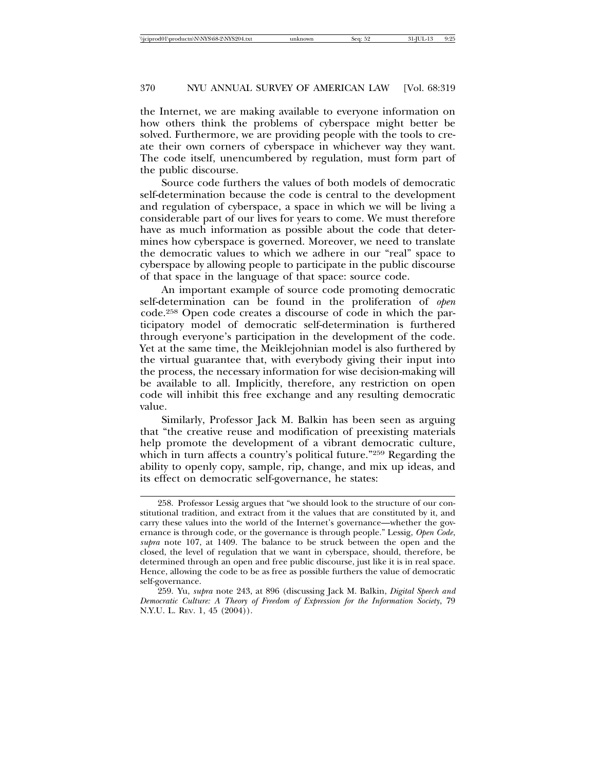the Internet, we are making available to everyone information on how others think the problems of cyberspace might better be solved. Furthermore, we are providing people with the tools to create their own corners of cyberspace in whichever way they want. The code itself, unencumbered by regulation, must form part of the public discourse.

Source code furthers the values of both models of democratic self-determination because the code is central to the development and regulation of cyberspace, a space in which we will be living a considerable part of our lives for years to come. We must therefore have as much information as possible about the code that determines how cyberspace is governed. Moreover, we need to translate the democratic values to which we adhere in our "real" space to cyberspace by allowing people to participate in the public discourse of that space in the language of that space: source code.

An important example of source code promoting democratic self-determination can be found in the proliferation of *open* code.258 Open code creates a discourse of code in which the participatory model of democratic self-determination is furthered through everyone's participation in the development of the code. Yet at the same time, the Meiklejohnian model is also furthered by the virtual guarantee that, with everybody giving their input into the process, the necessary information for wise decision-making will be available to all. Implicitly, therefore, any restriction on open code will inhibit this free exchange and any resulting democratic value.

Similarly, Professor Jack M. Balkin has been seen as arguing that "the creative reuse and modification of preexisting materials help promote the development of a vibrant democratic culture, which in turn affects a country's political future."259 Regarding the ability to openly copy, sample, rip, change, and mix up ideas, and its effect on democratic self-governance, he states:

<sup>258.</sup> Professor Lessig argues that "we should look to the structure of our constitutional tradition, and extract from it the values that are constituted by it, and carry these values into the world of the Internet's governance—whether the governance is through code, or the governance is through people." Lessig, *Open Code*, *supra* note 107, at 1409. The balance to be struck between the open and the closed, the level of regulation that we want in cyberspace, should, therefore, be determined through an open and free public discourse, just like it is in real space. Hence, allowing the code to be as free as possible furthers the value of democratic self-governance.

<sup>259.</sup> Yu, *supra* note 243, at 896 (discussing Jack M. Balkin, *Digital Speech and Democratic Culture: A Theory of Freedom of Expression for the Information Society*, 79 N.Y.U. L. REV. 1, 45 (2004)).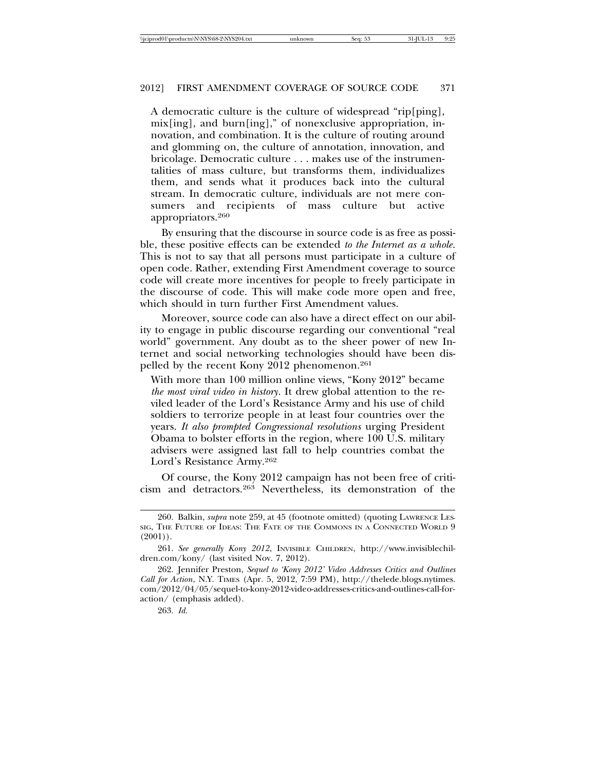A democratic culture is the culture of widespread "rip[ping], mix[ing], and burn[ing]," of nonexclusive appropriation, innovation, and combination. It is the culture of routing around and glomming on, the culture of annotation, innovation, and bricolage. Democratic culture . . . makes use of the instrumentalities of mass culture, but transforms them, individualizes them, and sends what it produces back into the cultural stream. In democratic culture, individuals are not mere consumers and recipients of mass culture but active appropriators.260

By ensuring that the discourse in source code is as free as possible, these positive effects can be extended *to the Internet as a whole*. This is not to say that all persons must participate in a culture of open code. Rather, extending First Amendment coverage to source code will create more incentives for people to freely participate in the discourse of code. This will make code more open and free, which should in turn further First Amendment values.

Moreover, source code can also have a direct effect on our ability to engage in public discourse regarding our conventional "real world" government. Any doubt as to the sheer power of new Internet and social networking technologies should have been dispelled by the recent Kony 2012 phenomenon.261

With more than 100 million online views, "Kony 2012" became *the most viral video in history*. It drew global attention to the reviled leader of the Lord's Resistance Army and his use of child soldiers to terrorize people in at least four countries over the years. *It also prompted Congressional resolutions* urging President Obama to bolster efforts in the region, where 100 U.S. military advisers were assigned last fall to help countries combat the Lord's Resistance Army.262

Of course, the Kony 2012 campaign has not been free of criticism and detractors.263 Nevertheless, its demonstration of the

<sup>260.</sup> Balkin, *supra* note 259, at 45 (footnote omitted) (quoting LAWRENCE LES-SIG, THE FUTURE OF IDEAS: THE FATE OF THE COMMONS IN A CONNECTED WORLD 9  $(2001)$ .

<sup>261.</sup> *See generally Kony 2012*, INVISIBLE CHILDREN, http://www.invisiblechildren.com/kony/ (last visited Nov. 7, 2012).

<sup>262.</sup> Jennifer Preston, *Sequel to 'Kony 2012' Video Addresses Critics and Outlines Call for Action*, N.Y. TIMES (Apr. 5, 2012, 7:59 PM), http://thelede.blogs.nytimes. com/2012/04/05/sequel-to-kony-2012-video-addresses-critics-and-outlines-call-foraction/ (emphasis added).

<sup>263.</sup> *Id.*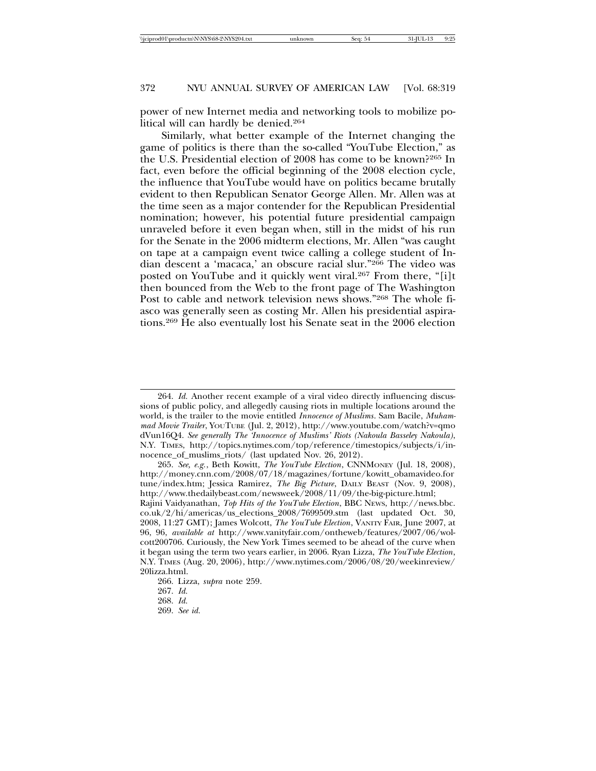power of new Internet media and networking tools to mobilize political will can hardly be denied.264

Similarly, what better example of the Internet changing the game of politics is there than the so-called "YouTube Election," as the U.S. Presidential election of 2008 has come to be known?265 In fact, even before the official beginning of the 2008 election cycle, the influence that YouTube would have on politics became brutally evident to then Republican Senator George Allen. Mr. Allen was at the time seen as a major contender for the Republican Presidential nomination; however, his potential future presidential campaign unraveled before it even began when, still in the midst of his run for the Senate in the 2006 midterm elections, Mr. Allen "was caught on tape at a campaign event twice calling a college student of Indian descent a 'macaca,' an obscure racial slur."266 The video was posted on YouTube and it quickly went viral.<sup>267</sup> From there, "[i]t then bounced from the Web to the front page of The Washington Post to cable and network television news shows."268 The whole fiasco was generally seen as costing Mr. Allen his presidential aspirations.269 He also eventually lost his Senate seat in the 2006 election

269. *See id.*

<sup>264.</sup> *Id.* Another recent example of a viral video directly influencing discussions of public policy, and allegedly causing riots in multiple locations around the world, is the trailer to the movie entitled *Innocence of Muslims*. Sam Bacile, *Muhammad Movie Trailer*, YOUTUBE (Jul. 2, 2012), http://www.youtube.com/watch?v=qmo dVun16Q4. *See generally The 'Innocence of Muslims' Riots (Nakoula Basseley Nakoula)*, N.Y. TIMES, http://topics.nytimes.com/top/reference/timestopics/subjects/i/innocence\_of\_muslims\_riots/ (last updated Nov. 26, 2012).

<sup>265.</sup> *See, e.g.*, Beth Kowitt, *The YouTube Election*, CNNMONEY (Jul. 18, 2008), http://money.cnn.com/2008/07/18/magazines/fortune/kowitt\_obamavideo.for tune/index.htm; Jessica Ramirez, *The Big Picture*, DAILY BEAST (Nov. 9, 2008), http://www.thedailybeast.com/newsweek/2008/11/09/the-big-picture.html;

Rajini Vaidyanathan, *Top Hits of the YouTube Election*, BBC NEWS, http://news.bbc. co.uk/2/hi/americas/us\_elections\_2008/7699509.stm (last updated Oct. 30, 2008, 11:27 GMT); James Wolcott, *The YouTube Election*, VANITY FAIR, June 2007, at 96, 96, *available at* http://www.vanityfair.com/ontheweb/features/2007/06/wolcott200706. Curiously, the New York Times seemed to be ahead of the curve when it began using the term two years earlier, in 2006. Ryan Lizza, *The YouTube Election*, N.Y. TIMES (Aug. 20, 2006), http://www.nytimes.com/2006/08/20/weekinreview/ 20lizza.html.

<sup>266.</sup> Lizza, *supra* note 259.

<sup>267.</sup> *Id.*

<sup>268.</sup> *Id.*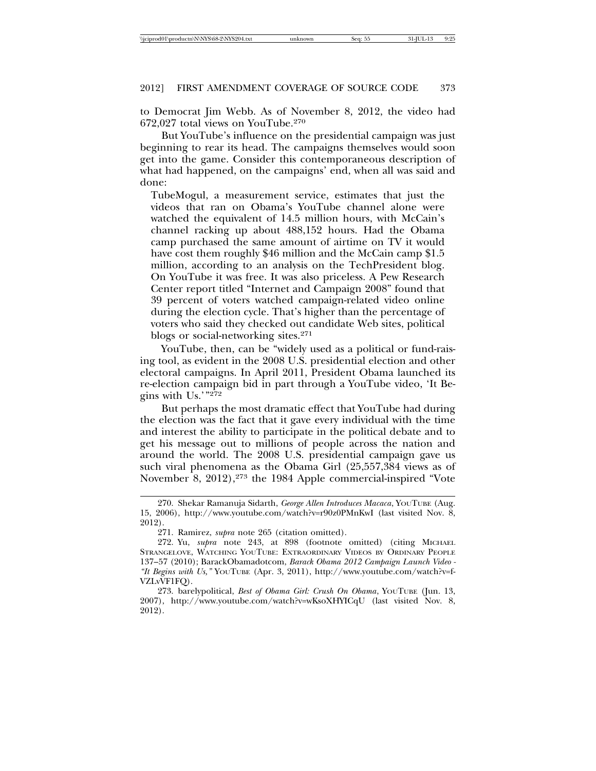to Democrat Jim Webb. As of November 8, 2012, the video had 672,027 total views on YouTube.270

But YouTube's influence on the presidential campaign was just beginning to rear its head. The campaigns themselves would soon get into the game. Consider this contemporaneous description of what had happened, on the campaigns' end, when all was said and done:

TubeMogul, a measurement service, estimates that just the videos that ran on Obama's YouTube channel alone were watched the equivalent of 14.5 million hours, with McCain's channel racking up about 488,152 hours. Had the Obama camp purchased the same amount of airtime on TV it would have cost them roughly \$46 million and the McCain camp \$1.5 million, according to an analysis on the TechPresident blog. On YouTube it was free. It was also priceless. A Pew Research Center report titled "Internet and Campaign 2008" found that 39 percent of voters watched campaign-related video online during the election cycle. That's higher than the percentage of voters who said they checked out candidate Web sites, political blogs or social-networking sites.271

YouTube, then, can be "widely used as a political or fund-raising tool, as evident in the 2008 U.S. presidential election and other electoral campaigns. In April 2011, President Obama launched its re-election campaign bid in part through a YouTube video, 'It Begins with Us.'"272

But perhaps the most dramatic effect that YouTube had during the election was the fact that it gave every individual with the time and interest the ability to participate in the political debate and to get his message out to millions of people across the nation and around the world. The 2008 U.S. presidential campaign gave us such viral phenomena as the Obama Girl (25,557,384 views as of November 8, 2012),273 the 1984 Apple commercial-inspired "Vote

<sup>270.</sup> Shekar Ramanuja Sidarth, *George Allen Introduces Macaca*, YOUTUBE (Aug. 15, 2006), http://www.youtube.com/watch?v=r90z0PMnKwI (last visited Nov. 8, 2012).

<sup>271.</sup> Ramirez, *supra* note 265 (citation omitted).

<sup>272.</sup> Yu, *supra* note 243, at 898 (footnote omitted) (citing MICHAEL STRANGELOVE, WATCHING YOUTUBE: EXTRAORDINARY VIDEOS BY ORDINARY PEOPLE 137–57 (2010); BarackObamadotcom, *Barack Obama 2012 Campaign Launch Video - "It Begins with Us,"* YOUTUBE (Apr. 3, 2011), http://www.youtube.com/watch?v=f-VZLvVF1FQ).

<sup>273.</sup> barelypolitical, *Best of Obama Girl: Crush On Obama*, YOUTUBE (Jun. 13, 2007), http://www.youtube.com/watch?v=wKsoXHYICqU (last visited Nov. 8, 2012).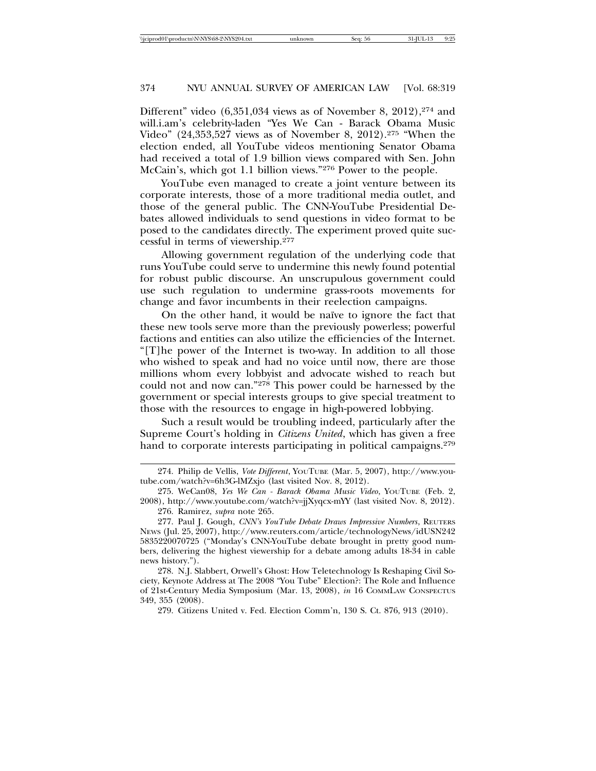Different" video  $(6,351,034)$  views as of November 8, 2012),<sup>274</sup> and will.i.am's celebrity-laden "Yes We Can - Barack Obama Music Video" (24,353,527 views as of November 8, 2012).275 "When the election ended, all YouTube videos mentioning Senator Obama had received a total of 1.9 billion views compared with Sen. John McCain's, which got 1.1 billion views."276 Power to the people.

YouTube even managed to create a joint venture between its corporate interests, those of a more traditional media outlet, and those of the general public. The CNN-YouTube Presidential Debates allowed individuals to send questions in video format to be posed to the candidates directly. The experiment proved quite successful in terms of viewership.277

Allowing government regulation of the underlying code that runs YouTube could serve to undermine this newly found potential for robust public discourse. An unscrupulous government could use such regulation to undermine grass-roots movements for change and favor incumbents in their reelection campaigns.

On the other hand, it would be naïve to ignore the fact that these new tools serve more than the previously powerless; powerful factions and entities can also utilize the efficiencies of the Internet. "[T]he power of the Internet is two-way. In addition to all those who wished to speak and had no voice until now, there are those millions whom every lobbyist and advocate wished to reach but could not and now can."278 This power could be harnessed by the government or special interests groups to give special treatment to those with the resources to engage in high-powered lobbying.

Such a result would be troubling indeed, particularly after the Supreme Court's holding in *Citizens United*, which has given a free hand to corporate interests participating in political campaigns.<sup>279</sup>

279. Citizens United v. Fed. Election Comm'n, 130 S. Ct. 876, 913 (2010).

<sup>274.</sup> Philip de Vellis, *Vote Different*, YOUTUBE (Mar. 5, 2007), http://www.youtube.com/watch?v=6h3G-lMZxjo (last visited Nov. 8, 2012).

<sup>275.</sup> WeCan08, *Yes We Can - Barack Obama Music Video*, YOUTUBE (Feb. 2, 2008), http://www.youtube.com/watch?v=jjXyqcx-mYY (last visited Nov. 8, 2012). 276. Ramirez, *supra* note 265.

<sup>277.</sup> Paul J. Gough, *CNN's YouTube Debate Draws Impressive Numbers*, REUTERS NEWS (Jul. 25, 2007), http://www.reuters.com/article/technologyNews/idUSN242 5835220070725 ("Monday's CNN-YouTube debate brought in pretty good numbers, delivering the highest viewership for a debate among adults 18-34 in cable news history.").

<sup>278.</sup> N.J. Slabbert, Orwell's Ghost: How Teletechnology Is Reshaping Civil Society, Keynote Address at The 2008 "You Tube" Election?: The Role and Influence of 21st-Century Media Symposium (Mar. 13, 2008), *in* 16 COMMLAW CONSPECTUS 349, 355 (2008).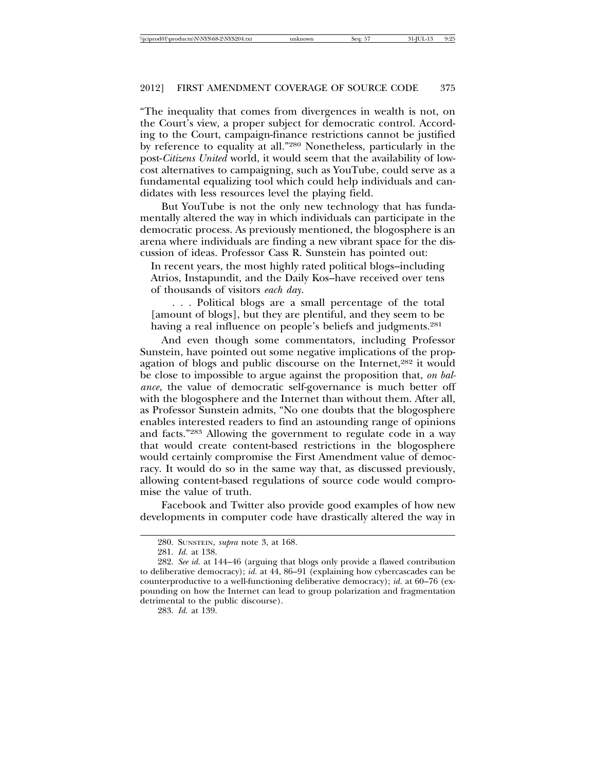"The inequality that comes from divergences in wealth is not, on the Court's view, a proper subject for democratic control. According to the Court, campaign-finance restrictions cannot be justified by reference to equality at all."280 Nonetheless, particularly in the post-*Citizens United* world, it would seem that the availability of lowcost alternatives to campaigning, such as YouTube, could serve as a fundamental equalizing tool which could help individuals and candidates with less resources level the playing field.

But YouTube is not the only new technology that has fundamentally altered the way in which individuals can participate in the democratic process. As previously mentioned, the blogosphere is an arena where individuals are finding a new vibrant space for the discussion of ideas. Professor Cass R. Sunstein has pointed out:

In recent years, the most highly rated political blogs–including Atrios, Instapundit, and the Daily Kos–have received over tens of thousands of visitors *each day*.

. . . Political blogs are a small percentage of the total [amount of blogs], but they are plentiful, and they seem to be having a real influence on people's beliefs and judgments.<sup>281</sup>

And even though some commentators, including Professor Sunstein, have pointed out some negative implications of the propagation of blogs and public discourse on the Internet,<sup>282</sup> it would be close to impossible to argue against the proposition that, *on balance*, the value of democratic self-governance is much better off with the blogosphere and the Internet than without them. After all, as Professor Sunstein admits, "No one doubts that the blogosphere enables interested readers to find an astounding range of opinions and facts."283 Allowing the government to regulate code in a way that would create content-based restrictions in the blogosphere would certainly compromise the First Amendment value of democracy. It would do so in the same way that, as discussed previously, allowing content-based regulations of source code would compromise the value of truth.

Facebook and Twitter also provide good examples of how new developments in computer code have drastically altered the way in

<sup>280.</sup> SUNSTEIN, *supra* note 3, at 168.

<sup>281.</sup> *Id.* at 138.

<sup>282.</sup> *See id.* at 144–46 (arguing that blogs only provide a flawed contribution to deliberative democracy); *id.* at 44, 86–91 (explaining how cybercascades can be counterproductive to a well-functioning deliberative democracy); *id.* at 60–76 (expounding on how the Internet can lead to group polarization and fragmentation detrimental to the public discourse).

<sup>283.</sup> *Id.* at 139.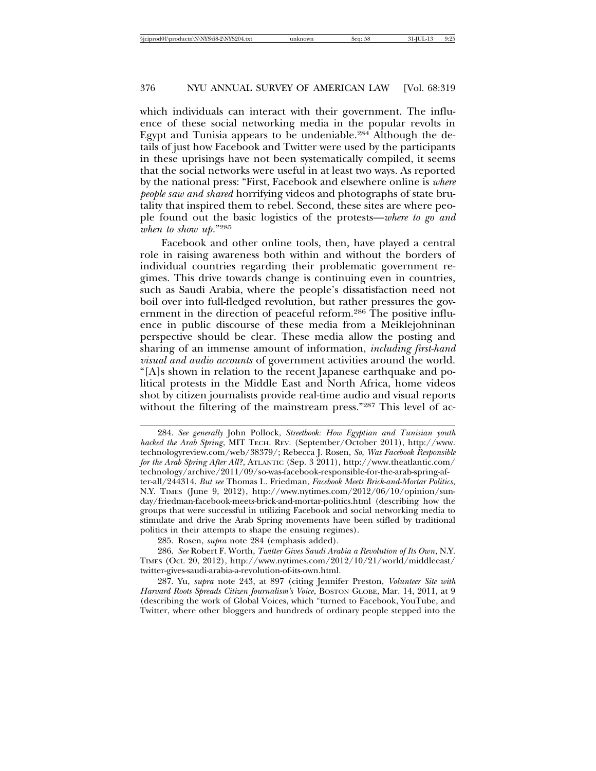which individuals can interact with their government. The influence of these social networking media in the popular revolts in Egypt and Tunisia appears to be undeniable.284 Although the details of just how Facebook and Twitter were used by the participants in these uprisings have not been systematically compiled, it seems that the social networks were useful in at least two ways. As reported by the national press: "First, Facebook and elsewhere online is *where people saw and shared* horrifying videos and photographs of state brutality that inspired them to rebel. Second, these sites are where people found out the basic logistics of the protests—*where to go and when to show up*."285

Facebook and other online tools, then, have played a central role in raising awareness both within and without the borders of individual countries regarding their problematic government regimes. This drive towards change is continuing even in countries, such as Saudi Arabia, where the people's dissatisfaction need not boil over into full-fledged revolution, but rather pressures the government in the direction of peaceful reform.<sup>286</sup> The positive influence in public discourse of these media from a Meiklejohninan perspective should be clear. These media allow the posting and sharing of an immense amount of information, *including first-hand visual and audio accounts* of government activities around the world. "[A]s shown in relation to the recent Japanese earthquake and political protests in the Middle East and North Africa, home videos shot by citizen journalists provide real-time audio and visual reports without the filtering of the mainstream press."287 This level of ac-

<sup>284.</sup> *See generally* John Pollock, *Streetbook: How Egyptian and Tunisian youth hacked the Arab Spring*, MIT TECH. REV. (September/October 2011), http://www. technologyreview.com/web/38379/; Rebecca J. Rosen, *So, Was Facebook Responsible for the Arab Spring After All?*, ATLANTIC (Sep. 3 2011), http://www.theatlantic.com/ technology/archive/2011/09/so-was-facebook-responsible-for-the-arab-spring-after-all/244314. *But see* Thomas L. Friedman, *Facebook Meets Brick-and-Mortar Politics*, N.Y. TIMES (June 9, 2012), http://www.nytimes.com/2012/06/10/opinion/sunday/friedman-facebook-meets-brick-and-mortar-politics.html (describing how the groups that were successful in utilizing Facebook and social networking media to stimulate and drive the Arab Spring movements have been stifled by traditional politics in their attempts to shape the ensuing regimes).

<sup>285.</sup> Rosen, *supra* note 284 (emphasis added).

<sup>286.</sup> *See* Robert F. Worth, *Twitter Gives Saudi Arabia a Revolution of Its Own*, N.Y. TIMES (Oct. 20, 2012), http://www.nytimes.com/2012/10/21/world/middleeast/ twitter-gives-saudi-arabia-a-revolution-of-its-own.html.

<sup>287.</sup> Yu, *supra* note 243, at 897 (citing Jennifer Preston, *Volunteer Site with Harvard Roots Spreads Citizen Journalism's Voice*, BOSTON GLOBE, Mar. 14, 2011, at 9 (describing the work of Global Voices, which "turned to Facebook, YouTube, and Twitter, where other bloggers and hundreds of ordinary people stepped into the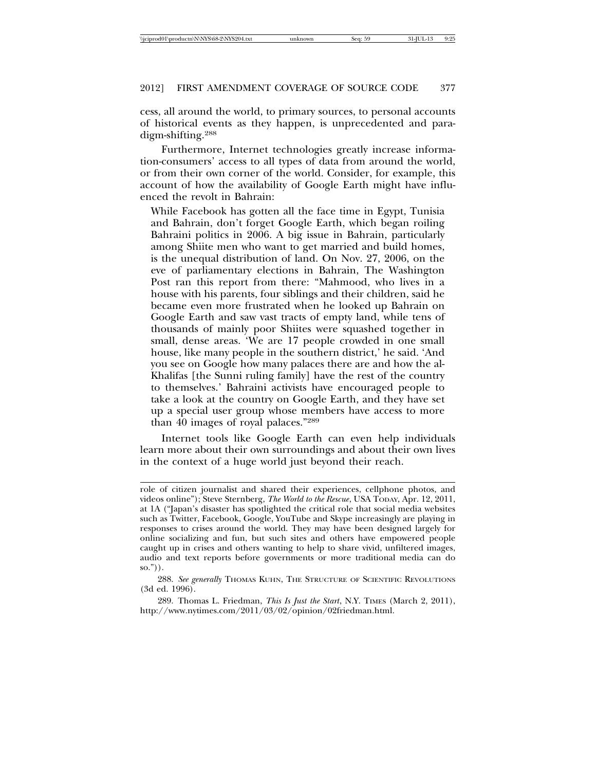cess, all around the world, to primary sources, to personal accounts of historical events as they happen, is unprecedented and paradigm-shifting.288

Furthermore, Internet technologies greatly increase information-consumers' access to all types of data from around the world, or from their own corner of the world. Consider, for example, this account of how the availability of Google Earth might have influenced the revolt in Bahrain:

While Facebook has gotten all the face time in Egypt, Tunisia and Bahrain, don't forget Google Earth, which began roiling Bahraini politics in 2006. A big issue in Bahrain, particularly among Shiite men who want to get married and build homes, is the unequal distribution of land. On Nov. 27, 2006, on the eve of parliamentary elections in Bahrain, The Washington Post ran this report from there: "Mahmood, who lives in a house with his parents, four siblings and their children, said he became even more frustrated when he looked up Bahrain on Google Earth and saw vast tracts of empty land, while tens of thousands of mainly poor Shiites were squashed together in small, dense areas. 'We are 17 people crowded in one small house, like many people in the southern district,' he said. 'And you see on Google how many palaces there are and how the al-Khalifas [the Sunni ruling family] have the rest of the country to themselves.' Bahraini activists have encouraged people to take a look at the country on Google Earth, and they have set up a special user group whose members have access to more than 40 images of royal palaces."289

Internet tools like Google Earth can even help individuals learn more about their own surroundings and about their own lives in the context of a huge world just beyond their reach.

289. Thomas L. Friedman, *This Is Just the Start*, N.Y. TIMES (March 2, 2011), http://www.nytimes.com/2011/03/02/opinion/02friedman.html.

role of citizen journalist and shared their experiences, cellphone photos, and videos online"); Steve Sternberg, *The World to the Rescue*, USA TODAY, Apr. 12, 2011, at 1A ("Japan's disaster has spotlighted the critical role that social media websites such as Twitter, Facebook, Google, YouTube and Skype increasingly are playing in responses to crises around the world. They may have been designed largely for online socializing and fun, but such sites and others have empowered people caught up in crises and others wanting to help to share vivid, unfiltered images, audio and text reports before governments or more traditional media can do  $so.")$ ).

<sup>288.</sup> *See generally* THOMAS KUHN, THE STRUCTURE OF SCIENTIFIC REVOLUTIONS (3d ed. 1996).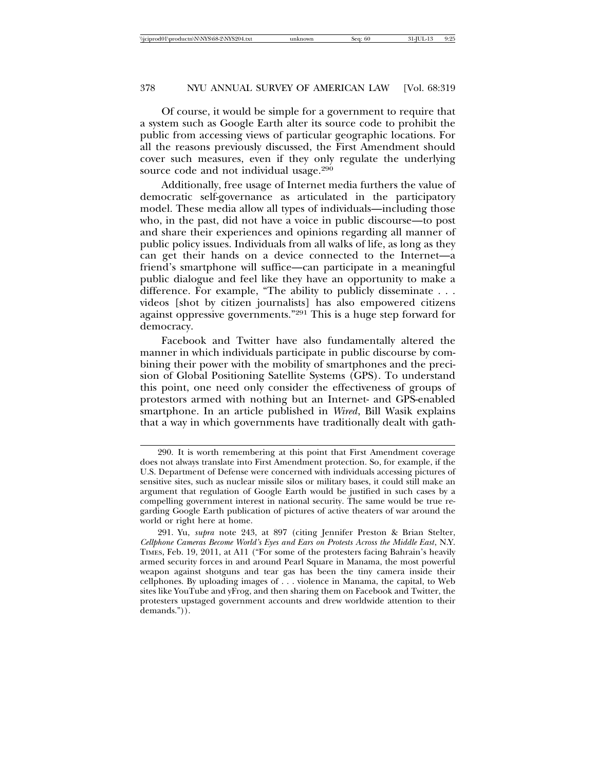Of course, it would be simple for a government to require that a system such as Google Earth alter its source code to prohibit the public from accessing views of particular geographic locations. For all the reasons previously discussed, the First Amendment should cover such measures, even if they only regulate the underlying source code and not individual usage.<sup>290</sup>

Additionally, free usage of Internet media furthers the value of democratic self-governance as articulated in the participatory model. These media allow all types of individuals—including those who, in the past, did not have a voice in public discourse—to post and share their experiences and opinions regarding all manner of public policy issues. Individuals from all walks of life, as long as they can get their hands on a device connected to the Internet—a friend's smartphone will suffice—can participate in a meaningful public dialogue and feel like they have an opportunity to make a difference. For example, "The ability to publicly disseminate . . . videos [shot by citizen journalists] has also empowered citizens against oppressive governments."291 This is a huge step forward for democracy.

Facebook and Twitter have also fundamentally altered the manner in which individuals participate in public discourse by combining their power with the mobility of smartphones and the precision of Global Positioning Satellite Systems (GPS). To understand this point, one need only consider the effectiveness of groups of protestors armed with nothing but an Internet- and GPS-enabled smartphone. In an article published in *Wired*, Bill Wasik explains that a way in which governments have traditionally dealt with gath-

<sup>290.</sup> It is worth remembering at this point that First Amendment coverage does not always translate into First Amendment protection. So, for example, if the U.S. Department of Defense were concerned with individuals accessing pictures of sensitive sites, such as nuclear missile silos or military bases, it could still make an argument that regulation of Google Earth would be justified in such cases by a compelling government interest in national security. The same would be true regarding Google Earth publication of pictures of active theaters of war around the world or right here at home.

<sup>291.</sup> Yu, *supra* note 243, at 897 (citing Jennifer Preston & Brian Stelter, *Cellphone Cameras Become World's Eyes and Ears on Protests Across the Middle East*, N.Y. TIMES, Feb. 19, 2011, at A11 ("For some of the protesters facing Bahrain's heavily armed security forces in and around Pearl Square in Manama, the most powerful weapon against shotguns and tear gas has been the tiny camera inside their cellphones. By uploading images of . . . violence in Manama, the capital, to Web sites like YouTube and yFrog, and then sharing them on Facebook and Twitter, the protesters upstaged government accounts and drew worldwide attention to their demands.")).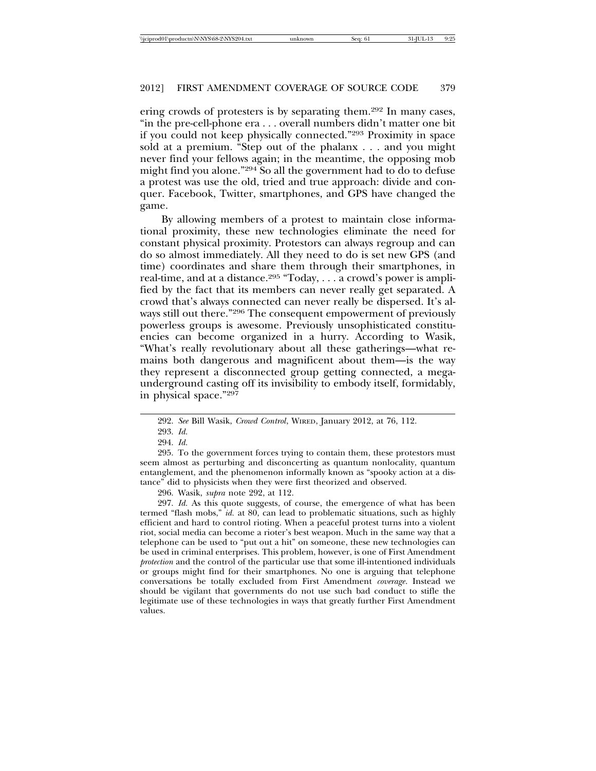ering crowds of protesters is by separating them.292 In many cases, "in the pre-cell-phone era . . . overall numbers didn't matter one bit if you could not keep physically connected."293 Proximity in space sold at a premium. "Step out of the phalanx . . . and you might never find your fellows again; in the meantime, the opposing mob might find you alone."294 So all the government had to do to defuse a protest was use the old, tried and true approach: divide and conquer. Facebook, Twitter, smartphones, and GPS have changed the game.

By allowing members of a protest to maintain close informational proximity, these new technologies eliminate the need for constant physical proximity. Protestors can always regroup and can do so almost immediately. All they need to do is set new GPS (and time) coordinates and share them through their smartphones, in real-time, and at a distance.295 "Today, . . . a crowd's power is amplified by the fact that its members can never really get separated. A crowd that's always connected can never really be dispersed. It's always still out there."296 The consequent empowerment of previously powerless groups is awesome. Previously unsophisticated constituencies can become organized in a hurry. According to Wasik, "What's really revolutionary about all these gatherings—what remains both dangerous and magnificent about them—is the way they represent a disconnected group getting connected, a megaunderground casting off its invisibility to embody itself, formidably, in physical space."297

295. To the government forces trying to contain them, these protestors must seem almost as perturbing and disconcerting as quantum nonlocality, quantum entanglement, and the phenomenon informally known as "spooky action at a distance" did to physicists when they were first theorized and observed.

296. Wasik, *supra* note 292, at 112.

297. *Id.* As this quote suggests, of course, the emergence of what has been termed "flash mobs," *id.* at 80, can lead to problematic situations, such as highly efficient and hard to control rioting. When a peaceful protest turns into a violent riot, social media can become a rioter's best weapon. Much in the same way that a telephone can be used to "put out a hit" on someone, these new technologies can be used in criminal enterprises. This problem, however, is one of First Amendment *protection* and the control of the particular use that some ill-intentioned individuals or groups might find for their smartphones. No one is arguing that telephone conversations be totally excluded from First Amendment *coverage*. Instead we should be vigilant that governments do not use such bad conduct to stifle the legitimate use of these technologies in ways that greatly further First Amendment values.

<sup>292.</sup> *See* Bill Wasik, *Crowd Control*, WIRED, January 2012, at 76, 112.

<sup>293.</sup> *Id.*

<sup>294.</sup> *Id.*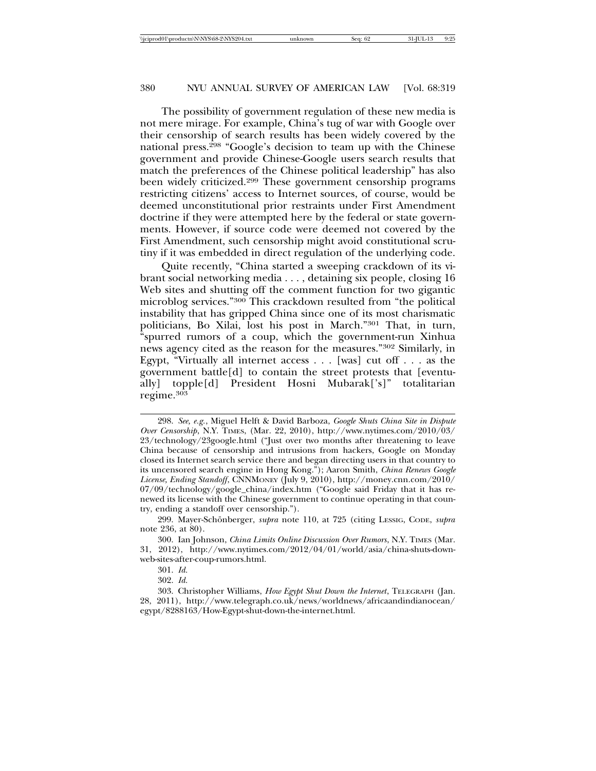The possibility of government regulation of these new media is not mere mirage. For example, China's tug of war with Google over their censorship of search results has been widely covered by the national press.298 "Google's decision to team up with the Chinese government and provide Chinese-Google users search results that match the preferences of the Chinese political leadership" has also been widely criticized.299 These government censorship programs restricting citizens' access to Internet sources, of course, would be deemed unconstitutional prior restraints under First Amendment doctrine if they were attempted here by the federal or state governments. However, if source code were deemed not covered by the First Amendment, such censorship might avoid constitutional scrutiny if it was embedded in direct regulation of the underlying code.

Quite recently, "China started a sweeping crackdown of its vibrant social networking media . . . , detaining six people, closing 16 Web sites and shutting off the comment function for two gigantic microblog services."300 This crackdown resulted from "the political instability that has gripped China since one of its most charismatic politicians, Bo Xilai, lost his post in March."301 That, in turn, "spurred rumors of a coup, which the government-run Xinhua news agency cited as the reason for the measures."302 Similarly, in Egypt, "Virtually all internet access . . . [was] cut off . . . as the government battle[d] to contain the street protests that [eventually] topple[d] President Hosni Mubarak['s]" totalitarian regime.303

<sup>298.</sup> *See, e.g.*, Miguel Helft & David Barboza, *Google Shuts China Site in Dispute Over Censorship*, N.Y. TIMES, (Mar. 22, 2010), http://www.nytimes.com/2010/03/ 23/technology/23google.html ("Just over two months after threatening to leave China because of censorship and intrusions from hackers, Google on Monday closed its Internet search service there and began directing users in that country to its uncensored search engine in Hong Kong."); Aaron Smith, *China Renews Google License, Ending Standoff*, CNNMONEY (July 9, 2010), http://money.cnn.com/2010/ 07/09/technology/google\_china/index.htm ("Google said Friday that it has renewed its license with the Chinese government to continue operating in that country, ending a standoff over censorship.").

<sup>299.</sup> Mayer-Schönberger, *supra* note 110, at 725 (citing LESSIG, CODE, *supra* note 236, at 80).

<sup>300.</sup> Ian Johnson, *China Limits Online Discussion Over Rumors*, N.Y. TIMES (Mar. 31, 2012), http://www.nytimes.com/2012/04/01/world/asia/china-shuts-downweb-sites-after-coup-rumors.html.

<sup>301.</sup> *Id.*

<sup>302.</sup> *Id.*

<sup>303.</sup> Christopher Williams, *How Egypt Shut Down the Internet*, TELEGRAPH (Jan. 28, 2011), http://www.telegraph.co.uk/news/worldnews/africaandindianocean/ egypt/8288163/How-Egypt-shut-down-the-internet.html.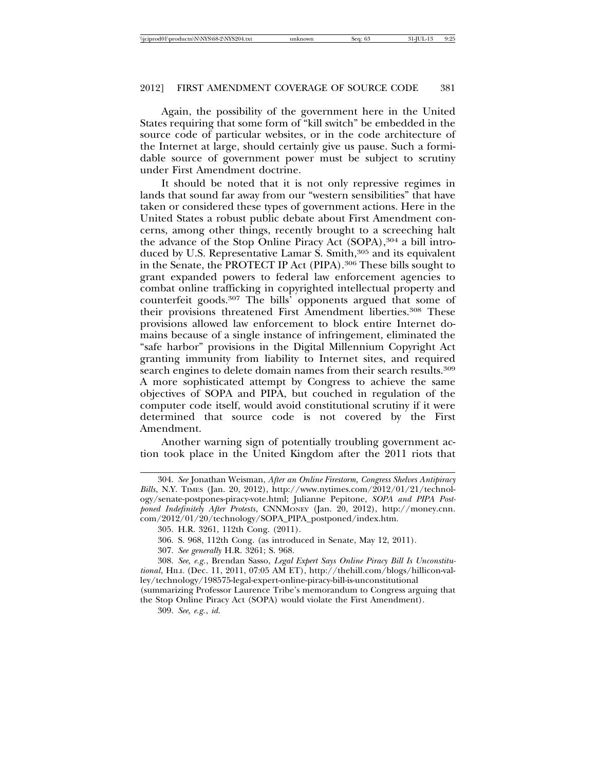Again, the possibility of the government here in the United States requiring that some form of "kill switch" be embedded in the source code of particular websites, or in the code architecture of the Internet at large, should certainly give us pause. Such a formidable source of government power must be subject to scrutiny under First Amendment doctrine.

It should be noted that it is not only repressive regimes in lands that sound far away from our "western sensibilities" that have taken or considered these types of government actions. Here in the United States a robust public debate about First Amendment concerns, among other things, recently brought to a screeching halt the advance of the Stop Online Piracy Act (SOPA),<sup>304</sup> a bill introduced by U.S. Representative Lamar S. Smith,<sup>305</sup> and its equivalent in the Senate, the PROTECT IP Act (PIPA).306 These bills sought to grant expanded powers to federal law enforcement agencies to combat online trafficking in copyrighted intellectual property and counterfeit goods.307 The bills' opponents argued that some of their provisions threatened First Amendment liberties.308 These provisions allowed law enforcement to block entire Internet domains because of a single instance of infringement, eliminated the "safe harbor" provisions in the Digital Millennium Copyright Act granting immunity from liability to Internet sites, and required search engines to delete domain names from their search results.<sup>309</sup> A more sophisticated attempt by Congress to achieve the same objectives of SOPA and PIPA, but couched in regulation of the computer code itself, would avoid constitutional scrutiny if it were determined that source code is not covered by the First Amendment.

Another warning sign of potentially troubling government action took place in the United Kingdom after the 2011 riots that

<sup>304.</sup> *See* Jonathan Weisman, *After an Online Firestorm, Congress Shelves Antipiracy Bills*, N.Y. TIMES (Jan. 20, 2012), http://www.nytimes.com/2012/01/21/technology/senate-postpones-piracy-vote.html; Julianne Pepitone, *SOPA and PIPA Postponed Indefinitely After Protests*, CNNMONEY (Jan. 20, 2012), http://money.cnn. com/2012/01/20/technology/SOPA\_PIPA\_postponed/index.htm.

<sup>305.</sup> H.R. 3261, 112th Cong. (2011).

<sup>306.</sup> S. 968, 112th Cong. (as introduced in Senate, May 12, 2011).

<sup>307.</sup> *See generally* H.R. 3261; S. 968.

<sup>308.</sup> *See, e.g.*, Brendan Sasso, *Legal Expert Says Online Piracy Bill Is Unconstitutional*, HILL (Dec. 11, 2011, 07:05 AM ET), http://thehill.com/blogs/hillicon-valley/technology/198575-legal-expert-online-piracy-bill-is-unconstitutional (summarizing Professor Laurence Tribe's memorandum to Congress arguing that

the Stop Online Piracy Act (SOPA) would violate the First Amendment).

<sup>309.</sup> *See, e.g.*, *id.*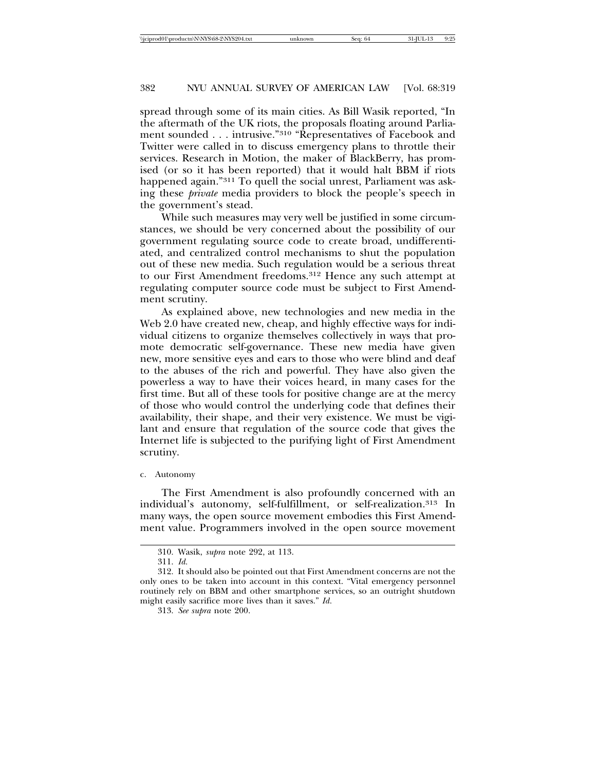spread through some of its main cities. As Bill Wasik reported, "In the aftermath of the UK riots, the proposals floating around Parliament sounded . . . intrusive."310 "Representatives of Facebook and Twitter were called in to discuss emergency plans to throttle their services. Research in Motion, the maker of BlackBerry, has promised (or so it has been reported) that it would halt BBM if riots happened again."311 To quell the social unrest, Parliament was asking these *private* media providers to block the people's speech in the government's stead.

While such measures may very well be justified in some circumstances, we should be very concerned about the possibility of our government regulating source code to create broad, undifferentiated, and centralized control mechanisms to shut the population out of these new media. Such regulation would be a serious threat to our First Amendment freedoms.312 Hence any such attempt at regulating computer source code must be subject to First Amendment scrutiny.

As explained above, new technologies and new media in the Web 2.0 have created new, cheap, and highly effective ways for individual citizens to organize themselves collectively in ways that promote democratic self-governance. These new media have given new, more sensitive eyes and ears to those who were blind and deaf to the abuses of the rich and powerful. They have also given the powerless a way to have their voices heard, in many cases for the first time. But all of these tools for positive change are at the mercy of those who would control the underlying code that defines their availability, their shape, and their very existence. We must be vigilant and ensure that regulation of the source code that gives the Internet life is subjected to the purifying light of First Amendment scrutiny.

#### c. Autonomy

The First Amendment is also profoundly concerned with an individual's autonomy, self-fulfillment, or self-realization.313 In many ways, the open source movement embodies this First Amendment value. Programmers involved in the open source movement

<sup>310.</sup> Wasik, *supra* note 292, at 113.

<sup>311.</sup> *Id.*

<sup>312.</sup> It should also be pointed out that First Amendment concerns are not the only ones to be taken into account in this context. "Vital emergency personnel routinely rely on BBM and other smartphone services, so an outright shutdown might easily sacrifice more lives than it saves." *Id.*

<sup>313.</sup> *See supra* note 200.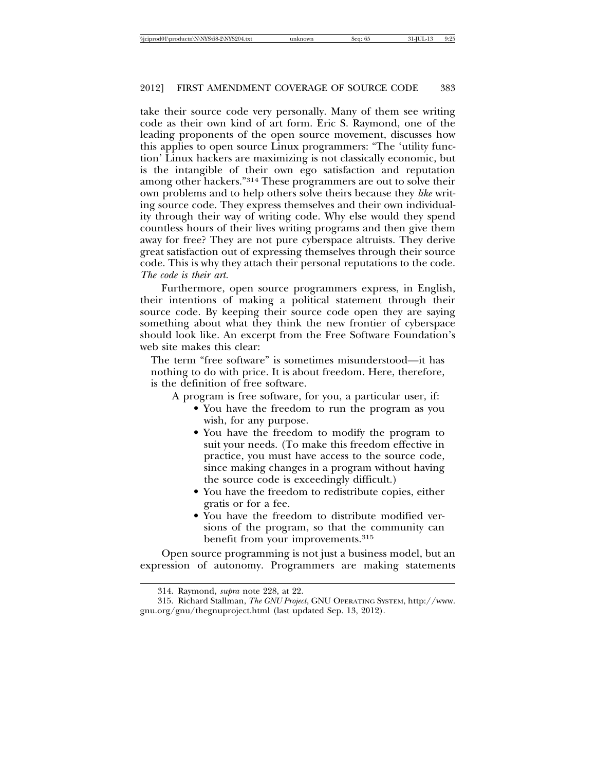take their source code very personally. Many of them see writing code as their own kind of art form. Eric S. Raymond, one of the leading proponents of the open source movement, discusses how this applies to open source Linux programmers: "The 'utility function' Linux hackers are maximizing is not classically economic, but is the intangible of their own ego satisfaction and reputation among other hackers."314 These programmers are out to solve their own problems and to help others solve theirs because they *like* writing source code. They express themselves and their own individuality through their way of writing code. Why else would they spend countless hours of their lives writing programs and then give them away for free? They are not pure cyberspace altruists. They derive great satisfaction out of expressing themselves through their source code. This is why they attach their personal reputations to the code. *The code is their art.*

Furthermore, open source programmers express, in English, their intentions of making a political statement through their source code. By keeping their source code open they are saying something about what they think the new frontier of cyberspace should look like. An excerpt from the Free Software Foundation's web site makes this clear:

The term "free software" is sometimes misunderstood—it has nothing to do with price. It is about freedom. Here, therefore, is the definition of free software.

A program is free software, for you, a particular user, if:

- You have the freedom to run the program as you wish, for any purpose.
- You have the freedom to modify the program to suit your needs. (To make this freedom effective in practice, you must have access to the source code, since making changes in a program without having the source code is exceedingly difficult.)
- You have the freedom to redistribute copies, either gratis or for a fee.
- You have the freedom to distribute modified versions of the program, so that the community can benefit from your improvements.<sup>315</sup>

Open source programming is not just a business model, but an expression of autonomy. Programmers are making statements

<sup>314.</sup> Raymond, *supra* note 228, at 22.

<sup>315.</sup> Richard Stallman, *The GNU Project*, GNU OPERATING SYSTEM, http://www. gnu.org/gnu/thegnuproject.html (last updated Sep. 13, 2012).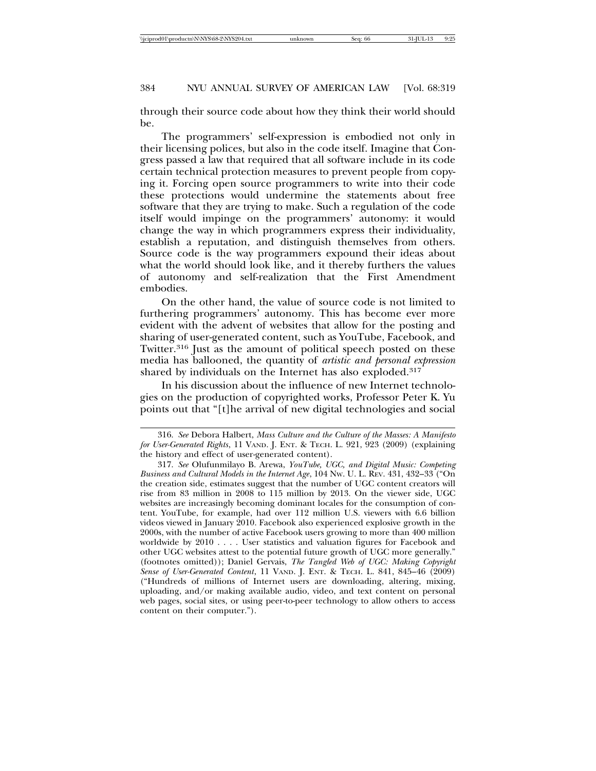through their source code about how they think their world should be.

The programmers' self-expression is embodied not only in their licensing polices, but also in the code itself. Imagine that Congress passed a law that required that all software include in its code certain technical protection measures to prevent people from copying it. Forcing open source programmers to write into their code these protections would undermine the statements about free software that they are trying to make. Such a regulation of the code itself would impinge on the programmers' autonomy: it would change the way in which programmers express their individuality, establish a reputation, and distinguish themselves from others. Source code is the way programmers expound their ideas about what the world should look like, and it thereby furthers the values of autonomy and self-realization that the First Amendment embodies.

On the other hand, the value of source code is not limited to furthering programmers' autonomy. This has become ever more evident with the advent of websites that allow for the posting and sharing of user-generated content, such as YouTube, Facebook, and Twitter.<sup>316</sup> Just as the amount of political speech posted on these media has ballooned, the quantity of *artistic and personal expression* shared by individuals on the Internet has also exploded.<sup>317</sup>

In his discussion about the influence of new Internet technologies on the production of copyrighted works, Professor Peter K. Yu points out that "[t]he arrival of new digital technologies and social

<sup>316.</sup> *See* Debora Halbert, *Mass Culture and the Culture of the Masses: A Manifesto for User-Generated Rights*, 11 VAND. J. ENT. & TECH. L. 921, 923 (2009) (explaining the history and effect of user-generated content).

<sup>317.</sup> *See* Olufunmilayo B. Arewa, *YouTube, UGC, and Digital Music: Competing Business and Cultural Models in the Internet Age*, 104 NW. U. L. REV. 431, 432–33 ("On the creation side, estimates suggest that the number of UGC content creators will rise from 83 million in 2008 to 115 million by 2013. On the viewer side, UGC websites are increasingly becoming dominant locales for the consumption of content. YouTube, for example, had over 112 million U.S. viewers with 6.6 billion videos viewed in January 2010. Facebook also experienced explosive growth in the 2000s, with the number of active Facebook users growing to more than 400 million worldwide by 2010 . . . . User statistics and valuation figures for Facebook and other UGC websites attest to the potential future growth of UGC more generally." (footnotes omitted)); Daniel Gervais, *The Tangled Web of UGC: Making Copyright Sense of User-Generated Content*, 11 VAND. J. ENT. & TECH. L. 841, 845–46 (2009) ("Hundreds of millions of Internet users are downloading, altering, mixing, uploading, and/or making available audio, video, and text content on personal web pages, social sites, or using peer-to-peer technology to allow others to access content on their computer.").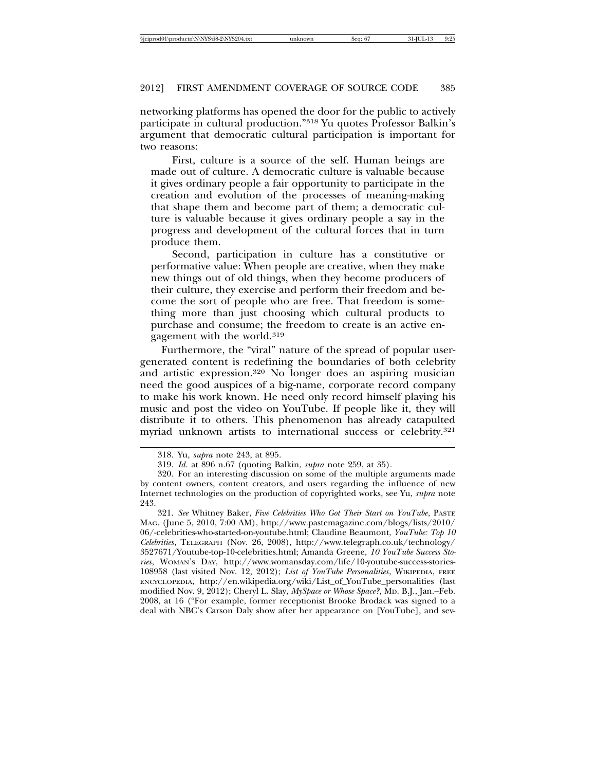networking platforms has opened the door for the public to actively participate in cultural production."318 Yu quotes Professor Balkin's argument that democratic cultural participation is important for two reasons:

First, culture is a source of the self. Human beings are made out of culture. A democratic culture is valuable because it gives ordinary people a fair opportunity to participate in the creation and evolution of the processes of meaning-making that shape them and become part of them; a democratic culture is valuable because it gives ordinary people a say in the progress and development of the cultural forces that in turn produce them.

Second, participation in culture has a constitutive or performative value: When people are creative, when they make new things out of old things, when they become producers of their culture, they exercise and perform their freedom and become the sort of people who are free. That freedom is something more than just choosing which cultural products to purchase and consume; the freedom to create is an active engagement with the world.319

Furthermore, the "viral" nature of the spread of popular usergenerated content is redefining the boundaries of both celebrity and artistic expression.320 No longer does an aspiring musician need the good auspices of a big-name, corporate record company to make his work known. He need only record himself playing his music and post the video on YouTube. If people like it, they will distribute it to others. This phenomenon has already catapulted myriad unknown artists to international success or celebrity.321

321. *See* Whitney Baker, *Five Celebrities Who Got Their Start on YouTube*, PASTE MAG. (June 5, 2010, 7:00 AM), http://www.pastemagazine.com/blogs/lists/2010/ 06/-celebrities-who-started-on-youtube.html; Claudine Beaumont, *YouTube: Top 10 Celebrities*, TELEGRAPH (Nov. 26, 2008), http://www.telegraph.co.uk/technology/ 3527671/Youtube-top-10-celebrities.html; Amanda Greene, *10 YouTube Success Stories*, WOMAN'S DAY, http://www.womansday.com/life/10-youtube-success-stories-108958 (last visited Nov. 12, 2012); *List of YouTube Personalities*, WIKIPEDIA, FREE ENCYCLOPEDIA, http://en.wikipedia.org/wiki/List\_of\_YouTube\_personalities (last modified Nov. 9, 2012); Cheryl L. Slay, *MySpace or Whose Space?*, MD. B.J., Jan.–Feb. 2008, at 16 ("For example, former receptionist Brooke Brodack was signed to a deal with NBC's Carson Daly show after her appearance on [YouTube], and sev-

<sup>318.</sup> Yu, *supra* note 243, at 895.

<sup>319.</sup> *Id.* at 896 n.67 (quoting Balkin, *supra* note 259, at 35).

<sup>320.</sup> For an interesting discussion on some of the multiple arguments made by content owners, content creators, and users regarding the influence of new Internet technologies on the production of copyrighted works, see Yu, *supra* note 243.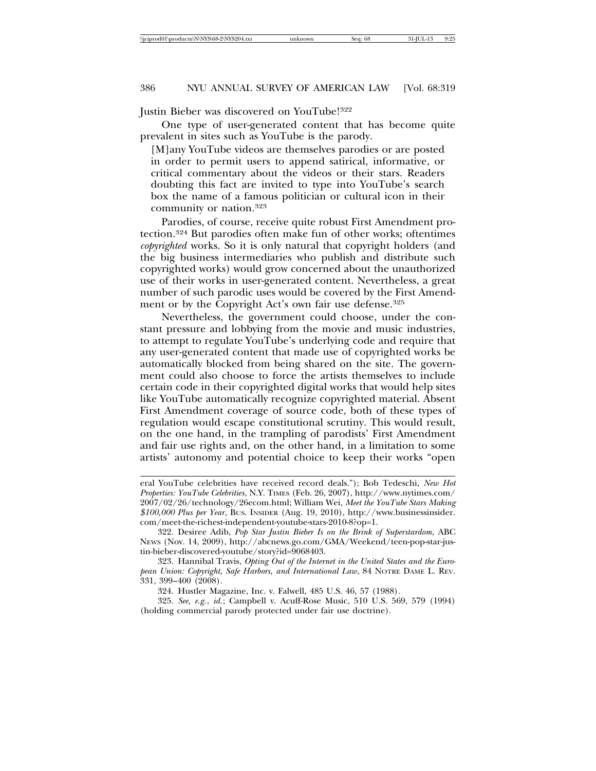Justin Bieber was discovered on YouTube!322

One type of user-generated content that has become quite prevalent in sites such as YouTube is the parody.

[M]any YouTube videos are themselves parodies or are posted in order to permit users to append satirical, informative, or critical commentary about the videos or their stars. Readers doubting this fact are invited to type into YouTube's search box the name of a famous politician or cultural icon in their community or nation.323

Parodies, of course, receive quite robust First Amendment protection.324 But parodies often make fun of other works; oftentimes *copyrighted* works. So it is only natural that copyright holders (and the big business intermediaries who publish and distribute such copyrighted works) would grow concerned about the unauthorized use of their works in user-generated content. Nevertheless, a great number of such parodic uses would be covered by the First Amendment or by the Copyright Act's own fair use defense.<sup>325</sup>

Nevertheless, the government could choose, under the constant pressure and lobbying from the movie and music industries, to attempt to regulate YouTube's underlying code and require that any user-generated content that made use of copyrighted works be automatically blocked from being shared on the site. The government could also choose to force the artists themselves to include certain code in their copyrighted digital works that would help sites like YouTube automatically recognize copyrighted material. Absent First Amendment coverage of source code, both of these types of regulation would escape constitutional scrutiny. This would result, on the one hand, in the trampling of parodists' First Amendment and fair use rights and, on the other hand, in a limitation to some artists' autonomy and potential choice to keep their works "open

eral YouTube celebrities have received record deals."); Bob Tedeschi, *New Hot Properties: YouTube Celebrities*, N.Y. TIMES (Feb. 26, 2007), http://www.nytimes.com/ 2007/02/26/technology/26ecom.html; William Wei, *Meet the YouTube Stars Making \$100,000 Plus per Year*, BUS. INSIDER (Aug. 19, 2010), http://www.businessinsider. com/meet-the-richest-independent-youtube-stars-2010-8?op=1.

<sup>322.</sup> Desiree Adib, *Pop Star Justin Bieber Is on the Brink of Superstardom*, ABC NEWS (Nov. 14, 2009), http://abcnews.go.com/GMA/Weekend/teen-pop-star-justin-bieber-discovered-youtube/story?id=9068403.

<sup>323.</sup> Hannibal Travis, *Opting Out of the Internet in the United States and the European Union: Copyright, Safe Harbors, and International Law*, 84 NOTRE DAME L. REV. 331, 399–400 (2008).

<sup>324.</sup> Hustler Magazine, Inc. v. Falwell, 485 U.S. 46, 57 (1988).

<sup>325.</sup> *See, e.g.*, *id.*; Campbell v. Acuff-Rose Music, 510 U.S. 569, 579 (1994) (holding commercial parody protected under fair use doctrine).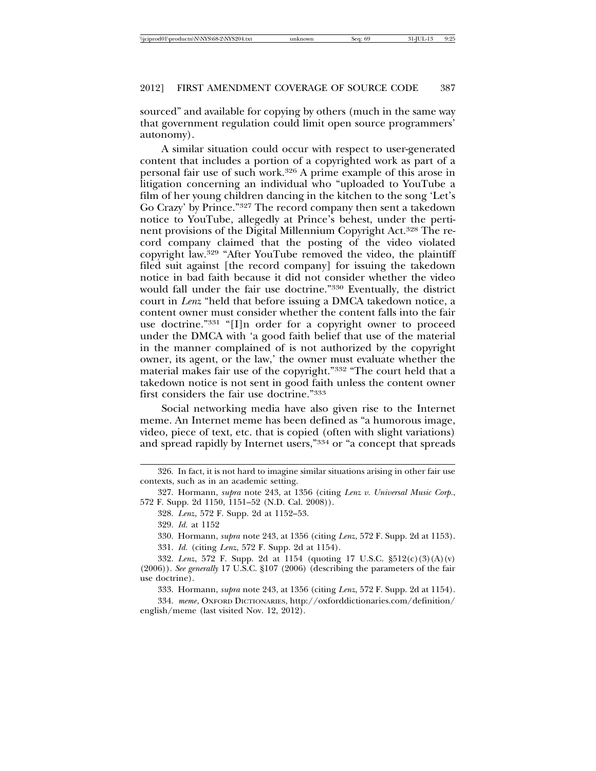sourced" and available for copying by others (much in the same way that government regulation could limit open source programmers' autonomy).

A similar situation could occur with respect to user-generated content that includes a portion of a copyrighted work as part of a personal fair use of such work.326 A prime example of this arose in litigation concerning an individual who "uploaded to YouTube a film of her young children dancing in the kitchen to the song 'Let's Go Crazy' by Prince."327 The record company then sent a takedown notice to YouTube, allegedly at Prince's behest, under the pertinent provisions of the Digital Millennium Copyright Act.328 The record company claimed that the posting of the video violated copyright law.329 "After YouTube removed the video, the plaintiff filed suit against [the record company] for issuing the takedown notice in bad faith because it did not consider whether the video would fall under the fair use doctrine."330 Eventually, the district court in *Lenz* "held that before issuing a DMCA takedown notice, a content owner must consider whether the content falls into the fair use doctrine."331 "[I]n order for a copyright owner to proceed under the DMCA with 'a good faith belief that use of the material in the manner complained of is not authorized by the copyright owner, its agent, or the law,' the owner must evaluate whether the material makes fair use of the copyright."332 "The court held that a takedown notice is not sent in good faith unless the content owner first considers the fair use doctrine."333

Social networking media have also given rise to the Internet meme. An Internet meme has been defined as "a humorous image, video, piece of text, etc. that is copied (often with slight variations) and spread rapidly by Internet users,"334 or "a concept that spreads

333. Hormann, *supra* note 243, at 1356 (citing *Lenz*, 572 F. Supp. 2d at 1154).

334. *meme*, OXFORD DICTIONARIES, http://oxforddictionaries.com/definition/ english/meme (last visited Nov. 12, 2012).

<sup>326.</sup> In fact, it is not hard to imagine similar situations arising in other fair use contexts, such as in an academic setting.

<sup>327.</sup> Hormann, *supra* note 243, at 1356 (citing *Lenz v. Universal Music Corp.*, 572 F. Supp. 2d 1150, 1151–52 (N.D. Cal. 2008)).

<sup>328.</sup> *Lenz*, 572 F. Supp. 2d at 1152–53.

<sup>329.</sup> *Id.* at 1152

<sup>330.</sup> Hormann, *supra* note 243, at 1356 (citing *Lenz*, 572 F. Supp. 2d at 1153).

<sup>331.</sup> *Id.* (citing *Lenz*, 572 F. Supp. 2d at 1154).

<sup>332.</sup> *Lenz*, 572 F. Supp. 2d at 1154 (quoting 17 U.S.C. §512(c)(3)(A)(v) (2006)). *See generally* 17 U.S.C. §107 (2006) (describing the parameters of the fair use doctrine).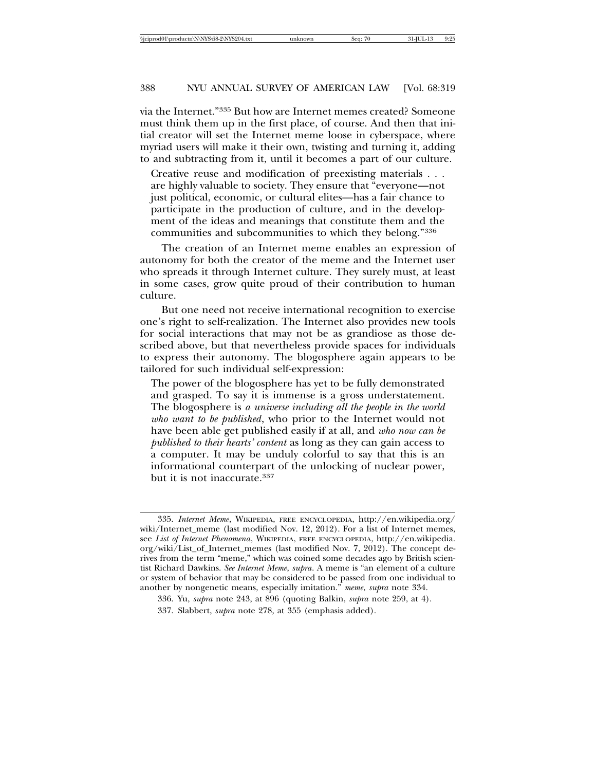via the Internet."335 But how are Internet memes created? Someone must think them up in the first place, of course. And then that initial creator will set the Internet meme loose in cyberspace, where myriad users will make it their own, twisting and turning it, adding to and subtracting from it, until it becomes a part of our culture.

Creative reuse and modification of preexisting materials . . . are highly valuable to society. They ensure that "everyone—not just political, economic, or cultural elites—has a fair chance to participate in the production of culture, and in the development of the ideas and meanings that constitute them and the communities and subcommunities to which they belong."336

The creation of an Internet meme enables an expression of autonomy for both the creator of the meme and the Internet user who spreads it through Internet culture. They surely must, at least in some cases, grow quite proud of their contribution to human culture.

But one need not receive international recognition to exercise one's right to self-realization. The Internet also provides new tools for social interactions that may not be as grandiose as those described above, but that nevertheless provide spaces for individuals to express their autonomy. The blogosphere again appears to be tailored for such individual self-expression:

The power of the blogosphere has yet to be fully demonstrated and grasped. To say it is immense is a gross understatement. The blogosphere is *a universe including all the people in the world who want to be published*, who prior to the Internet would not have been able get published easily if at all, and *who now can be published to their hearts' content* as long as they can gain access to a computer. It may be unduly colorful to say that this is an informational counterpart of the unlocking of nuclear power, but it is not inaccurate.<sup>337</sup>

<sup>335.</sup> *Internet Meme*, WIKIPEDIA, FREE ENCYCLOPEDIA, http://en.wikipedia.org/ wiki/Internet\_meme (last modified Nov. 12, 2012). For a list of Internet memes, see *List of Internet Phenomena*, WIKIPEDIA, FREE ENCYCLOPEDIA, http://en.wikipedia. org/wiki/List\_of\_Internet\_memes (last modified Nov. 7, 2012). The concept derives from the term "meme," which was coined some decades ago by British scientist Richard Dawkins. *See Internet Meme*, *supra*. A meme is "an element of a culture or system of behavior that may be considered to be passed from one individual to another by nongenetic means, especially imitation." *meme*, *supra* note 334.

<sup>336.</sup> Yu, *supra* note 243, at 896 (quoting Balkin, *supra* note 259, at 4).

<sup>337.</sup> Slabbert, *supra* note 278, at 355 (emphasis added).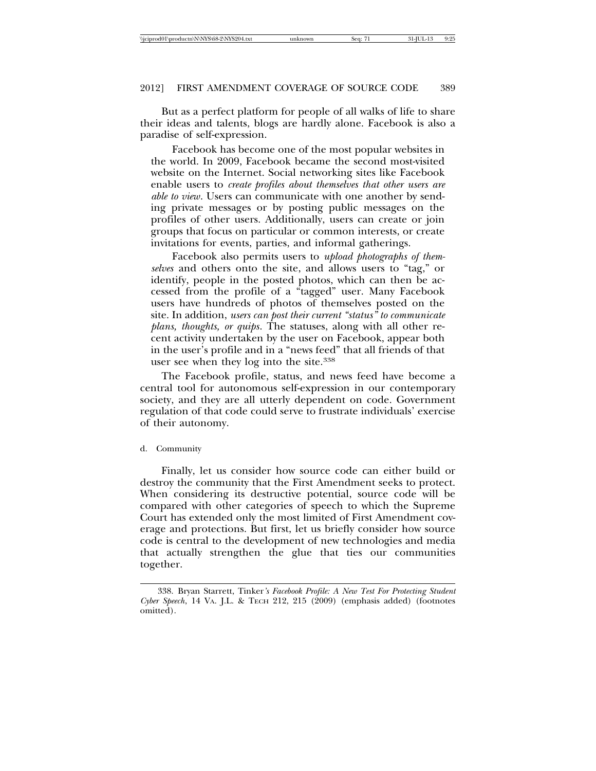But as a perfect platform for people of all walks of life to share their ideas and talents, blogs are hardly alone. Facebook is also a paradise of self-expression.

Facebook has become one of the most popular websites in the world. In 2009, Facebook became the second most-visited website on the Internet. Social networking sites like Facebook enable users to *create profiles about themselves that other users are able to view*. Users can communicate with one another by sending private messages or by posting public messages on the profiles of other users. Additionally, users can create or join groups that focus on particular or common interests, or create invitations for events, parties, and informal gatherings.

Facebook also permits users to *upload photographs of themselves* and others onto the site, and allows users to "tag," or identify, people in the posted photos, which can then be accessed from the profile of a "tagged" user. Many Facebook users have hundreds of photos of themselves posted on the site. In addition, *users can post their current "status" to communicate plans, thoughts, or quips*. The statuses, along with all other recent activity undertaken by the user on Facebook, appear both in the user's profile and in a "news feed" that all friends of that user see when they log into the site.338

The Facebook profile, status, and news feed have become a central tool for autonomous self-expression in our contemporary society, and they are all utterly dependent on code. Government regulation of that code could serve to frustrate individuals' exercise of their autonomy.

#### d. Community

Finally, let us consider how source code can either build or destroy the community that the First Amendment seeks to protect. When considering its destructive potential, source code will be compared with other categories of speech to which the Supreme Court has extended only the most limited of First Amendment coverage and protections. But first, let us briefly consider how source code is central to the development of new technologies and media that actually strengthen the glue that ties our communities together.

<sup>338.</sup> Bryan Starrett, Tinker*'s Facebook Profile: A New Test For Protecting Student Cyber Speech*, 14 VA. J.L. & TECH 212, 215 (2009) (emphasis added) (footnotes omitted).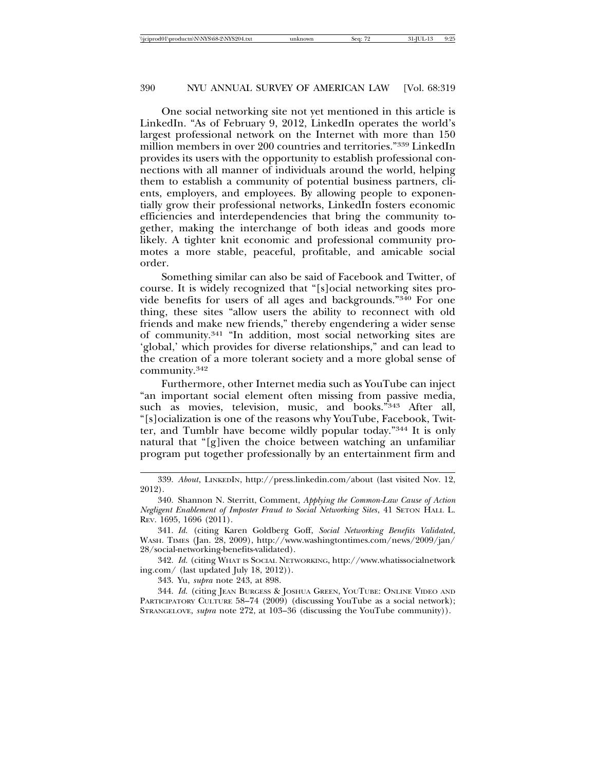One social networking site not yet mentioned in this article is LinkedIn. "As of February 9, 2012, LinkedIn operates the world's largest professional network on the Internet with more than 150 million members in over 200 countries and territories."339 LinkedIn provides its users with the opportunity to establish professional connections with all manner of individuals around the world, helping them to establish a community of potential business partners, clients, employers, and employees. By allowing people to exponentially grow their professional networks, LinkedIn fosters economic efficiencies and interdependencies that bring the community together, making the interchange of both ideas and goods more likely. A tighter knit economic and professional community promotes a more stable, peaceful, profitable, and amicable social order.

Something similar can also be said of Facebook and Twitter, of course. It is widely recognized that "[s]ocial networking sites provide benefits for users of all ages and backgrounds."340 For one thing, these sites "allow users the ability to reconnect with old friends and make new friends," thereby engendering a wider sense of community.341 "In addition, most social networking sites are 'global,' which provides for diverse relationships," and can lead to the creation of a more tolerant society and a more global sense of community.342

Furthermore, other Internet media such as YouTube can inject "an important social element often missing from passive media, such as movies, television, music, and books."343 After all, "[s]ocialization is one of the reasons why YouTube, Facebook, Twitter, and Tumblr have become wildly popular today."344 It is only natural that "[g]iven the choice between watching an unfamiliar program put together professionally by an entertainment firm and

342. *Id.* (citing WHAT IS SOCIAL NETWORKING, http://www.whatissocialnetwork ing.com/ (last updated July 18, 2012)).

343. Yu, *supra* note 243, at 898.

344. *Id.* (citing JEAN BURGESS & JOSHUA GREEN, YOUTUBE: ONLINE VIDEO AND PARTICIPATORY CULTURE 58-74 (2009) (discussing YouTube as a social network); STRANGELOVE, *supra* note 272, at 103–36 (discussing the YouTube community)).

<sup>339.</sup> *About*, LINKEDIN, http://press.linkedin.com/about (last visited Nov. 12, 2012).

<sup>340.</sup> Shannon N. Sterritt, Comment, *Applying the Common-Law Cause of Action Negligent Enablement of Imposter Fraud to Social Networking Sites*, 41 SETON HALL L. REV. 1695, 1696 (2011).

<sup>341.</sup> *Id.* (citing Karen Goldberg Goff, *Social Networking Benefits Validated*, WASH. TIMES (Jan. 28, 2009), http://www.washingtontimes.com/news/2009/jan/ 28/social-networking-benefits-validated).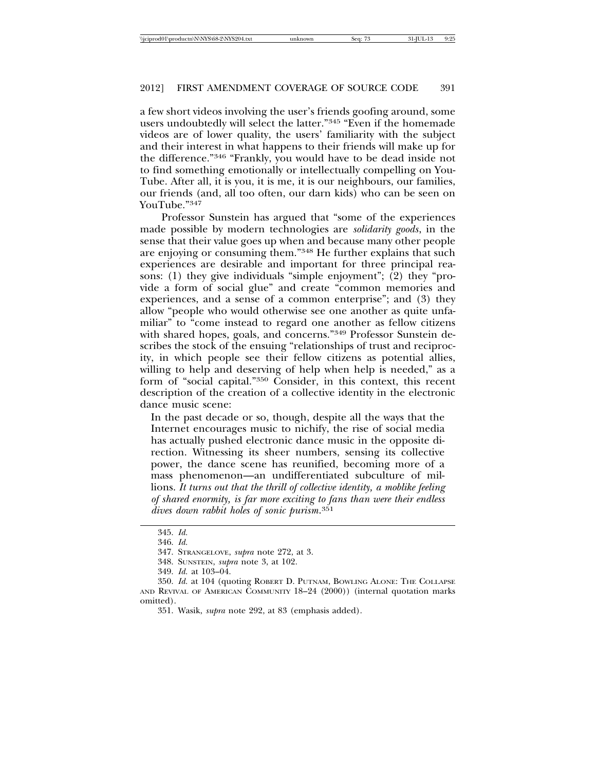## 2012] FIRST AMENDMENT COVERAGE OF SOURCE CODE 391

a few short videos involving the user's friends goofing around, some users undoubtedly will select the latter."345 "Even if the homemade videos are of lower quality, the users' familiarity with the subject and their interest in what happens to their friends will make up for the difference."346 "Frankly, you would have to be dead inside not to find something emotionally or intellectually compelling on You-Tube. After all, it is you, it is me, it is our neighbours, our families, our friends (and, all too often, our darn kids) who can be seen on YouTube."347

Professor Sunstein has argued that "some of the experiences made possible by modern technologies are *solidarity goods*, in the sense that their value goes up when and because many other people are enjoying or consuming them."348 He further explains that such experiences are desirable and important for three principal reasons: (1) they give individuals "simple enjoyment"; (2) they "provide a form of social glue" and create "common memories and experiences, and a sense of a common enterprise"; and (3) they allow "people who would otherwise see one another as quite unfamiliar" to "come instead to regard one another as fellow citizens with shared hopes, goals, and concerns."349 Professor Sunstein describes the stock of the ensuing "relationships of trust and reciprocity, in which people see their fellow citizens as potential allies, willing to help and deserving of help when help is needed," as a form of "social capital."350 Consider, in this context, this recent description of the creation of a collective identity in the electronic dance music scene:

In the past decade or so, though, despite all the ways that the Internet encourages music to nichify, the rise of social media has actually pushed electronic dance music in the opposite direction. Witnessing its sheer numbers, sensing its collective power, the dance scene has reunified, becoming more of a mass phenomenon—an undifferentiated subculture of millions. *It turns out that the thrill of collective identity, a moblike feeling of shared enormity, is far more exciting to fans than were their endless dives down rabbit holes of sonic purism*. 351

<sup>345.</sup> *Id.*

<sup>346.</sup> *Id.*

<sup>347.</sup> STRANGELOVE, *supra* note 272, at 3.

<sup>348.</sup> SUNSTEIN, *supra* note 3, at 102.

<sup>349.</sup> *Id.* at 103–04.

<sup>350.</sup> *Id.* at 104 (quoting ROBERT D. PUTNAM, BOWLING ALONE: THE COLLAPSE AND REVIVAL OF AMERICAN COMMUNITY 18–24 (2000)) (internal quotation marks omitted).

<sup>351.</sup> Wasik, *supra* note 292, at 83 (emphasis added).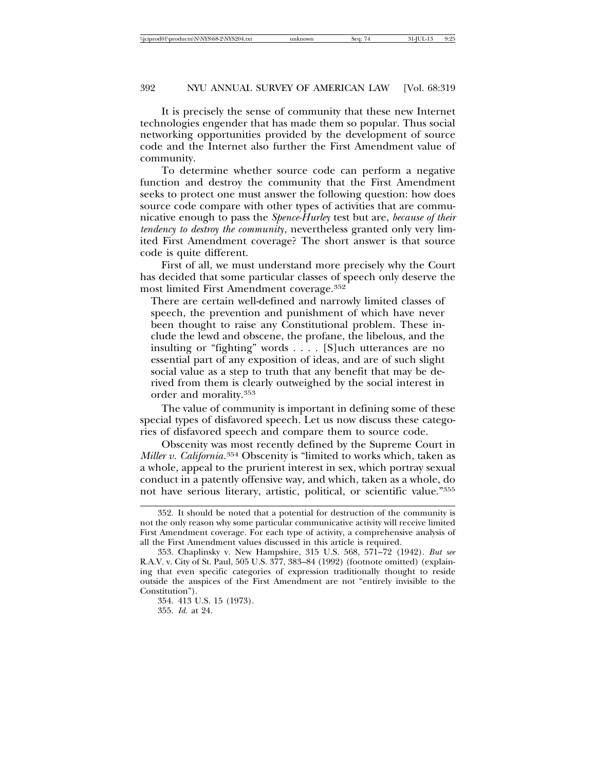#### 392 NYU ANNUAL SURVEY OF AMERICAN LAW [Vol. 68:319

It is precisely the sense of community that these new Internet technologies engender that has made them so popular. Thus social networking opportunities provided by the development of source code and the Internet also further the First Amendment value of community.

To determine whether source code can perform a negative function and destroy the community that the First Amendment seeks to protect one must answer the following question: how does source code compare with other types of activities that are communicative enough to pass the *Spence-Hurley* test but are, *because of their tendency to destroy the community*, nevertheless granted only very limited First Amendment coverage? The short answer is that source code is quite different.

First of all, we must understand more precisely why the Court has decided that some particular classes of speech only deserve the most limited First Amendment coverage.352

There are certain well-defined and narrowly limited classes of speech, the prevention and punishment of which have never been thought to raise any Constitutional problem. These include the lewd and obscene, the profane, the libelous, and the insulting or "fighting" words . . . . [S]uch utterances are no essential part of any exposition of ideas, and are of such slight social value as a step to truth that any benefit that may be derived from them is clearly outweighed by the social interest in order and morality.353

The value of community is important in defining some of these special types of disfavored speech. Let us now discuss these categories of disfavored speech and compare them to source code.

Obscenity was most recently defined by the Supreme Court in *Miller v. California*. 354 Obscenity is "limited to works which, taken as a whole, appeal to the prurient interest in sex, which portray sexual conduct in a patently offensive way, and which, taken as a whole, do not have serious literary, artistic, political, or scientific value."355

355. *Id.* at 24.

<sup>352.</sup> It should be noted that a potential for destruction of the community is not the only reason why some particular communicative activity will receive limited First Amendment coverage. For each type of activity, a comprehensive analysis of all the First Amendment values discussed in this article is required.

<sup>353.</sup> Chaplinsky v. New Hampshire, 315 U.S. 568, 571–72 (1942). *But see* R.A.V. v. City of St. Paul, 505 U.S. 377, 383–84 (1992) (footnote omitted) (explaining that even specific categories of expression traditionally thought to reside outside the auspices of the First Amendment are not "entirely invisible to the Constitution").

<sup>354. 413</sup> U.S. 15 (1973).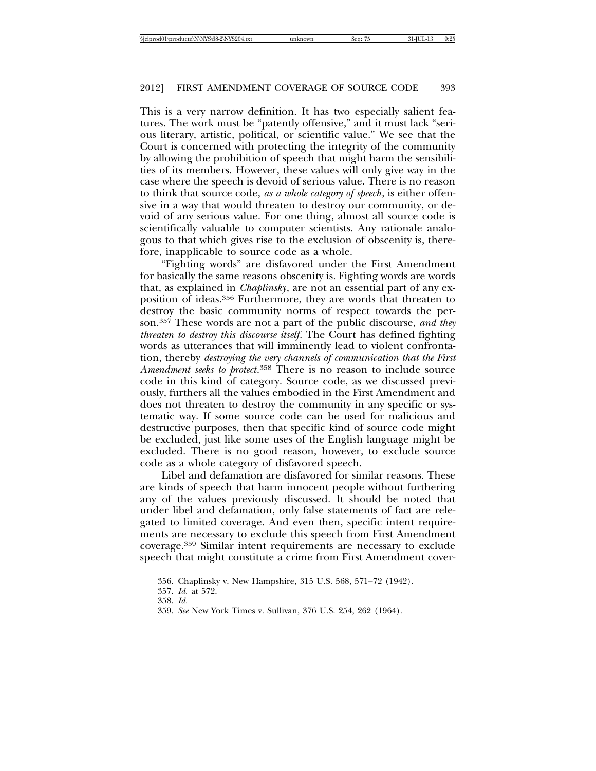#### 2012] FIRST AMENDMENT COVERAGE OF SOURCE CODE 393

This is a very narrow definition. It has two especially salient features. The work must be "patently offensive," and it must lack "serious literary, artistic, political, or scientific value." We see that the Court is concerned with protecting the integrity of the community by allowing the prohibition of speech that might harm the sensibilities of its members. However, these values will only give way in the case where the speech is devoid of serious value. There is no reason to think that source code, *as a whole category of speech*, is either offensive in a way that would threaten to destroy our community, or devoid of any serious value. For one thing, almost all source code is scientifically valuable to computer scientists. Any rationale analogous to that which gives rise to the exclusion of obscenity is, therefore, inapplicable to source code as a whole.

"Fighting words" are disfavored under the First Amendment for basically the same reasons obscenity is. Fighting words are words that, as explained in *Chaplinsky*, are not an essential part of any exposition of ideas.356 Furthermore, they are words that threaten to destroy the basic community norms of respect towards the person.357 These words are not a part of the public discourse, *and they threaten to destroy this discourse itself*. The Court has defined fighting words as utterances that will imminently lead to violent confrontation, thereby *destroying the very channels of communication that the First Amendment seeks to protect*. 358 There is no reason to include source code in this kind of category. Source code, as we discussed previously, furthers all the values embodied in the First Amendment and does not threaten to destroy the community in any specific or systematic way. If some source code can be used for malicious and destructive purposes, then that specific kind of source code might be excluded, just like some uses of the English language might be excluded. There is no good reason, however, to exclude source code as a whole category of disfavored speech.

Libel and defamation are disfavored for similar reasons. These are kinds of speech that harm innocent people without furthering any of the values previously discussed. It should be noted that under libel and defamation, only false statements of fact are relegated to limited coverage. And even then, specific intent requirements are necessary to exclude this speech from First Amendment coverage.359 Similar intent requirements are necessary to exclude speech that might constitute a crime from First Amendment cover-

<sup>356.</sup> Chaplinsky v. New Hampshire, 315 U.S. 568, 571–72 (1942).

<sup>357.</sup> *Id.* at 572.

<sup>358.</sup> *Id.*

<sup>359.</sup> *See* New York Times v. Sullivan, 376 U.S. 254, 262 (1964).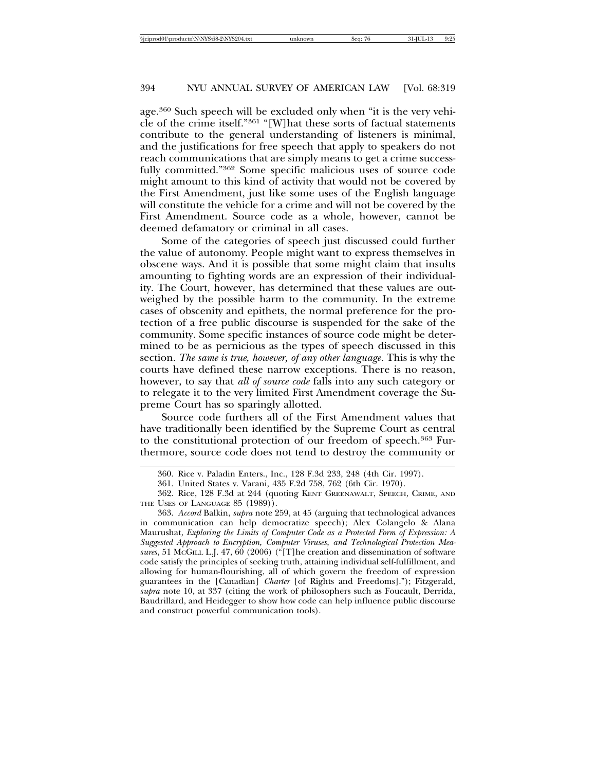## 394 NYU ANNUAL SURVEY OF AMERICAN LAW [Vol. 68:319

age.360 Such speech will be excluded only when "it is the very vehicle of the crime itself."361 "[W]hat these sorts of factual statements contribute to the general understanding of listeners is minimal, and the justifications for free speech that apply to speakers do not reach communications that are simply means to get a crime successfully committed."362 Some specific malicious uses of source code might amount to this kind of activity that would not be covered by the First Amendment, just like some uses of the English language will constitute the vehicle for a crime and will not be covered by the First Amendment. Source code as a whole, however, cannot be deemed defamatory or criminal in all cases.

Some of the categories of speech just discussed could further the value of autonomy. People might want to express themselves in obscene ways. And it is possible that some might claim that insults amounting to fighting words are an expression of their individuality. The Court, however, has determined that these values are outweighed by the possible harm to the community. In the extreme cases of obscenity and epithets, the normal preference for the protection of a free public discourse is suspended for the sake of the community. Some specific instances of source code might be determined to be as pernicious as the types of speech discussed in this section. *The same is true, however, of any other language*. This is why the courts have defined these narrow exceptions. There is no reason, however, to say that *all of source code* falls into any such category or to relegate it to the very limited First Amendment coverage the Supreme Court has so sparingly allotted.

Source code furthers all of the First Amendment values that have traditionally been identified by the Supreme Court as central to the constitutional protection of our freedom of speech.363 Furthermore, source code does not tend to destroy the community or

<sup>360.</sup> Rice v. Paladin Enters., Inc., 128 F.3d 233, 248 (4th Cir. 1997).

<sup>361.</sup> United States v. Varani, 435 F.2d 758, 762 (6th Cir. 1970).

<sup>362.</sup> Rice, 128 F.3d at 244 (quoting KENT GREENAWALT, SPEECH, CRIME, AND THE USES OF LANGUAGE 85 (1989)).

<sup>363.</sup> *Accord* Balkin, *supra* note 259, at 45 (arguing that technological advances in communication can help democratize speech); Alex Colangelo & Alana Maurushat, *Exploring the Limits of Computer Code as a Protected Form of Expression: A Suggested Approach to Encryption, Computer Viruses, and Technological Protection Measures*, 51 MCGILL L.J. 47, 60 (2006) ("[T]he creation and dissemination of software code satisfy the principles of seeking truth, attaining individual self-fulfillment, and allowing for human-flourishing, all of which govern the freedom of expression guarantees in the [Canadian] *Charter* [of Rights and Freedoms]."); Fitzgerald, *supra* note 10, at 337 (citing the work of philosophers such as Foucault, Derrida, Baudrillard, and Heidegger to show how code can help influence public discourse and construct powerful communication tools).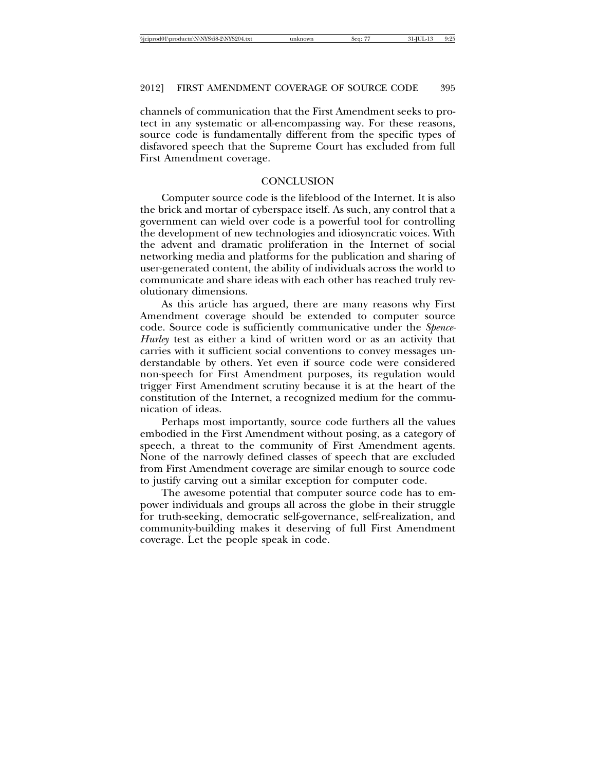## 2012] FIRST AMENDMENT COVERAGE OF SOURCE CODE 395

channels of communication that the First Amendment seeks to protect in any systematic or all-encompassing way. For these reasons, source code is fundamentally different from the specific types of disfavored speech that the Supreme Court has excluded from full First Amendment coverage.

#### **CONCLUSION**

Computer source code is the lifeblood of the Internet. It is also the brick and mortar of cyberspace itself. As such, any control that a government can wield over code is a powerful tool for controlling the development of new technologies and idiosyncratic voices. With the advent and dramatic proliferation in the Internet of social networking media and platforms for the publication and sharing of user-generated content, the ability of individuals across the world to communicate and share ideas with each other has reached truly revolutionary dimensions.

As this article has argued, there are many reasons why First Amendment coverage should be extended to computer source code. Source code is sufficiently communicative under the *Spence-Hurley* test as either a kind of written word or as an activity that carries with it sufficient social conventions to convey messages understandable by others. Yet even if source code were considered non-speech for First Amendment purposes, its regulation would trigger First Amendment scrutiny because it is at the heart of the constitution of the Internet, a recognized medium for the communication of ideas.

Perhaps most importantly, source code furthers all the values embodied in the First Amendment without posing, as a category of speech, a threat to the community of First Amendment agents. None of the narrowly defined classes of speech that are excluded from First Amendment coverage are similar enough to source code to justify carving out a similar exception for computer code.

The awesome potential that computer source code has to empower individuals and groups all across the globe in their struggle for truth-seeking, democratic self-governance, self-realization, and community-building makes it deserving of full First Amendment coverage. Let the people speak in code.